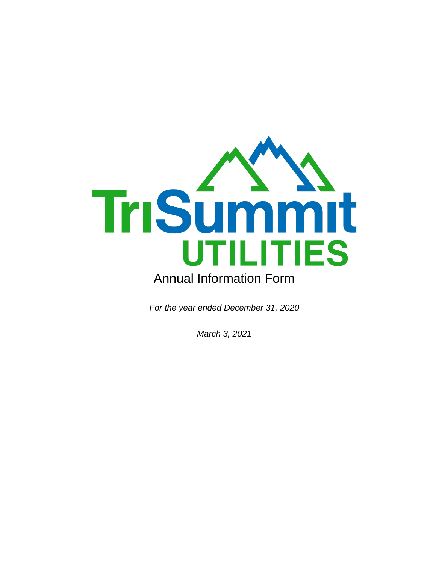

*For the year ended December 31, 2020*

*March 3, 2021*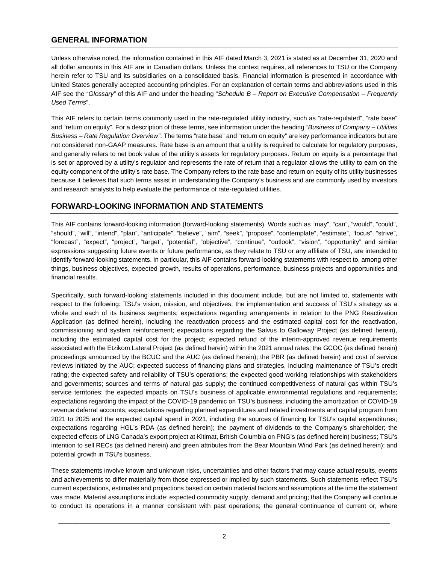# **GENERAL INFORMATION**

Unless otherwise noted, the information contained in this AIF dated March 3, 2021 is stated as at December 31, 2020 and all dollar amounts in this AIF are in Canadian dollars. Unless the context requires, all references to TSU or the Company herein refer to TSU and its subsidiaries on a consolidated basis. Financial information is presented in accordance with United States generally accepted accounting principles. For an explanation of certain terms and abbreviations used in this AIF see the "*Glossary*" of this AIF and under the heading "*Schedule B – Report on Executive Compensation – Frequently Used Terms*".

This AIF refers to certain terms commonly used in the rate-regulated utility industry, such as "rate-regulated", "rate base" and "return on equity". For a description of these terms, see information under the heading *"Business of Company – Utilities Business – Rate Regulation Overview"*. The terms "rate base" and "return on equity" are key performance indicators but are not considered non-GAAP measures. Rate base is an amount that a utility is required to calculate for regulatory purposes, and generally refers to net book value of the utility's assets for regulatory purposes. Return on equity is a percentage that is set or approved by a utility's regulator and represents the rate of return that a regulator allows the utility to earn on the equity component of the utility's rate base. The Company refers to the rate base and return on equity of its utility businesses because it believes that such terms assist in understanding the Company's business and are commonly used by investors and research analysts to help evaluate the performance of rate-regulated utilities.

# **FORWARD-LOOKING INFORMATION AND STATEMENTS**

This AIF contains forward-looking information (forward-looking statements). Words such as "may", "can", "would", "could", "should", "will", "intend", "plan", "anticipate", "believe", "aim", "seek", "propose", "contemplate", "estimate", "focus", "strive", "forecast", "expect", "project", "target", "potential", "objective", "continue", "outlook", "vision", "opportunity" and similar expressions suggesting future events or future performance, as they relate to TSU or any affiliate of TSU, are intended to identify forward-looking statements. In particular, this AIF contains forward-looking statements with respect to, among other things, business objectives, expected growth, results of operations, performance, business projects and opportunities and financial results.

Specifically, such forward-looking statements included in this document include, but are not limited to, statements with respect to the following: TSU's vision, mission, and objectives; the implementation and success of TSU's strategy as a whole and each of its business segments; expectations regarding arrangements in relation to the PNG Reactivation Application (as defined herein), including the reactivation process and the estimated capital cost for the reactivation, commissioning and system reinforcement; expectations regarding the Salvus to Galloway Project (as defined herein), including the estimated capital cost for the project; expected refund of the interim-approved revenue requirements associated with the Etzikom Lateral Project (as defined herein) within the 2021 annual rates; the GCOC (as defined herein) proceedings announced by the BCUC and the AUC (as defined herein); the PBR (as defined herein) and cost of service reviews initiated by the AUC; expected success of financing plans and strategies, including maintenance of TSU's credit rating; the expected safety and reliability of TSU's operations; the expected good working relationships with stakeholders and governments; sources and terms of natural gas supply; the continued competitiveness of natural gas within TSU's service territories; the expected impacts on TSU's business of applicable environmental regulations and requirements; expectations regarding the impact of the COVID-19 pandemic on TSU's business, including the amortization of COVID-19 revenue deferral accounts; expectations regarding planned expenditures and related investments and capital program from 2021 to 2025 and the expected capital spend in 2021, including the sources of financing for TSU's capital expenditures; expectations regarding HGL's RDA (as defined herein); the payment of dividends to the Company's shareholder; the expected effects of LNG Canada's export project at Kitimat, British Columbia on PNG's (as defined herein) business; TSU's intention to sell RECs (as defined herein) and green attributes from the Bear Mountain Wind Park (as defined herein); and potential growth in TSU's business.

These statements involve known and unknown risks, uncertainties and other factors that may cause actual results, events and achievements to differ materially from those expressed or implied by such statements. Such statements reflect TSU's current expectations, estimates and projections based on certain material factors and assumptions at the time the statement was made. Material assumptions include: expected commodity supply, demand and pricing; that the Company will continue to conduct its operations in a manner consistent with past operations; the general continuance of current or, where

 $\bot$  , and the contribution of the contribution of the contribution of the contribution of  $\mathcal{L}_\text{max}$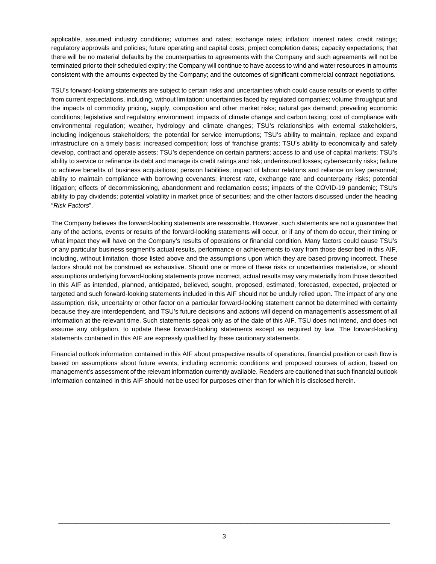applicable, assumed industry conditions; volumes and rates; exchange rates; inflation; interest rates; credit ratings; regulatory approvals and policies; future operating and capital costs; project completion dates; capacity expectations; that there will be no material defaults by the counterparties to agreements with the Company and such agreements will not be terminated prior to their scheduled expiry; the Company will continue to have access to wind and water resources in amounts consistent with the amounts expected by the Company; and the outcomes of significant commercial contract negotiations.

TSU's forward-looking statements are subject to certain risks and uncertainties which could cause results or events to differ from current expectations, including, without limitation: uncertainties faced by regulated companies; volume throughput and the impacts of commodity pricing, supply, composition and other market risks; natural gas demand; prevailing economic conditions; legislative and regulatory environment; impacts of climate change and carbon taxing; cost of compliance with environmental regulation; weather, hydrology and climate changes; TSU's relationships with external stakeholders, including indigenous stakeholders; the potential for service interruptions; TSU's ability to maintain, replace and expand infrastructure on a timely basis; increased competition; loss of franchise grants; TSU's ability to economically and safely develop, contract and operate assets; TSU's dependence on certain partners; access to and use of capital markets; TSU's ability to service or refinance its debt and manage its credit ratings and risk; underinsured losses; cybersecurity risks; failure to achieve benefits of business acquisitions; pension liabilities; impact of labour relations and reliance on key personnel; ability to maintain compliance with borrowing covenants; interest rate, exchange rate and counterparty risks; potential litigation; effects of decommissioning, abandonment and reclamation costs; impacts of the COVID-19 pandemic; TSU's ability to pay dividends; potential volatility in market price of securities; and the other factors discussed under the heading "*Risk Factors*".

The Company believes the forward-looking statements are reasonable. However, such statements are not a guarantee that any of the actions, events or results of the forward-looking statements will occur, or if any of them do occur, their timing or what impact they will have on the Company's results of operations or financial condition. Many factors could cause TSU's or any particular business segment's actual results, performance or achievements to vary from those described in this AIF, including, without limitation, those listed above and the assumptions upon which they are based proving incorrect. These factors should not be construed as exhaustive. Should one or more of these risks or uncertainties materialize, or should assumptions underlying forward-looking statements prove incorrect, actual results may vary materially from those described in this AIF as intended, planned, anticipated, believed, sought, proposed, estimated, forecasted, expected, projected or targeted and such forward-looking statements included in this AIF should not be unduly relied upon. The impact of any one assumption, risk, uncertainty or other factor on a particular forward-looking statement cannot be determined with certainty because they are interdependent, and TSU's future decisions and actions will depend on management's assessment of all information at the relevant time. Such statements speak only as of the date of this AIF. TSU does not intend, and does not assume any obligation, to update these forward-looking statements except as required by law. The forward-looking statements contained in this AIF are expressly qualified by these cautionary statements.

Financial outlook information contained in this AIF about prospective results of operations, financial position or cash flow is based on assumptions about future events, including economic conditions and proposed courses of action, based on management's assessment of the relevant information currently available. Readers are cautioned that such financial outlook information contained in this AIF should not be used for purposes other than for which it is disclosed herein.

 $\bot$  , and the contribution of the contribution of the contribution of the contribution of  $\mathcal{L}_\text{max}$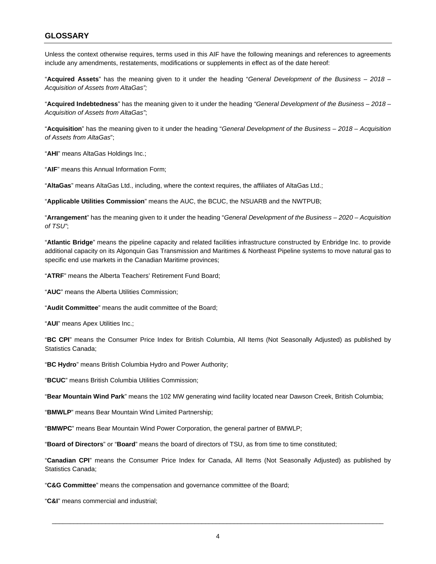# **GLOSSARY**

Unless the context otherwise requires, terms used in this AIF have the following meanings and references to agreements include any amendments, restatements, modifications or supplements in effect as of the date hereof:

"**Acquired Assets**" has the meaning given to it under the heading "*General Development of the Business – 2018 – Acquisition of Assets from AltaGas";*

"**Acquired Indebtedness**" has the meaning given to it under the heading *"General Development of the Business – 2018 – Acquisition of Assets from AltaGas"*;

"**Acquisition**" has the meaning given to it under the heading "*General Development of the Business – 2018 – Acquisition of Assets from AltaGas*";

"**AHI**" means AltaGas Holdings Inc.;

"**AIF**" means this Annual Information Form;

"**AltaGas**" means AltaGas Ltd., including, where the context requires, the affiliates of AltaGas Ltd.;

"**Applicable Utilities Commission**" means the AUC, the BCUC, the NSUARB and the NWTPUB;

"**Arrangement**" has the meaning given to it under the heading "*General Development of the Business – 2020 – Acquisition of TSU"*;

"**Atlantic Bridge**" means the pipeline capacity and related facilities infrastructure constructed by Enbridge Inc. to provide additional capacity on its Algonquin Gas Transmission and Maritimes & Northeast Pipeline systems to move natural gas to specific end use markets in the Canadian Maritime provinces;

"**ATRF**" means the Alberta Teachers' Retirement Fund Board;

"**AUC**" means the Alberta Utilities Commission;

"**Audit Committee**" means the audit committee of the Board;

"**AUI**" means Apex Utilities Inc.;

"**BC CPI**" means the Consumer Price Index for British Columbia, All Items (Not Seasonally Adjusted) as published by Statistics Canada;

"**BC Hydro**" means British Columbia Hydro and Power Authority;

"**BCUC**" means British Columbia Utilities Commission;

"**Bear Mountain Wind Park**" means the 102 MW generating wind facility located near Dawson Creek, British Columbia;

"**BMWLP**" means Bear Mountain Wind Limited Partnership;

"**BMWPC**" means Bear Mountain Wind Power Corporation, the general partner of BMWLP;

"**Board of Directors**" or "**Board**" means the board of directors of TSU, as from time to time constituted;

"**Canadian CPI**" means the Consumer Price Index for Canada, All Items (Not Seasonally Adjusted) as published by Statistics Canada;

"**C&G Committee**" means the compensation and governance committee of the Board;

"**C&I**" means commercial and industrial;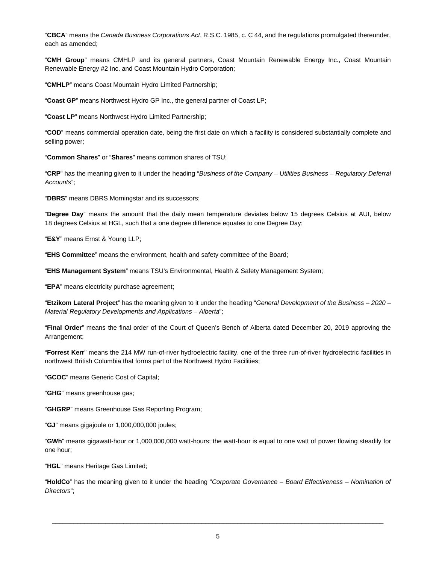"**CBCA**" means the *Canada Business Corporations Act*, R.S.C. 1985, c. C 44, and the regulations promulgated thereunder, each as amended;

"**CMH Group**" means CMHLP and its general partners, Coast Mountain Renewable Energy Inc., Coast Mountain Renewable Energy #2 Inc. and Coast Mountain Hydro Corporation;

"**CMHLP**" means Coast Mountain Hydro Limited Partnership;

"**Coast GP**" means Northwest Hydro GP Inc., the general partner of Coast LP;

"**Coast LP**" means Northwest Hydro Limited Partnership;

"**COD**" means commercial operation date, being the first date on which a facility is considered substantially complete and selling power;

"**Common Shares**" or "**Shares**" means common shares of TSU;

"**CRP**" has the meaning given to it under the heading "*Business of the Company – Utilities Business – Regulatory Deferral Accounts*";

"**DBRS**" means DBRS Morningstar and its successors;

"**Degree Day**" means the amount that the daily mean temperature deviates below 15 degrees Celsius at AUI, below 18 degrees Celsius at HGL, such that a one degree difference equates to one Degree Day;

"**E&Y**" means Ernst & Young LLP;

"**EHS Committee**" means the environment, health and safety committee of the Board;

"**EHS Management System**" means TSU's Environmental, Health & Safety Management System;

"**EPA**" means electricity purchase agreement;

"**Etzikom Lateral Project**" has the meaning given to it under the heading "*General Development of the Business – 2020 – Material Regulatory Developments and Applications – Alberta*";

"**Final Order**" means the final order of the Court of Queen's Bench of Alberta dated December 20, 2019 approving the Arrangement;

"**Forrest Kerr**" means the 214 MW run-of-river hydroelectric facility, one of the three run-of-river hydroelectric facilities in northwest British Columbia that forms part of the Northwest Hydro Facilities;

"**GCOC**" means Generic Cost of Capital;

"**GHG**" means greenhouse gas;

"**GHGRP**" means Greenhouse Gas Reporting Program;

"**GJ**" means gigajoule or 1,000,000,000 joules;

"**GWh**" means gigawatt-hour or 1,000,000,000 watt-hours; the watt-hour is equal to one watt of power flowing steadily for one hour;

"**HGL**" means Heritage Gas Limited;

"**HoldCo**" has the meaning given to it under the heading "*Corporate Governance – Board Effectiveness – Nomination of Directors*";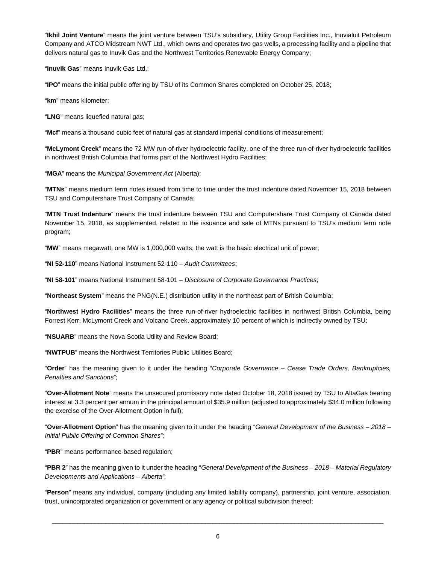"**Ikhil Joint Venture**" means the joint venture between TSU's subsidiary, Utility Group Facilities Inc., Inuvialuit Petroleum Company and ATCO Midstream NWT Ltd., which owns and operates two gas wells, a processing facility and a pipeline that delivers natural gas to Inuvik Gas and the Northwest Territories Renewable Energy Company;

"**Inuvik Gas**" means Inuvik Gas Ltd.;

"**IPO**" means the initial public offering by TSU of its Common Shares completed on October 25, 2018;

"**km**" means kilometer;

"**LNG**" means liquefied natural gas;

"**Mcf**" means a thousand cubic feet of natural gas at standard imperial conditions of measurement;

"**McLymont Creek**" means the 72 MW run-of-river hydroelectric facility, one of the three run-of-river hydroelectric facilities in northwest British Columbia that forms part of the Northwest Hydro Facilities;

"**MGA**" means the *Municipal Government Act* (Alberta);

"**MTNs**" means medium term notes issued from time to time under the trust indenture dated November 15, 2018 between TSU and Computershare Trust Company of Canada;

"**MTN Trust Indenture**" means the trust indenture between TSU and Computershare Trust Company of Canada dated November 15, 2018, as supplemented, related to the issuance and sale of MTNs pursuant to TSU's medium term note program;

"**MW**" means megawatt; one MW is 1,000,000 watts; the watt is the basic electrical unit of power;

"**NI 52-110**" means National Instrument 52-110 – *Audit Committees*;

"**NI 58-101**" means National Instrument 58-101 – *Disclosure of Corporate Governance Practices*;

"**Northeast System**" means the PNG(N.E.) distribution utility in the northeast part of British Columbia;

"**Northwest Hydro Facilities**" means the three run-of-river hydroelectric facilities in northwest British Columbia, being Forrest Kerr, McLymont Creek and Volcano Creek, approximately 10 percent of which is indirectly owned by TSU;

"**NSUARB**" means the Nova Scotia Utility and Review Board;

"**NWTPUB**" means the Northwest Territories Public Utilities Board;

"**Order**" has the meaning given to it under the heading "*Corporate Governance – Cease Trade Orders, Bankruptcies, Penalties and Sanctions*";

"**Over-Allotment Note**" means the unsecured promissory note dated October 18, 2018 issued by TSU to AltaGas bearing interest at 3.3 percent per annum in the principal amount of \$35.9 million (adjusted to approximately \$34.0 million following the exercise of the Over-Allotment Option in full);

"**Over-Allotment Option**" has the meaning given to it under the heading "*General Development of the Business* – *2018 – Initial Public Offering of Common Shares*";

"**PBR**" means performance-based regulation;

"**PBR 2**" has the meaning given to it under the heading "*General Development of the Business – 2018 – Material Regulatory Developments and Applications – Alberta"*;

"**Person**" means any individual, company (including any limited liability company), partnership, joint venture, association, trust, unincorporated organization or government or any agency or political subdivision thereof;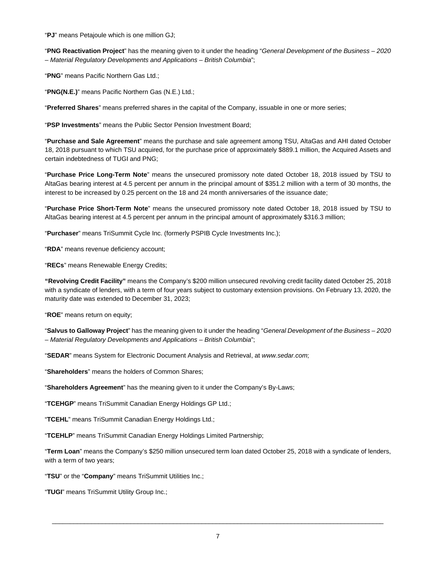"**PJ**" means Petajoule which is one million GJ;

"**PNG Reactivation Project**" has the meaning given to it under the heading "*General Development of the Business – 2020 – Material Regulatory Developments and Applications – British Columbia*";

"**PNG**" means Pacific Northern Gas Ltd.;

"**PNG(N.E.)**" means Pacific Northern Gas (N.E.) Ltd.;

"**Preferred Shares**" means preferred shares in the capital of the Company, issuable in one or more series;

"**PSP Investments**" means the Public Sector Pension Investment Board;

"**Purchase and Sale Agreement**" means the purchase and sale agreement among TSU, AltaGas and AHI dated October 18, 2018 pursuant to which TSU acquired, for the purchase price of approximately \$889.1 million, the Acquired Assets and certain indebtedness of TUGI and PNG;

"**Purchase Price Long-Term Note**" means the unsecured promissory note dated October 18, 2018 issued by TSU to AltaGas bearing interest at 4.5 percent per annum in the principal amount of \$351.2 million with a term of 30 months, the interest to be increased by 0.25 percent on the 18 and 24 month anniversaries of the issuance date;

"**Purchase Price Short-Term Note**" means the unsecured promissory note dated October 18, 2018 issued by TSU to AltaGas bearing interest at 4.5 percent per annum in the principal amount of approximately \$316.3 million;

"**Purchaser**" means TriSummit Cycle Inc. (formerly PSPIB Cycle Investments Inc.);

"**RDA**" means revenue deficiency account;

"**RECs**" means Renewable Energy Credits;

**"Revolving Credit Facility"** means the Company's \$200 million unsecured revolving credit facility dated October 25, 2018 with a syndicate of lenders, with a term of four years subject to customary extension provisions. On February 13, 2020, the maturity date was extended to December 31, 2023;

"**ROE**" means return on equity;

"**Salvus to Galloway Project**" has the meaning given to it under the heading "*General Development of the Business – 2020 – Material Regulatory Developments and Applications – British Columbia*";

"**SEDAR**" means System for Electronic Document Analysis and Retrieval, at *www.sedar.com*;

"**Shareholders**" means the holders of Common Shares;

"**Shareholders Agreement**" has the meaning given to it under the Company's By-Laws;

"**TCEHGP**" means TriSummit Canadian Energy Holdings GP Ltd.;

"**TCEHL**" means TriSummit Canadian Energy Holdings Ltd.;

"**TCEHLP**" means TriSummit Canadian Energy Holdings Limited Partnership;

"**Term Loan**" means the Company's \$250 million unsecured term loan dated October 25, 2018 with a syndicate of lenders, with a term of two years;

"**TSU**" or the "**Company**" means TriSummit Utilities Inc.;

"**TUGI**" means TriSummit Utility Group Inc.;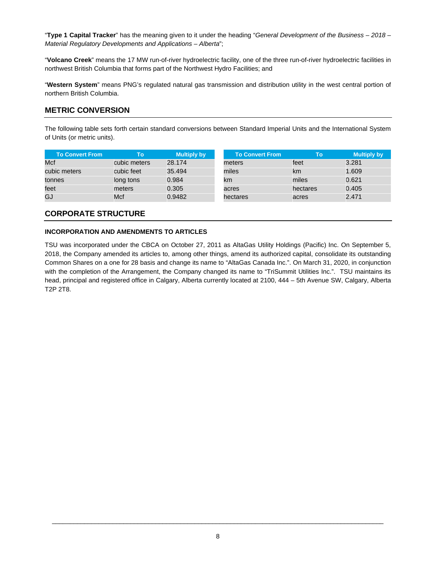"**Type 1 Capital Tracker**" has the meaning given to it under the heading "*General Development of the Business – 2018 – Material Regulatory Developments and Applications – Alberta*";

"**Volcano Creek**" means the 17 MW run-of-river hydroelectric facility, one of the three run-of-river hydroelectric facilities in northwest British Columbia that forms part of the Northwest Hydro Facilities; and

"**Western System**" means PNG's regulated natural gas transmission and distribution utility in the west central portion of northern British Columbia.

# **METRIC CONVERSION**

The following table sets forth certain standard conversions between Standard Imperial Units and the International System of Units (or metric units).

| <b>To Convert From</b> | То           | <b>Multiply by</b> | <b>To Convert From</b> | Гο       |
|------------------------|--------------|--------------------|------------------------|----------|
| Mcf                    | cubic meters | 28.174             | meters                 | feet     |
| cubic meters           | cubic feet   | 35.494             | miles                  | km       |
| tonnes                 | long tons    | 0.984              | km                     | miles    |
| feet                   | meters       | 0.305              | acres                  | hectares |
| GJ                     | Mcf          | 0.9482             | hectares               | acres    |

# **CORPORATE STRUCTURE**

#### **INCORPORATION AND AMENDMENTS TO ARTICLES**

TSU was incorporated under the CBCA on October 27, 2011 as AltaGas Utility Holdings (Pacific) Inc. On September 5, 2018, the Company amended its articles to, among other things, amend its authorized capital, consolidate its outstanding Common Shares on a one for 28 basis and change its name to "AltaGas Canada Inc.". On March 31, 2020, in conjunction with the completion of the Arrangement, the Company changed its name to "TriSummit Utilities Inc.". TSU maintains its head, principal and registered office in Calgary, Alberta currently located at 2100, 444 – 5th Avenue SW, Calgary, Alberta T2P 2T8.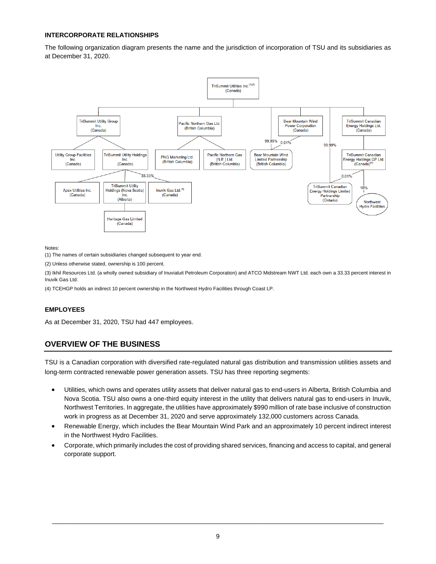# **INTERCORPORATE RELATIONSHIPS**

The following organization diagram presents the name and the jurisdiction of incorporation of TSU and its subsidiaries as at December 31, 2020.



Notes:

(1) The names of certain subsidiaries changed subsequent to year end.

(2) Unless otherwise stated, ownership is 100 percent.

(3) Ikhil Resources Ltd. (a wholly owned subsidiary of Inuvialuit Petroleum Corporation) and ATCO Midstream NWT Ltd. each own a 33.33 percent interest in Inuvik Gas Ltd.

(4) TCEHGP holds an indirect 10 percent ownership in the Northwest Hydro Facilities through Coast LP.

# **EMPLOYEES**

As at December 31, 2020, TSU had 447 employees.

# **OVERVIEW OF THE BUSINESS**

TSU is a Canadian corporation with diversified rate-regulated natural gas distribution and transmission utilities assets and long-term contracted renewable power generation assets. TSU has three reporting segments:

- · Utilities, which owns and operates utility assets that deliver natural gas to end-users in Alberta, British Columbia and Nova Scotia. TSU also owns a one-third equity interest in the utility that delivers natural gas to end-users in Inuvik, Northwest Territories. In aggregate, the utilities have approximately \$990 million of rate base inclusive of construction work in progress as at December 31, 2020 and serve approximately 132,000 customers across Canada.
- Renewable Energy, which includes the Bear Mountain Wind Park and an approximately 10 percent indirect interest in the Northwest Hydro Facilities.
- · Corporate, which primarily includes the cost of providing shared services, financing and access to capital, and general corporate support.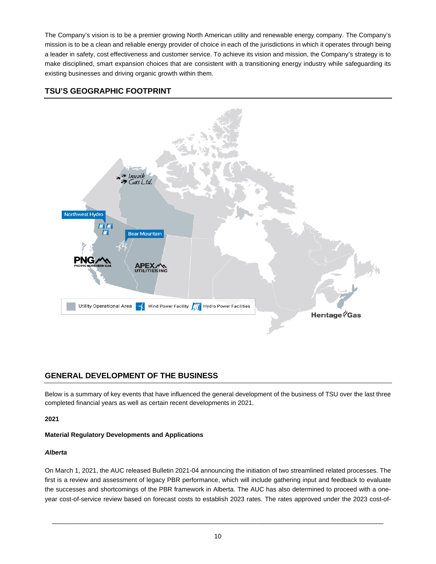The Company's vision is to be a premier growing North American utility and renewable energy company. The Company's mission is to be a clean and reliable energy provider of choice in each of the jurisdictions in which it operates through being a leader in safety, cost effectiveness and customer service. To achieve its vision and mission, the Company's strategy is to make disciplined, smart expansion choices that are consistent with a transitioning energy industry while safeguarding its existing businesses and driving organic growth within them.

# **TSU'S GEOGRAPHIC FOOTPRINT**



# **GENERAL DEVELOPMENT OF THE BUSINESS**

Below is a summary of key events that have influenced the general development of the business of TSU over the last three completed financial years as well as certain recent developments in 2021.

**2021**

# **Material Regulatory Developments and Applications**

# *Alberta*

On March 1, 2021, the AUC released Bulletin 2021-04 announcing the initiation of two streamlined related processes. The first is a review and assessment of legacy PBR performance, which will include gathering input and feedback to evaluate the successes and shortcomings of the PBR framework in Alberta. The AUC has also determined to proceed with a oneyear cost-of-service review based on forecast costs to establish 2023 rates. The rates approved under the 2023 cost-of-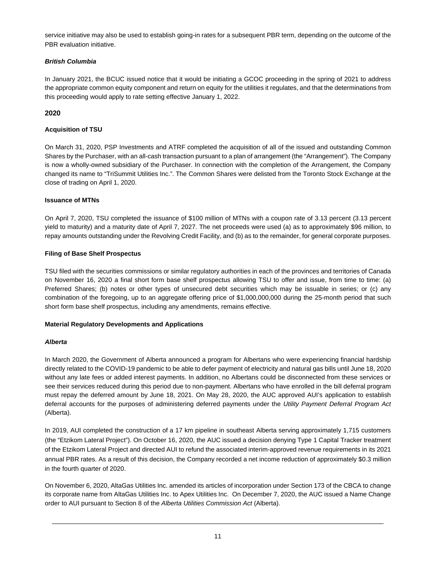service initiative may also be used to establish going-in rates for a subsequent PBR term, depending on the outcome of the PBR evaluation initiative.

#### *British Columbia*

In January 2021, the BCUC issued notice that it would be initiating a GCOC proceeding in the spring of 2021 to address the appropriate common equity component and return on equity for the utilities it regulates, and that the determinations from this proceeding would apply to rate setting effective January 1, 2022.

# **2020**

# **Acquisition of TSU**

On March 31, 2020, PSP Investments and ATRF completed the acquisition of all of the issued and outstanding Common Shares by the Purchaser, with an all-cash transaction pursuant to a plan of arrangement (the "Arrangement"). The Company is now a wholly-owned subsidiary of the Purchaser. In connection with the completion of the Arrangement, the Company changed its name to "TriSummit Utilities Inc.". The Common Shares were delisted from the Toronto Stock Exchange at the close of trading on April 1, 2020.

## **Issuance of MTNs**

On April 7, 2020, TSU completed the issuance of \$100 million of MTNs with a coupon rate of 3.13 percent (3.13 percent yield to maturity) and a maturity date of April 7, 2027. The net proceeds were used (a) as to approximately \$96 million, to repay amounts outstanding under the Revolving Credit Facility, and (b) as to the remainder, for general corporate purposes.

## **Filing of Base Shelf Prospectus**

TSU filed with the securities commissions or similar regulatory authorities in each of the provinces and territories of Canada on November 16, 2020 a final short form base shelf prospectus allowing TSU to offer and issue, from time to time: (a) Preferred Shares; (b) notes or other types of unsecured debt securities which may be issuable in series; or (c) any combination of the foregoing, up to an aggregate offering price of \$1,000,000,000 during the 25-month period that such short form base shelf prospectus, including any amendments, remains effective.

#### **Material Regulatory Developments and Applications**

#### *Alberta*

In March 2020, the Government of Alberta announced a program for Albertans who were experiencing financial hardship directly related to the COVID-19 pandemic to be able to defer payment of electricity and natural gas bills until June 18, 2020 without any late fees or added interest payments. In addition, no Albertans could be disconnected from these services or see their services reduced during this period due to non-payment. Albertans who have enrolled in the bill deferral program must repay the deferred amount by June 18, 2021. On May 28, 2020, the AUC approved AUI's application to establish deferral accounts for the purposes of administering deferred payments under the *Utility Payment Deferral Program Act* (Alberta).

In 2019, AUI completed the construction of a 17 km pipeline in southeast Alberta serving approximately 1,715 customers (the "Etzikom Lateral Project"). On October 16, 2020, the AUC issued a decision denying Type 1 Capital Tracker treatment of the Etzikom Lateral Project and directed AUI to refund the associated interim-approved revenue requirements in its 2021 annual PBR rates. As a result of this decision, the Company recorded a net income reduction of approximately \$0.3 million in the fourth quarter of 2020.

On November 6, 2020, AltaGas Utilities Inc. amended its articles of incorporation under Section 173 of the CBCA to change its corporate name from AltaGas Utilities Inc. to Apex Utilities Inc. On December 7, 2020, the AUC issued a Name Change order to AUI pursuant to Section 8 of the *Alberta Utilities Commission Act* (Alberta).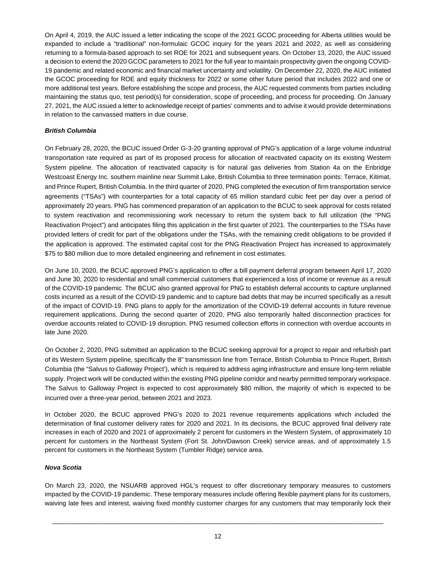On April 4, 2019, the AUC issued a letter indicating the scope of the 2021 GCOC proceeding for Alberta utilities would be expanded to include a "traditional" non-formulaic GCOC inquiry for the years 2021 and 2022, as well as considering returning to a formula-based approach to set ROE for 2021 and subsequent years. On October 13, 2020, the AUC issued a decision to extend the 2020 GCOC parameters to 2021 for the full year to maintain prospectivity given the ongoing COVID-19 pandemic and related economic and financial market uncertainty and volatility. On December 22, 2020, the AUC initiated the GCOC proceeding for ROE and equity thickness for 2022 or some other future period that includes 2022 and one or more additional test years. Before establishing the scope and process, the AUC requested comments from parties including maintaining the status quo, test period(s) for consideration, scope of proceeding, and process for proceeding. On January 27, 2021, the AUC issued a letter to acknowledge receipt of parties' comments and to advise it would provide determinations in relation to the canvassed matters in due course.

## *British Columbia*

On February 28, 2020, the BCUC issued Order G-3-20 granting approval of PNG's application of a large volume industrial transportation rate required as part of its proposed process for allocation of reactivated capacity on its existing Western System pipeline. The allocation of reactivated capacity is for natural gas deliveries from Station 4a on the Enbridge Westcoast Energy Inc. southern mainline near Summit Lake, British Columbia to three termination points: Terrace, Kitimat, and Prince Rupert, British Columbia. In the third quarter of 2020, PNG completed the execution of firm transportation service agreements ("TSAs") with counterparties for a total capacity of 65 million standard cubic feet per day over a period of approximately 20 years. PNG has commenced preparation of an application to the BCUC to seek approval for costs related to system reactivation and recommissioning work necessary to return the system back to full utilization (the "PNG Reactivation Project") and anticipates filing this application in the first quarter of 2021. The counterparties to the TSAs have provided letters of credit for part of the obligations under the TSAs, with the remaining credit obligations to be provided if the application is approved. The estimated capital cost for the PNG Reactivation Project has increased to approximately \$75 to \$80 million due to more detailed engineering and refinement in cost estimates.

On June 10, 2020, the BCUC approved PNG's application to offer a bill payment deferral program between April 17, 2020 and June 30, 2020 to residential and small commercial customers that experienced a loss of income or revenue as a result of the COVID-19 pandemic. The BCUC also granted approval for PNG to establish deferral accounts to capture unplanned costs incurred as a result of the COVID-19 pandemic and to capture bad debts that may be incurred specifically as a result of the impact of COVID-19. PNG plans to apply for the amortization of the COVID-19 deferral accounts in future revenue requirement applications. During the second quarter of 2020, PNG also temporarily halted disconnection practices for overdue accounts related to COVID-19 disruption. PNG resumed collection efforts in connection with overdue accounts in late June 2020.

On October 2, 2020, PNG submitted an application to the BCUC seeking approval for a project to repair and refurbish part of its Western System pipeline, specifically the 8" transmission line from Terrace, British Columbia to Prince Rupert, British Columbia (the "Salvus to Galloway Project'), which is required to address aging infrastructure and ensure long-term reliable supply. Project work will be conducted within the existing PNG pipeline corridor and nearby permitted temporary workspace. The Salvus to Galloway Project is expected to cost approximately \$80 million, the majority of which is expected to be incurred over a three-year period, between 2021 and 2023.

In October 2020, the BCUC approved PNG's 2020 to 2021 revenue requirements applications which included the determination of final customer delivery rates for 2020 and 2021. In its decisions, the BCUC approved final delivery rate increases in each of 2020 and 2021 of approximately 2 percent for customers in the Western System, of approximately 10 percent for customers in the Northeast System (Fort St. John/Dawson Creek) service areas, and of approximately 1.5 percent for customers in the Northeast System (Tumbler Ridge) service area.

#### *Nova Scotia*

On March 23, 2020, the NSUARB approved HGL's request to offer discretionary temporary measures to customers impacted by the COVID-19 pandemic. These temporary measures include offering flexible payment plans for its customers, waiving late fees and interest, waiving fixed monthly customer charges for any customers that may temporarily lock their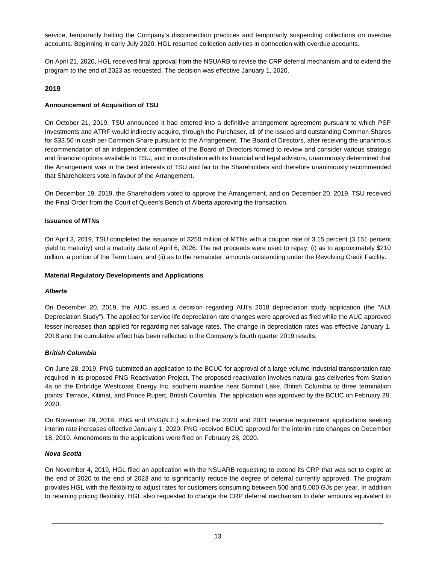service, temporarily halting the Company's disconnection practices and temporarily suspending collections on overdue accounts. Beginning in early July 2020, HGL resumed collection activities in connection with overdue accounts.

On April 21, 2020, HGL received final approval from the NSUARB to revise the CRP deferral mechanism and to extend the program to the end of 2023 as requested. The decision was effective January 1, 2020.

## **2019**

#### **Announcement of Acquisition of TSU**

On October 21, 2019, TSU announced it had entered into a definitive arrangement agreement pursuant to which PSP Investments and ATRF would indirectly acquire, through the Purchaser, all of the issued and outstanding Common Shares for \$33.50 in cash per Common Share pursuant to the Arrangement. The Board of Directors, after receiving the unanimous recommendation of an independent committee of the Board of Directors formed to review and consider various strategic and financial options available to TSU, and in consultation with its financial and legal advisors, unanimously determined that the Arrangement was in the best interests of TSU and fair to the Shareholders and therefore unanimously recommended that Shareholders vote in favour of the Arrangement.

On December 19, 2019, the Shareholders voted to approve the Arrangement, and on December 20, 2019, TSU received the Final Order from the Court of Queen's Bench of Alberta approving the transaction.

#### **Issuance of MTNs**

On April 3, 2019, TSU completed the issuance of \$250 million of MTNs with a coupon rate of 3.15 percent (3.151 percent yield to maturity) and a maturity date of April 6, 2026. The net proceeds were used to repay: (i) as to approximately \$210 million, a portion of the Term Loan; and (ii) as to the remainder, amounts outstanding under the Revolving Credit Facility.

#### **Material Regulatory Developments and Applications**

#### *Alberta*

On December 20, 2019, the AUC issued a decision regarding AUI's 2018 depreciation study application (the "AUI Depreciation Study"). The applied for service life depreciation rate changes were approved as filed while the AUC approved lesser increases than applied for regarding net salvage rates. The change in depreciation rates was effective January 1, 2018 and the cumulative effect has been reflected in the Company's fourth quarter 2019 results.

#### *British Columbia*

On June 28, 2019, PNG submitted an application to the BCUC for approval of a large volume industrial transportation rate required in its proposed PNG Reactivation Project. The proposed reactivation involves natural gas deliveries from Station 4a on the Enbridge Westcoast Energy Inc. southern mainline near Summit Lake, British Columbia to three termination points: Terrace, Kitimat, and Prince Rupert, British Columbia. The application was approved by the BCUC on February 28, 2020.

On November 29, 2019, PNG and PNG(N.E.) submitted the 2020 and 2021 revenue requirement applications seeking interim rate increases effective January 1, 2020. PNG received BCUC approval for the interim rate changes on December 18, 2019. Amendments to the applications were filed on February 28, 2020.

#### *Nova Scotia*

On November 4, 2019, HGL filed an application with the NSUARB requesting to extend its CRP that was set to expire at the end of 2020 to the end of 2023 and to significantly reduce the degree of deferral currently approved. The program provides HGL with the flexibility to adjust rates for customers consuming between 500 and 5,000 GJs per year. In addition to retaining pricing flexibility, HGL also requested to change the CRP deferral mechanism to defer amounts equivalent to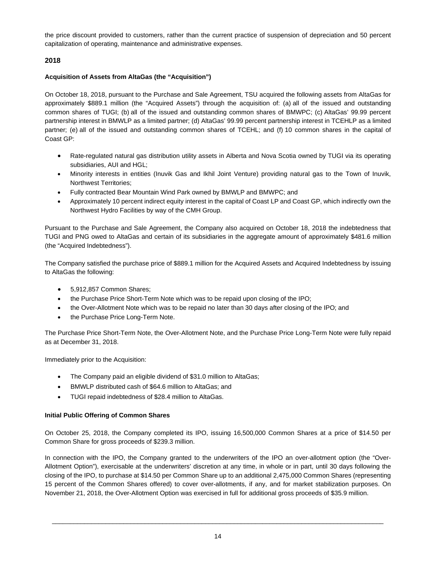the price discount provided to customers, rather than the current practice of suspension of depreciation and 50 percent capitalization of operating, maintenance and administrative expenses.

# **2018**

## **Acquisition of Assets from AltaGas (the "Acquisition")**

On October 18, 2018, pursuant to the Purchase and Sale Agreement, TSU acquired the following assets from AltaGas for approximately \$889.1 million (the "Acquired Assets") through the acquisition of: (a) all of the issued and outstanding common shares of TUGI; (b) all of the issued and outstanding common shares of BMWPC; (c) AltaGas' 99.99 percent partnership interest in BMWLP as a limited partner; (d) AltaGas' 99.99 percent partnership interest in TCEHLP as a limited partner; (e) all of the issued and outstanding common shares of TCEHL; and (f) 10 common shares in the capital of Coast GP:

- Rate-regulated natural gas distribution utility assets in Alberta and Nova Scotia owned by TUGI via its operating subsidiaries, AUI and HGL;
- · Minority interests in entities (Inuvik Gas and Ikhil Joint Venture) providing natural gas to the Town of Inuvik, Northwest Territories;
- · Fully contracted Bear Mountain Wind Park owned by BMWLP and BMWPC; and
- · Approximately 10 percent indirect equity interest in the capital of Coast LP and Coast GP, which indirectly own the Northwest Hydro Facilities by way of the CMH Group.

Pursuant to the Purchase and Sale Agreement, the Company also acquired on October 18, 2018 the indebtedness that TUGI and PNG owed to AltaGas and certain of its subsidiaries in the aggregate amount of approximately \$481.6 million (the "Acquired Indebtedness").

The Company satisfied the purchase price of \$889.1 million for the Acquired Assets and Acquired Indebtedness by issuing to AltaGas the following:

- · 5,912,857 Common Shares;
- · the Purchase Price Short-Term Note which was to be repaid upon closing of the IPO;
- · the Over-Allotment Note which was to be repaid no later than 30 days after closing of the IPO; and
- · the Purchase Price Long-Term Note.

The Purchase Price Short-Term Note, the Over-Allotment Note, and the Purchase Price Long-Term Note were fully repaid as at December 31, 2018.

Immediately prior to the Acquisition:

- The Company paid an eligible dividend of \$31.0 million to AltaGas;
- BMWLP distributed cash of \$64.6 million to AltaGas; and
- TUGI repaid indebtedness of \$28.4 million to AltaGas.

#### **Initial Public Offering of Common Shares**

On October 25, 2018, the Company completed its IPO, issuing 16,500,000 Common Shares at a price of \$14.50 per Common Share for gross proceeds of \$239.3 million.

In connection with the IPO, the Company granted to the underwriters of the IPO an over-allotment option (the "Over-Allotment Option"), exercisable at the underwriters' discretion at any time, in whole or in part, until 30 days following the closing of the IPO, to purchase at \$14.50 per Common Share up to an additional 2,475,000 Common Shares (representing 15 percent of the Common Shares offered) to cover over-allotments, if any, and for market stabilization purposes. On November 21, 2018, the Over-Allotment Option was exercised in full for additional gross proceeds of \$35.9 million.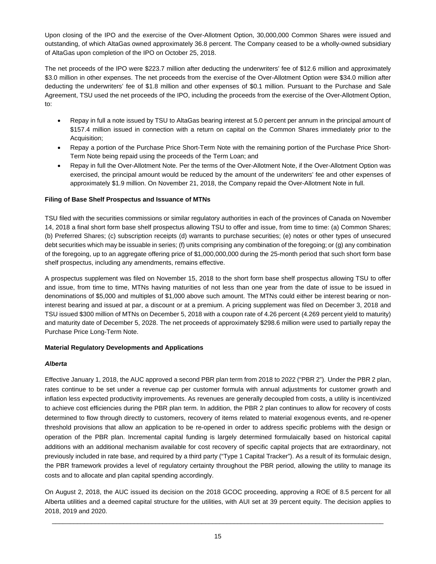Upon closing of the IPO and the exercise of the Over-Allotment Option, 30,000,000 Common Shares were issued and outstanding, of which AltaGas owned approximately 36.8 percent. The Company ceased to be a wholly-owned subsidiary of AltaGas upon completion of the IPO on October 25, 2018.

The net proceeds of the IPO were \$223.7 million after deducting the underwriters' fee of \$12.6 million and approximately \$3.0 million in other expenses. The net proceeds from the exercise of the Over-Allotment Option were \$34.0 million after deducting the underwriters' fee of \$1.8 million and other expenses of \$0.1 million. Pursuant to the Purchase and Sale Agreement, TSU used the net proceeds of the IPO, including the proceeds from the exercise of the Over-Allotment Option, to:

- · Repay in full a note issued by TSU to AltaGas bearing interest at 5.0 percent per annum in the principal amount of \$157.4 million issued in connection with a return on capital on the Common Shares immediately prior to the Acquisition;
- · Repay a portion of the Purchase Price Short-Term Note with the remaining portion of the Purchase Price Short-Term Note being repaid using the proceeds of the Term Loan; and
- · Repay in full the Over-Allotment Note. Per the terms of the Over-Allotment Note, if the Over-Allotment Option was exercised, the principal amount would be reduced by the amount of the underwriters' fee and other expenses of approximately \$1.9 million. On November 21, 2018, the Company repaid the Over-Allotment Note in full.

#### **Filing of Base Shelf Prospectus and Issuance of MTNs**

TSU filed with the securities commissions or similar regulatory authorities in each of the provinces of Canada on November 14, 2018 a final short form base shelf prospectus allowing TSU to offer and issue, from time to time: (a) Common Shares; (b) Preferred Shares; (c) subscription receipts (d) warrants to purchase securities; (e) notes or other types of unsecured debt securities which may be issuable in series; (f) units comprising any combination of the foregoing; or (g) any combination of the foregoing, up to an aggregate offering price of \$1,000,000,000 during the 25-month period that such short form base shelf prospectus, including any amendments, remains effective.

A prospectus supplement was filed on November 15, 2018 to the short form base shelf prospectus allowing TSU to offer and issue, from time to time, MTNs having maturities of not less than one year from the date of issue to be issued in denominations of \$5,000 and multiples of \$1,000 above such amount. The MTNs could either be interest bearing or noninterest bearing and issued at par, a discount or at a premium. A pricing supplement was filed on December 3, 2018 and TSU issued \$300 million of MTNs on December 5, 2018 with a coupon rate of 4.26 percent (4.269 percent yield to maturity) and maturity date of December 5, 2028. The net proceeds of approximately \$298.6 million were used to partially repay the Purchase Price Long-Term Note.

#### **Material Regulatory Developments and Applications**

#### *Alberta*

Effective January 1, 2018, the AUC approved a second PBR plan term from 2018 to 2022 ("PBR 2"). Under the PBR 2 plan, rates continue to be set under a revenue cap per customer formula with annual adjustments for customer growth and inflation less expected productivity improvements. As revenues are generally decoupled from costs, a utility is incentivized to achieve cost efficiencies during the PBR plan term. In addition, the PBR 2 plan continues to allow for recovery of costs determined to flow through directly to customers, recovery of items related to material exogenous events, and re-opener threshold provisions that allow an application to be re-opened in order to address specific problems with the design or operation of the PBR plan. Incremental capital funding is largely determined formulaically based on historical capital additions with an additional mechanism available for cost recovery of specific capital projects that are extraordinary, not previously included in rate base, and required by a third party ("Type 1 Capital Tracker"). As a result of its formulaic design, the PBR framework provides a level of regulatory certainty throughout the PBR period, allowing the utility to manage its costs and to allocate and plan capital spending accordingly.

On August 2, 2018, the AUC issued its decision on the 2018 GCOC proceeding, approving a ROE of 8.5 percent for all Alberta utilities and a deemed capital structure for the utilities, with AUI set at 39 percent equity. The decision applies to 2018, 2019 and 2020.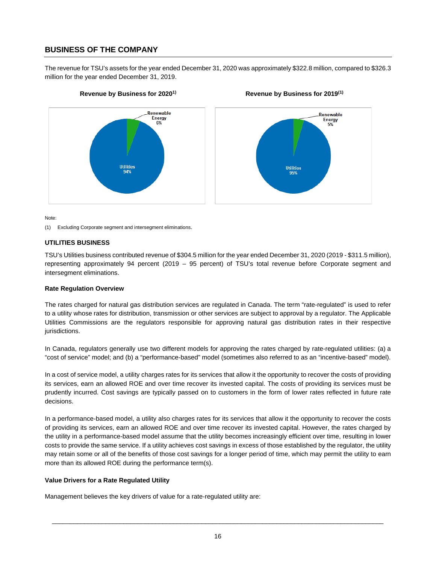# **BUSINESS OF THE COMPANY**

The revenue for TSU's assets for the year ended December 31, 2020 was approximately \$322.8 million, compared to \$326.3 million for the year ended December 31, 2019.



# Renewable Energy **Utilities**

Note:

(1) Excluding Corporate segment and intersegment eliminations.

#### **UTILITIES BUSINESS**

TSU's Utilities business contributed revenue of \$304.5 million for the year ended December 31, 2020 (2019 - \$311.5 million), representing approximately 94 percent (2019 – 95 percent) of TSU's total revenue before Corporate segment and intersegment eliminations.

#### **Rate Regulation Overview**

The rates charged for natural gas distribution services are regulated in Canada. The term "rate-regulated" is used to refer to a utility whose rates for distribution, transmission or other services are subject to approval by a regulator. The Applicable Utilities Commissions are the regulators responsible for approving natural gas distribution rates in their respective jurisdictions.

In Canada, regulators generally use two different models for approving the rates charged by rate-regulated utilities: (a) a "cost of service" model; and (b) a "performance-based" model (sometimes also referred to as an "incentive-based" model).

In a cost of service model, a utility charges rates for its services that allow it the opportunity to recover the costs of providing its services, earn an allowed ROE and over time recover its invested capital. The costs of providing its services must be prudently incurred. Cost savings are typically passed on to customers in the form of lower rates reflected in future rate decisions.

In a performance-based model, a utility also charges rates for its services that allow it the opportunity to recover the costs of providing its services, earn an allowed ROE and over time recover its invested capital. However, the rates charged by the utility in a performance-based model assume that the utility becomes increasingly efficient over time, resulting in lower costs to provide the same service. If a utility achieves cost savings in excess of those established by the regulator, the utility may retain some or all of the benefits of those cost savings for a longer period of time, which may permit the utility to earn more than its allowed ROE during the performance term(s).

#### **Value Drivers for a Rate Regulated Utility**

Management believes the key drivers of value for a rate-regulated utility are:

 $\Box$ 

# **Revenue by Business for 20201) Revenue by Business for 2019(1)**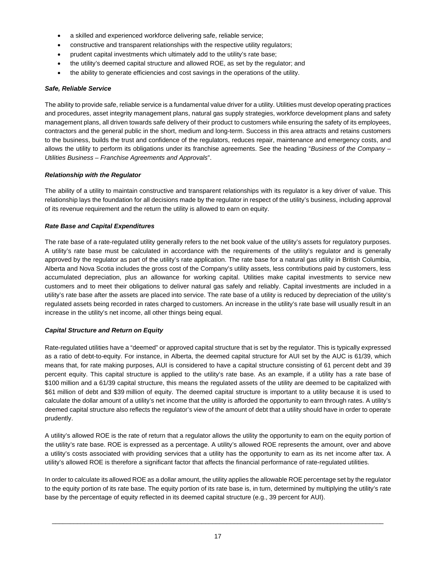- · a skilled and experienced workforce delivering safe, reliable service;
- · constructive and transparent relationships with the respective utility regulators;
- prudent capital investments which ultimately add to the utility's rate base;
- the utility's deemed capital structure and allowed ROE, as set by the regulator; and
- · the ability to generate efficiencies and cost savings in the operations of the utility.

#### *Safe, Reliable Service*

The ability to provide safe, reliable service is a fundamental value driver for a utility. Utilities must develop operating practices and procedures, asset integrity management plans, natural gas supply strategies, workforce development plans and safety management plans, all driven towards safe delivery of their product to customers while ensuring the safety of its employees, contractors and the general public in the short, medium and long-term. Success in this area attracts and retains customers to the business, builds the trust and confidence of the regulators, reduces repair, maintenance and emergency costs, and allows the utility to perform its obligations under its franchise agreements. See the heading "*Business of the Company – Utilities Business – Franchise Agreements and Approvals*".

#### *Relationship with the Regulator*

The ability of a utility to maintain constructive and transparent relationships with its regulator is a key driver of value. This relationship lays the foundation for all decisions made by the regulator in respect of the utility's business, including approval of its revenue requirement and the return the utility is allowed to earn on equity.

#### *Rate Base and Capital Expenditures*

The rate base of a rate-regulated utility generally refers to the net book value of the utility's assets for regulatory purposes. A utility's rate base must be calculated in accordance with the requirements of the utility's regulator and is generally approved by the regulator as part of the utility's rate application. The rate base for a natural gas utility in British Columbia, Alberta and Nova Scotia includes the gross cost of the Company's utility assets, less contributions paid by customers, less accumulated depreciation, plus an allowance for working capital. Utilities make capital investments to service new customers and to meet their obligations to deliver natural gas safely and reliably. Capital investments are included in a utility's rate base after the assets are placed into service. The rate base of a utility is reduced by depreciation of the utility's regulated assets being recorded in rates charged to customers. An increase in the utility's rate base will usually result in an increase in the utility's net income, all other things being equal.

#### *Capital Structure and Return on Equity*

Rate-regulated utilities have a "deemed" or approved capital structure that is set by the regulator. This is typically expressed as a ratio of debt-to-equity. For instance, in Alberta, the deemed capital structure for AUI set by the AUC is 61/39, which means that, for rate making purposes, AUI is considered to have a capital structure consisting of 61 percent debt and 39 percent equity. This capital structure is applied to the utility's rate base. As an example, if a utility has a rate base of \$100 million and a 61/39 capital structure, this means the regulated assets of the utility are deemed to be capitalized with \$61 million of debt and \$39 million of equity. The deemed capital structure is important to a utility because it is used to calculate the dollar amount of a utility's net income that the utility is afforded the opportunity to earn through rates. A utility's deemed capital structure also reflects the regulator's view of the amount of debt that a utility should have in order to operate prudently.

A utility's allowed ROE is the rate of return that a regulator allows the utility the opportunity to earn on the equity portion of the utility's rate base. ROE is expressed as a percentage. A utility's allowed ROE represents the amount, over and above a utility's costs associated with providing services that a utility has the opportunity to earn as its net income after tax. A utility's allowed ROE is therefore a significant factor that affects the financial performance of rate-regulated utilities.

In order to calculate its allowed ROE as a dollar amount, the utility applies the allowable ROE percentage set by the regulator to the equity portion of its rate base. The equity portion of its rate base is, in turn, determined by multiplying the utility's rate base by the percentage of equity reflected in its deemed capital structure (e.g., 39 percent for AUI).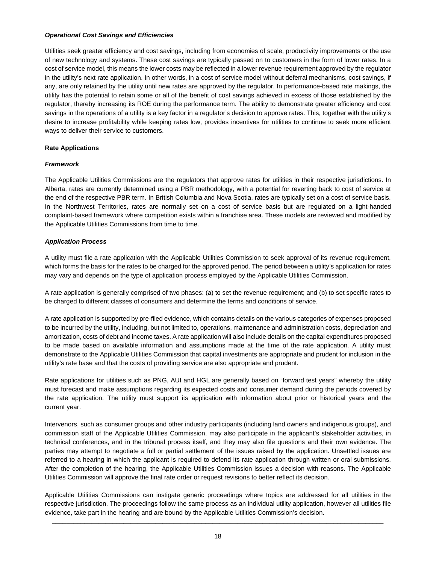#### *Operational Cost Savings and Efficiencies*

Utilities seek greater efficiency and cost savings, including from economies of scale, productivity improvements or the use of new technology and systems. These cost savings are typically passed on to customers in the form of lower rates. In a cost of service model, this means the lower costs may be reflected in a lower revenue requirement approved by the regulator in the utility's next rate application. In other words, in a cost of service model without deferral mechanisms, cost savings, if any, are only retained by the utility until new rates are approved by the regulator. In performance-based rate makings, the utility has the potential to retain some or all of the benefit of cost savings achieved in excess of those established by the regulator, thereby increasing its ROE during the performance term. The ability to demonstrate greater efficiency and cost savings in the operations of a utility is a key factor in a regulator's decision to approve rates. This, together with the utility's desire to increase profitability while keeping rates low, provides incentives for utilities to continue to seek more efficient ways to deliver their service to customers.

#### **Rate Applications**

#### *Framework*

The Applicable Utilities Commissions are the regulators that approve rates for utilities in their respective jurisdictions. In Alberta, rates are currently determined using a PBR methodology, with a potential for reverting back to cost of service at the end of the respective PBR term. In British Columbia and Nova Scotia, rates are typically set on a cost of service basis. In the Northwest Territories, rates are normally set on a cost of service basis but are regulated on a light-handed complaint-based framework where competition exists within a franchise area. These models are reviewed and modified by the Applicable Utilities Commissions from time to time.

#### *Application Process*

A utility must file a rate application with the Applicable Utilities Commission to seek approval of its revenue requirement, which forms the basis for the rates to be charged for the approved period. The period between a utility's application for rates may vary and depends on the type of application process employed by the Applicable Utilities Commission.

A rate application is generally comprised of two phases: (a) to set the revenue requirement; and (b) to set specific rates to be charged to different classes of consumers and determine the terms and conditions of service.

A rate application is supported by pre-filed evidence, which contains details on the various categories of expenses proposed to be incurred by the utility, including, but not limited to, operations, maintenance and administration costs, depreciation and amortization, costs of debt and income taxes. A rate application will also include details on the capital expenditures proposed to be made based on available information and assumptions made at the time of the rate application. A utility must demonstrate to the Applicable Utilities Commission that capital investments are appropriate and prudent for inclusion in the utility's rate base and that the costs of providing service are also appropriate and prudent.

Rate applications for utilities such as PNG, AUI and HGL are generally based on "forward test years" whereby the utility must forecast and make assumptions regarding its expected costs and consumer demand during the periods covered by the rate application. The utility must support its application with information about prior or historical years and the current year.

Intervenors, such as consumer groups and other industry participants (including land owners and indigenous groups), and commission staff of the Applicable Utilities Commission, may also participate in the applicant's stakeholder activities, in technical conferences, and in the tribunal process itself, and they may also file questions and their own evidence. The parties may attempt to negotiate a full or partial settlement of the issues raised by the application. Unsettled issues are referred to a hearing in which the applicant is required to defend its rate application through written or oral submissions. After the completion of the hearing, the Applicable Utilities Commission issues a decision with reasons. The Applicable Utilities Commission will approve the final rate order or request revisions to better reflect its decision.

Applicable Utilities Commissions can instigate generic proceedings where topics are addressed for all utilities in the respective jurisdiction. The proceedings follow the same process as an individual utility application, however all utilities file evidence, take part in the hearing and are bound by the Applicable Utilities Commission's decision.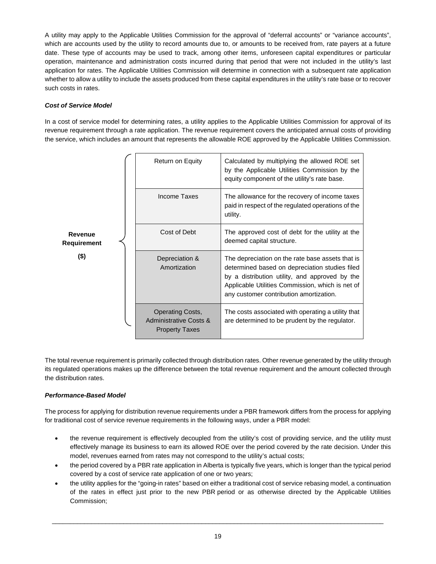A utility may apply to the Applicable Utilities Commission for the approval of "deferral accounts" or "variance accounts", which are accounts used by the utility to record amounts due to, or amounts to be received from, rate payers at a future date. These type of accounts may be used to track, among other items, unforeseen capital expenditures or particular operation, maintenance and administration costs incurred during that period that were not included in the utility's last application for rates. The Applicable Utilities Commission will determine in connection with a subsequent rate application whether to allow a utility to include the assets produced from these capital expenditures in the utility's rate base or to recover such costs in rates.

# *Cost of Service Model*

In a cost of service model for determining rates, a utility applies to the Applicable Utilities Commission for approval of its revenue requirement through a rate application. The revenue requirement covers the anticipated annual costs of providing the service, which includes an amount that represents the allowable ROE approved by the Applicable Utilities Commission.

|                        | Return on Equity                                                           | Calculated by multiplying the allowed ROE set<br>by the Applicable Utilities Commission by the<br>equity component of the utility's rate base.                                                                                                      |
|------------------------|----------------------------------------------------------------------------|-----------------------------------------------------------------------------------------------------------------------------------------------------------------------------------------------------------------------------------------------------|
|                        | Income Taxes                                                               | The allowance for the recovery of income taxes<br>paid in respect of the regulated operations of the<br>utility.                                                                                                                                    |
| Revenue<br>Requirement | Cost of Debt                                                               | The approved cost of debt for the utility at the<br>deemed capital structure.                                                                                                                                                                       |
| $($ \$)                | Depreciation &<br>Amortization                                             | The depreciation on the rate base assets that is<br>determined based on depreciation studies filed<br>by a distribution utility, and approved by the<br>Applicable Utilities Commission, which is net of<br>any customer contribution amortization. |
|                        | <b>Operating Costs,</b><br>Administrative Costs &<br><b>Property Taxes</b> | The costs associated with operating a utility that<br>are determined to be prudent by the regulator.                                                                                                                                                |

The total revenue requirement is primarily collected through distribution rates. Other revenue generated by the utility through its regulated operations makes up the difference between the total revenue requirement and the amount collected through the distribution rates.

# *Performance-Based Model*

The process for applying for distribution revenue requirements under a PBR framework differs from the process for applying for traditional cost of service revenue requirements in the following ways, under a PBR model:

- · the revenue requirement is effectively decoupled from the utility's cost of providing service, and the utility must effectively manage its business to earn its allowed ROE over the period covered by the rate decision. Under this model, revenues earned from rates may not correspond to the utility's actual costs;
- the period covered by a PBR rate application in Alberta is typically five years, which is longer than the typical period covered by a cost of service rate application of one or two years;
- · the utility applies for the "going-in rates" based on either a traditional cost of service rebasing model, a continuation of the rates in effect just prior to the new PBR period or as otherwise directed by the Applicable Utilities Commission;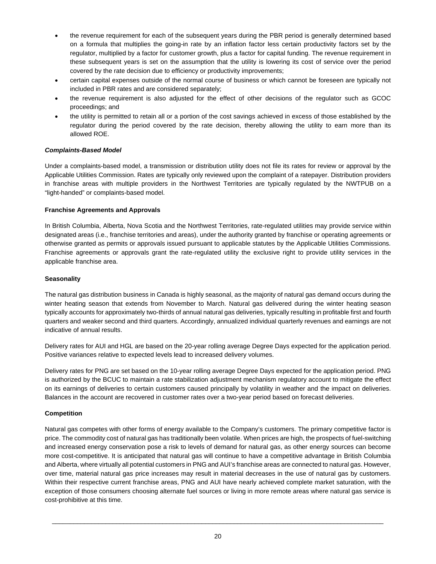- the revenue requirement for each of the subsequent years during the PBR period is generally determined based on a formula that multiplies the going-in rate by an inflation factor less certain productivity factors set by the regulator, multiplied by a factor for customer growth, plus a factor for capital funding. The revenue requirement in these subsequent years is set on the assumption that the utility is lowering its cost of service over the period covered by the rate decision due to efficiency or productivity improvements;
- · certain capital expenses outside of the normal course of business or which cannot be foreseen are typically not included in PBR rates and are considered separately;
- the revenue requirement is also adjusted for the effect of other decisions of the regulator such as GCOC proceedings; and
- · the utility is permitted to retain all or a portion of the cost savings achieved in excess of those established by the regulator during the period covered by the rate decision, thereby allowing the utility to earn more than its allowed ROE.

#### *Complaints-Based Model*

Under a complaints-based model, a transmission or distribution utility does not file its rates for review or approval by the Applicable Utilities Commission. Rates are typically only reviewed upon the complaint of a ratepayer. Distribution providers in franchise areas with multiple providers in the Northwest Territories are typically regulated by the NWTPUB on a "light-handed" or complaints-based model.

#### **Franchise Agreements and Approvals**

In British Columbia, Alberta, Nova Scotia and the Northwest Territories, rate-regulated utilities may provide service within designated areas (i.e., franchise territories and areas), under the authority granted by franchise or operating agreements or otherwise granted as permits or approvals issued pursuant to applicable statutes by the Applicable Utilities Commissions. Franchise agreements or approvals grant the rate-regulated utility the exclusive right to provide utility services in the applicable franchise area.

#### **Seasonality**

The natural gas distribution business in Canada is highly seasonal, as the majority of natural gas demand occurs during the winter heating season that extends from November to March. Natural gas delivered during the winter heating season typically accounts for approximately two-thirds of annual natural gas deliveries, typically resulting in profitable first and fourth quarters and weaker second and third quarters. Accordingly, annualized individual quarterly revenues and earnings are not indicative of annual results.

Delivery rates for AUI and HGL are based on the 20-year rolling average Degree Days expected for the application period. Positive variances relative to expected levels lead to increased delivery volumes.

Delivery rates for PNG are set based on the 10-year rolling average Degree Days expected for the application period. PNG is authorized by the BCUC to maintain a rate stabilization adjustment mechanism regulatory account to mitigate the effect on its earnings of deliveries to certain customers caused principally by volatility in weather and the impact on deliveries. Balances in the account are recovered in customer rates over a two-year period based on forecast deliveries.

#### **Competition**

Natural gas competes with other forms of energy available to the Company's customers. The primary competitive factor is price. The commodity cost of natural gas has traditionally been volatile. When prices are high, the prospects of fuel-switching and increased energy conservation pose a risk to levels of demand for natural gas, as other energy sources can become more cost-competitive. It is anticipated that natural gas will continue to have a competitive advantage in British Columbia and Alberta, where virtually all potential customers in PNG and AUI's franchise areas are connected to natural gas. However, over time, material natural gas price increases may result in material decreases in the use of natural gas by customers. Within their respective current franchise areas, PNG and AUI have nearly achieved complete market saturation, with the exception of those consumers choosing alternate fuel sources or living in more remote areas where natural gas service is cost-prohibitive at this time.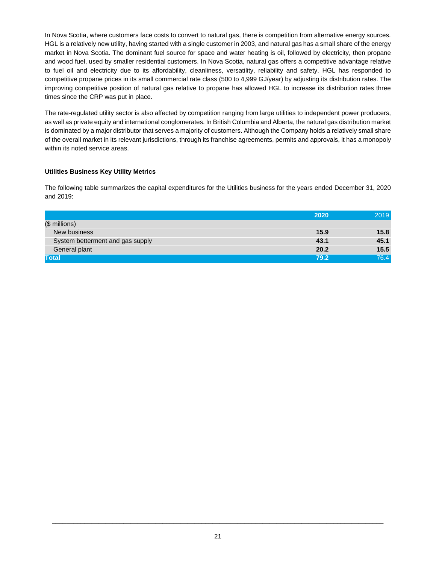In Nova Scotia, where customers face costs to convert to natural gas, there is competition from alternative energy sources. HGL is a relatively new utility, having started with a single customer in 2003, and natural gas has a small share of the energy market in Nova Scotia. The dominant fuel source for space and water heating is oil, followed by electricity, then propane and wood fuel, used by smaller residential customers. In Nova Scotia, natural gas offers a competitive advantage relative to fuel oil and electricity due to its affordability, cleanliness, versatility, reliability and safety. HGL has responded to competitive propane prices in its small commercial rate class (500 to 4,999 GJ/year) by adjusting its distribution rates. The improving competitive position of natural gas relative to propane has allowed HGL to increase its distribution rates three times since the CRP was put in place.

The rate-regulated utility sector is also affected by competition ranging from large utilities to independent power producers, as well as private equity and international conglomerates. In British Columbia and Alberta, the natural gas distribution market is dominated by a major distributor that serves a majority of customers. Although the Company holds a relatively small share of the overall market in its relevant jurisdictions, through its franchise agreements, permits and approvals, it has a monopoly within its noted service areas.

## **Utilities Business Key Utility Metrics**

The following table summarizes the capital expenditures for the Utilities business for the years ended December 31, 2020 and 2019:

|                                  | 2020 | 2019 |
|----------------------------------|------|------|
| (\$ millions)                    |      |      |
| New business                     | 15.9 | 15.8 |
| System betterment and gas supply | 43.1 | 45.1 |
| General plant                    | 20.2 | 15.5 |
| <b>Total</b>                     | 79.2 | 76.4 |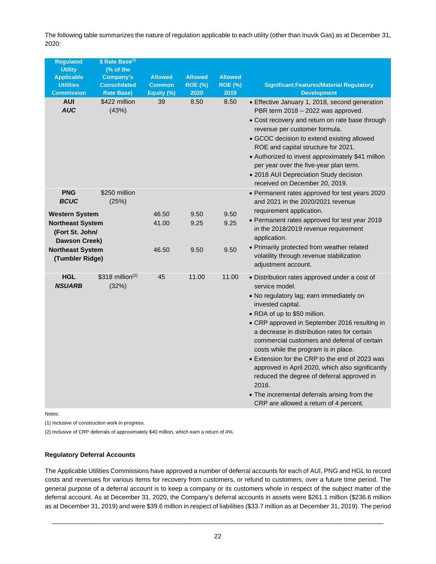The following table summarizes the nature of regulation applicable to each utility (other than Inuvik Gas) as at December 31, 2020:

| <b>Utility</b><br>(% of the<br><b>Allowed</b><br><b>Allowed</b><br><b>Allowed</b><br><b>Applicable</b><br>Company's<br><b>Utilities</b><br><b>Consolidated</b><br><b>Common</b><br><b>ROE (%)</b><br><b>ROE (%)</b><br><b>Significant Features/Material Regulatory</b><br><b>Commission</b><br>2020<br>2019<br><b>Rate Base)</b><br>Equity (%)<br><b>Development</b><br><b>AUI</b><br>\$422 million<br>8.50<br>8.50<br>39<br>• Effective January 1, 2018, second generation<br><b>AUC</b><br>(43%)<br>PBR term 2018 - 2022 was approved.<br>• Cost recovery and return on rate base through<br>revenue per customer formula.<br>• GCOC decision to extend existing allowed<br>ROE and capital structure for 2021.<br>• Authorized to invest approximately \$41 million<br>per year over the five-year plan term.<br>• 2018 AUI Depreciation Study decision<br>received on December 20, 2019.<br>\$250 million<br><b>PNG</b><br>• Permanent rates approved for test years 2020<br><b>BCUC</b><br>(25%)<br>and 2021 in the 2020/2021 revenue<br>requirement application.<br>46.50<br>9.50<br><b>Western System</b><br>9.50<br>• Permanent rates approved for test year 2019<br>41.00<br>9.25<br>9.25<br><b>Northeast System</b><br>in the 2018/2019 revenue requirement<br>(Fort St. John/<br>application.<br><b>Dawson Creek)</b><br>• Primarily protected from weather related<br><b>Northeast System</b><br>46.50<br>9.50<br>9.50<br>volatility through revenue stabilization<br>(Tumbler Ridge)<br>adjustment account.<br>$$318$ million <sup>(2)</sup><br><b>HGL</b><br>45<br>11.00<br>11.00<br>• Distribution rates approved under a cost of<br><b>NSUARB</b><br>(32%)<br>service model.<br>· No regulatory lag; earn immediately on<br>invested capital.<br>• RDA of up to \$50 million.<br>• CRP approved in September 2016 resulting in<br>a decrease in distribution rates for certain<br>commercial customers and deferral of certain<br>costs while the program is in place.<br>• Extension for the CRP to the end of 2023 was | <b>Regulated</b> | \$ Rate Base <sup>(1)</sup> |  |  |
|------------------------------------------------------------------------------------------------------------------------------------------------------------------------------------------------------------------------------------------------------------------------------------------------------------------------------------------------------------------------------------------------------------------------------------------------------------------------------------------------------------------------------------------------------------------------------------------------------------------------------------------------------------------------------------------------------------------------------------------------------------------------------------------------------------------------------------------------------------------------------------------------------------------------------------------------------------------------------------------------------------------------------------------------------------------------------------------------------------------------------------------------------------------------------------------------------------------------------------------------------------------------------------------------------------------------------------------------------------------------------------------------------------------------------------------------------------------------------------------------------------------------------------------------------------------------------------------------------------------------------------------------------------------------------------------------------------------------------------------------------------------------------------------------------------------------------------------------------------------------------------------------------------------------------------------------------------------------------------------------------------------------------------------|------------------|-----------------------------|--|--|
|                                                                                                                                                                                                                                                                                                                                                                                                                                                                                                                                                                                                                                                                                                                                                                                                                                                                                                                                                                                                                                                                                                                                                                                                                                                                                                                                                                                                                                                                                                                                                                                                                                                                                                                                                                                                                                                                                                                                                                                                                                          |                  |                             |  |  |
|                                                                                                                                                                                                                                                                                                                                                                                                                                                                                                                                                                                                                                                                                                                                                                                                                                                                                                                                                                                                                                                                                                                                                                                                                                                                                                                                                                                                                                                                                                                                                                                                                                                                                                                                                                                                                                                                                                                                                                                                                                          |                  |                             |  |  |
|                                                                                                                                                                                                                                                                                                                                                                                                                                                                                                                                                                                                                                                                                                                                                                                                                                                                                                                                                                                                                                                                                                                                                                                                                                                                                                                                                                                                                                                                                                                                                                                                                                                                                                                                                                                                                                                                                                                                                                                                                                          |                  |                             |  |  |
|                                                                                                                                                                                                                                                                                                                                                                                                                                                                                                                                                                                                                                                                                                                                                                                                                                                                                                                                                                                                                                                                                                                                                                                                                                                                                                                                                                                                                                                                                                                                                                                                                                                                                                                                                                                                                                                                                                                                                                                                                                          |                  |                             |  |  |
|                                                                                                                                                                                                                                                                                                                                                                                                                                                                                                                                                                                                                                                                                                                                                                                                                                                                                                                                                                                                                                                                                                                                                                                                                                                                                                                                                                                                                                                                                                                                                                                                                                                                                                                                                                                                                                                                                                                                                                                                                                          |                  |                             |  |  |
|                                                                                                                                                                                                                                                                                                                                                                                                                                                                                                                                                                                                                                                                                                                                                                                                                                                                                                                                                                                                                                                                                                                                                                                                                                                                                                                                                                                                                                                                                                                                                                                                                                                                                                                                                                                                                                                                                                                                                                                                                                          |                  |                             |  |  |
|                                                                                                                                                                                                                                                                                                                                                                                                                                                                                                                                                                                                                                                                                                                                                                                                                                                                                                                                                                                                                                                                                                                                                                                                                                                                                                                                                                                                                                                                                                                                                                                                                                                                                                                                                                                                                                                                                                                                                                                                                                          |                  |                             |  |  |
|                                                                                                                                                                                                                                                                                                                                                                                                                                                                                                                                                                                                                                                                                                                                                                                                                                                                                                                                                                                                                                                                                                                                                                                                                                                                                                                                                                                                                                                                                                                                                                                                                                                                                                                                                                                                                                                                                                                                                                                                                                          |                  |                             |  |  |
|                                                                                                                                                                                                                                                                                                                                                                                                                                                                                                                                                                                                                                                                                                                                                                                                                                                                                                                                                                                                                                                                                                                                                                                                                                                                                                                                                                                                                                                                                                                                                                                                                                                                                                                                                                                                                                                                                                                                                                                                                                          |                  |                             |  |  |
|                                                                                                                                                                                                                                                                                                                                                                                                                                                                                                                                                                                                                                                                                                                                                                                                                                                                                                                                                                                                                                                                                                                                                                                                                                                                                                                                                                                                                                                                                                                                                                                                                                                                                                                                                                                                                                                                                                                                                                                                                                          |                  |                             |  |  |
|                                                                                                                                                                                                                                                                                                                                                                                                                                                                                                                                                                                                                                                                                                                                                                                                                                                                                                                                                                                                                                                                                                                                                                                                                                                                                                                                                                                                                                                                                                                                                                                                                                                                                                                                                                                                                                                                                                                                                                                                                                          |                  |                             |  |  |
|                                                                                                                                                                                                                                                                                                                                                                                                                                                                                                                                                                                                                                                                                                                                                                                                                                                                                                                                                                                                                                                                                                                                                                                                                                                                                                                                                                                                                                                                                                                                                                                                                                                                                                                                                                                                                                                                                                                                                                                                                                          |                  |                             |  |  |
|                                                                                                                                                                                                                                                                                                                                                                                                                                                                                                                                                                                                                                                                                                                                                                                                                                                                                                                                                                                                                                                                                                                                                                                                                                                                                                                                                                                                                                                                                                                                                                                                                                                                                                                                                                                                                                                                                                                                                                                                                                          |                  |                             |  |  |
|                                                                                                                                                                                                                                                                                                                                                                                                                                                                                                                                                                                                                                                                                                                                                                                                                                                                                                                                                                                                                                                                                                                                                                                                                                                                                                                                                                                                                                                                                                                                                                                                                                                                                                                                                                                                                                                                                                                                                                                                                                          |                  |                             |  |  |
|                                                                                                                                                                                                                                                                                                                                                                                                                                                                                                                                                                                                                                                                                                                                                                                                                                                                                                                                                                                                                                                                                                                                                                                                                                                                                                                                                                                                                                                                                                                                                                                                                                                                                                                                                                                                                                                                                                                                                                                                                                          |                  |                             |  |  |
|                                                                                                                                                                                                                                                                                                                                                                                                                                                                                                                                                                                                                                                                                                                                                                                                                                                                                                                                                                                                                                                                                                                                                                                                                                                                                                                                                                                                                                                                                                                                                                                                                                                                                                                                                                                                                                                                                                                                                                                                                                          |                  |                             |  |  |
|                                                                                                                                                                                                                                                                                                                                                                                                                                                                                                                                                                                                                                                                                                                                                                                                                                                                                                                                                                                                                                                                                                                                                                                                                                                                                                                                                                                                                                                                                                                                                                                                                                                                                                                                                                                                                                                                                                                                                                                                                                          |                  |                             |  |  |
|                                                                                                                                                                                                                                                                                                                                                                                                                                                                                                                                                                                                                                                                                                                                                                                                                                                                                                                                                                                                                                                                                                                                                                                                                                                                                                                                                                                                                                                                                                                                                                                                                                                                                                                                                                                                                                                                                                                                                                                                                                          |                  |                             |  |  |
|                                                                                                                                                                                                                                                                                                                                                                                                                                                                                                                                                                                                                                                                                                                                                                                                                                                                                                                                                                                                                                                                                                                                                                                                                                                                                                                                                                                                                                                                                                                                                                                                                                                                                                                                                                                                                                                                                                                                                                                                                                          |                  |                             |  |  |
|                                                                                                                                                                                                                                                                                                                                                                                                                                                                                                                                                                                                                                                                                                                                                                                                                                                                                                                                                                                                                                                                                                                                                                                                                                                                                                                                                                                                                                                                                                                                                                                                                                                                                                                                                                                                                                                                                                                                                                                                                                          |                  |                             |  |  |
|                                                                                                                                                                                                                                                                                                                                                                                                                                                                                                                                                                                                                                                                                                                                                                                                                                                                                                                                                                                                                                                                                                                                                                                                                                                                                                                                                                                                                                                                                                                                                                                                                                                                                                                                                                                                                                                                                                                                                                                                                                          |                  |                             |  |  |
| approved in April 2020, which also significantly<br>reduced the degree of deferral approved in<br>2016.                                                                                                                                                                                                                                                                                                                                                                                                                                                                                                                                                                                                                                                                                                                                                                                                                                                                                                                                                                                                                                                                                                                                                                                                                                                                                                                                                                                                                                                                                                                                                                                                                                                                                                                                                                                                                                                                                                                                  |                  |                             |  |  |
| • The incremental deferrals arising from the<br>CRP are allowed a return of 4 percent.                                                                                                                                                                                                                                                                                                                                                                                                                                                                                                                                                                                                                                                                                                                                                                                                                                                                                                                                                                                                                                                                                                                                                                                                                                                                                                                                                                                                                                                                                                                                                                                                                                                                                                                                                                                                                                                                                                                                                   |                  |                             |  |  |

Notes:

(1) Inclusive of construction work in progress.

(2) Inclusive of CRP deferrals of approximately \$40 million, which earn a return of 4%.

#### **Regulatory Deferral Accounts**

The Applicable Utilities Commissions have approved a number of deferral accounts for each of AUI, PNG and HGL to record costs and revenues for various items for recovery from customers, or refund to customers, over a future time period. The general purpose of a deferral account is to keep a company or its customers whole in respect of the subject matter of the deferral account. As at December 31, 2020, the Company's deferral accounts in assets were \$261.1 million (\$236.6 million as at December 31, 2019) and were \$39.6 million in respect of liabilities (\$33.7 million as at December 31, 2019). The period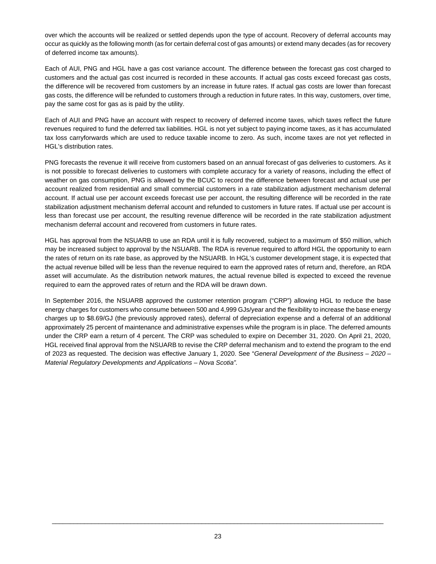over which the accounts will be realized or settled depends upon the type of account. Recovery of deferral accounts may occur as quickly as the following month (as for certain deferral cost of gas amounts) or extend many decades (as for recovery of deferred income tax amounts).

Each of AUI, PNG and HGL have a gas cost variance account. The difference between the forecast gas cost charged to customers and the actual gas cost incurred is recorded in these accounts. If actual gas costs exceed forecast gas costs, the difference will be recovered from customers by an increase in future rates. If actual gas costs are lower than forecast gas costs, the difference will be refunded to customers through a reduction in future rates. In this way, customers, over time, pay the same cost for gas as is paid by the utility.

Each of AUI and PNG have an account with respect to recovery of deferred income taxes, which taxes reflect the future revenues required to fund the deferred tax liabilities. HGL is not yet subject to paying income taxes, as it has accumulated tax loss carryforwards which are used to reduce taxable income to zero. As such, income taxes are not yet reflected in HGL's distribution rates.

PNG forecasts the revenue it will receive from customers based on an annual forecast of gas deliveries to customers. As it is not possible to forecast deliveries to customers with complete accuracy for a variety of reasons, including the effect of weather on gas consumption, PNG is allowed by the BCUC to record the difference between forecast and actual use per account realized from residential and small commercial customers in a rate stabilization adjustment mechanism deferral account. If actual use per account exceeds forecast use per account, the resulting difference will be recorded in the rate stabilization adjustment mechanism deferral account and refunded to customers in future rates. If actual use per account is less than forecast use per account, the resulting revenue difference will be recorded in the rate stabilization adjustment mechanism deferral account and recovered from customers in future rates.

HGL has approval from the NSUARB to use an RDA until it is fully recovered, subject to a maximum of \$50 million, which may be increased subject to approval by the NSUARB. The RDA is revenue required to afford HGL the opportunity to earn the rates of return on its rate base, as approved by the NSUARB. In HGL's customer development stage, it is expected that the actual revenue billed will be less than the revenue required to earn the approved rates of return and, therefore, an RDA asset will accumulate. As the distribution network matures, the actual revenue billed is expected to exceed the revenue required to earn the approved rates of return and the RDA will be drawn down.

In September 2016, the NSUARB approved the customer retention program ("CRP") allowing HGL to reduce the base energy charges for customers who consume between 500 and 4,999 GJs/year and the flexibility to increase the base energy charges up to \$8.69/GJ (the previously approved rates), deferral of depreciation expense and a deferral of an additional approximately 25 percent of maintenance and administrative expenses while the program is in place. The deferred amounts under the CRP earn a return of 4 percent. The CRP was scheduled to expire on December 31, 2020. On April 21, 2020, HGL received final approval from the NSUARB to revise the CRP deferral mechanism and to extend the program to the end of 2023 as requested. The decision was effective January 1, 2020. See "*General Development of the Business – 2020 – Material Regulatory Developments and Applications – Nova Scotia".*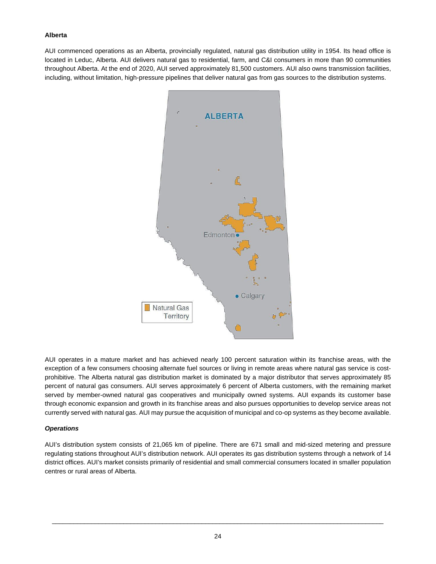#### **Alberta**

AUI commenced operations as an Alberta, provincially regulated, natural gas distribution utility in 1954. Its head office is located in Leduc, Alberta. AUI delivers natural gas to residential, farm, and C&I consumers in more than 90 communities throughout Alberta. At the end of 2020, AUI served approximately 81,500 customers. AUI also owns transmission facilities, including, without limitation, high-pressure pipelines that deliver natural gas from gas sources to the distribution systems.



AUI operates in a mature market and has achieved nearly 100 percent saturation within its franchise areas, with the exception of a few consumers choosing alternate fuel sources or living in remote areas where natural gas service is costprohibitive. The Alberta natural gas distribution market is dominated by a major distributor that serves approximately 85 percent of natural gas consumers. AUI serves approximately 6 percent of Alberta customers, with the remaining market served by member-owned natural gas cooperatives and municipally owned systems. AUI expands its customer base through economic expansion and growth in its franchise areas and also pursues opportunities to develop service areas not currently served with natural gas. AUI may pursue the acquisition of municipal and co-op systems as they become available.

#### *Operations*

AUI's distribution system consists of 21,065 km of pipeline. There are 671 small and mid-sized metering and pressure regulating stations throughout AUI's distribution network. AUI operates its gas distribution systems through a network of 14 district offices. AUI's market consists primarily of residential and small commercial consumers located in smaller population centres or rural areas of Alberta.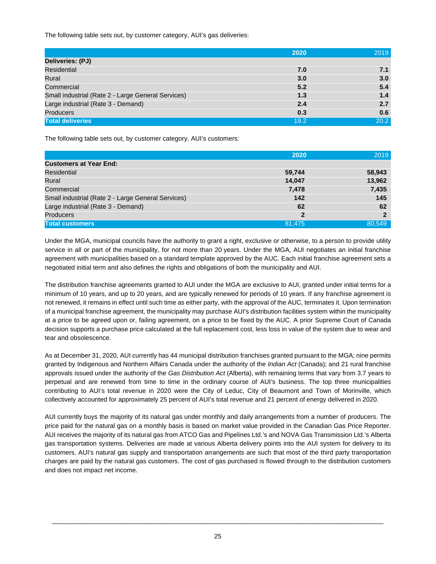The following table sets out, by customer category, AUI's gas deliveries:

|                                                    | 2020 | 2019             |
|----------------------------------------------------|------|------------------|
| Deliveries: (PJ)                                   |      |                  |
| Residential                                        | 7.0  | 7.1              |
| Rural                                              | 3.0  | 3.0 <sub>2</sub> |
| Commercial                                         | 5.2  | 5.4              |
| Small industrial (Rate 2 - Large General Services) | 1.3  | 1.4              |
| Large industrial (Rate 3 - Demand)                 | 2.4  | 2.7              |
| <b>Producers</b>                                   | 0.3  | 0.6              |
| <b>Total deliveries</b>                            | 19.2 | 20.2             |

The following table sets out, by customer category, AUI's customers:

|                                                    | 2020           | 2019   |
|----------------------------------------------------|----------------|--------|
| <b>Customers at Year End:</b>                      |                |        |
| Residential                                        | 59,744         | 58,943 |
| Rural                                              | 14,047         | 13,962 |
| Commercial                                         | 7,478          | 7,435  |
| Small industrial (Rate 2 - Large General Services) | 142            | 145    |
| Large industrial (Rate 3 - Demand)                 | 62             | 62     |
| <b>Producers</b>                                   | $\overline{2}$ | 2      |
| <b>Total customers</b>                             | 81,475         | 80.549 |

Under the MGA, municipal councils have the authority to grant a right, exclusive or otherwise, to a person to provide utility service in all or part of the municipality, for not more than 20 years. Under the MGA, AUI negotiates an initial franchise agreement with municipalities based on a standard template approved by the AUC. Each initial franchise agreement sets a negotiated initial term and also defines the rights and obligations of both the municipality and AUI.

The distribution franchise agreements granted to AUI under the MGA are exclusive to AUI, granted under initial terms for a minimum of 10 years, and up to 20 years, and are typically renewed for periods of 10 years. If any franchise agreement is not renewed, it remains in effect until such time as either party, with the approval of the AUC, terminates it. Upon termination of a municipal franchise agreement, the municipality may purchase AUI's distribution facilities system within the municipality at a price to be agreed upon or, failing agreement, on a price to be fixed by the AUC. A prior Supreme Court of Canada decision supports a purchase price calculated at the full replacement cost, less loss in value of the system due to wear and tear and obsolescence.

As at December 31, 2020, AUI currently has 44 municipal distribution franchises granted pursuant to the MGA; nine permits granted by Indigenous and Northern Affairs Canada under the authority of the *Indian Act* (Canada); and 21 rural franchise approvals issued under the authority of the *Gas Distribution Act* (Alberta), with remaining terms that vary from 3.7 years to perpetual and are renewed from time to time in the ordinary course of AUI's business. The top three municipalities contributing to AUI's total revenue in 2020 were the City of Leduc, City of Beaumont and Town of Morinville, which collectively accounted for approximately 25 percent of AUI's total revenue and 21 percent of energy delivered in 2020.

AUI currently buys the majority of its natural gas under monthly and daily arrangements from a number of producers. The price paid for the natural gas on a monthly basis is based on market value provided in the Canadian Gas Price Reporter. AUI receives the majority of its natural gas from ATCO Gas and Pipelines Ltd.'s and NOVA Gas Transmission Ltd.'s Alberta gas transportation systems. Deliveries are made at various Alberta delivery points into the AUI system for delivery to its customers. AUI's natural gas supply and transportation arrangements are such that most of the third party transportation charges are paid by the natural gas customers. The cost of gas purchased is flowed through to the distribution customers and does not impact net income.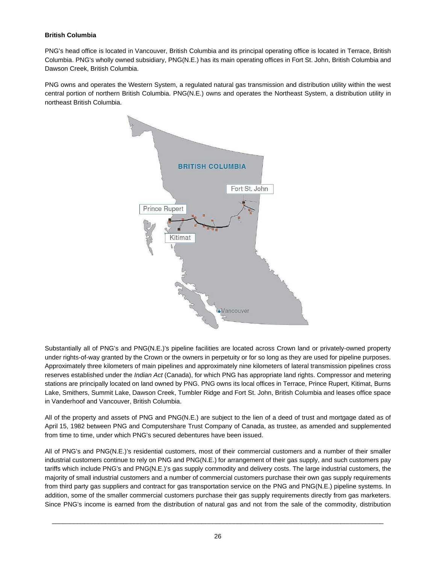## **British Columbia**

PNG's head office is located in Vancouver, British Columbia and its principal operating office is located in Terrace, British Columbia. PNG's wholly owned subsidiary, PNG(N.E.) has its main operating offices in Fort St. John, British Columbia and Dawson Creek, British Columbia.

PNG owns and operates the Western System, a regulated natural gas transmission and distribution utility within the west central portion of northern British Columbia. PNG(N.E.) owns and operates the Northeast System, a distribution utility in northeast British Columbia.



Substantially all of PNG's and PNG(N.E.)'s pipeline facilities are located across Crown land or privately-owned property under rights-of-way granted by the Crown or the owners in perpetuity or for so long as they are used for pipeline purposes. Approximately three kilometers of main pipelines and approximately nine kilometers of lateral transmission pipelines cross reserves established under the *Indian Act* (Canada), for which PNG has appropriate land rights. Compressor and metering stations are principally located on land owned by PNG. PNG owns its local offices in Terrace, Prince Rupert, Kitimat, Burns Lake, Smithers, Summit Lake, Dawson Creek, Tumbler Ridge and Fort St. John, British Columbia and leases office space in Vanderhoof and Vancouver, British Columbia.

All of the property and assets of PNG and PNG(N.E.) are subject to the lien of a deed of trust and mortgage dated as of April 15, 1982 between PNG and Computershare Trust Company of Canada, as trustee, as amended and supplemented from time to time, under which PNG's secured debentures have been issued.

All of PNG's and PNG(N.E.)'s residential customers, most of their commercial customers and a number of their smaller industrial customers continue to rely on PNG and PNG(N.E.) for arrangement of their gas supply, and such customers pay tariffs which include PNG's and PNG(N.E.)'s gas supply commodity and delivery costs. The large industrial customers, the majority of small industrial customers and a number of commercial customers purchase their own gas supply requirements from third party gas suppliers and contract for gas transportation service on the PNG and PNG(N.E.) pipeline systems. In addition, some of the smaller commercial customers purchase their gas supply requirements directly from gas marketers. Since PNG's income is earned from the distribution of natural gas and not from the sale of the commodity, distribution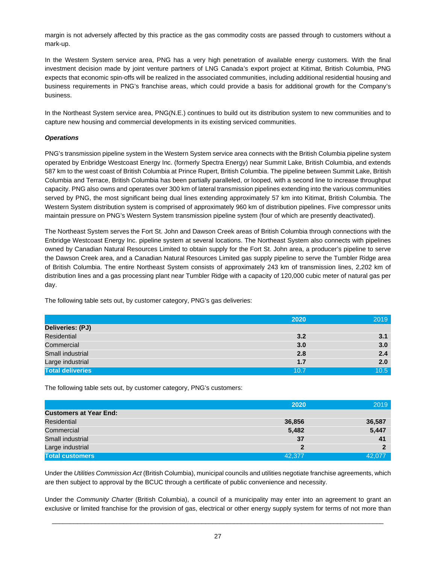margin is not adversely affected by this practice as the gas commodity costs are passed through to customers without a mark-up.

In the Western System service area, PNG has a very high penetration of available energy customers. With the final investment decision made by joint venture partners of LNG Canada's export project at Kitimat, British Columbia, PNG expects that economic spin-offs will be realized in the associated communities, including additional residential housing and business requirements in PNG's franchise areas, which could provide a basis for additional growth for the Company's business.

In the Northeast System service area, PNG(N.E.) continues to build out its distribution system to new communities and to capture new housing and commercial developments in its existing serviced communities.

#### *Operations*

PNG's transmission pipeline system in the Western System service area connects with the British Columbia pipeline system operated by Enbridge Westcoast Energy Inc. (formerly Spectra Energy) near Summit Lake, British Columbia, and extends 587 km to the west coast of British Columbia at Prince Rupert, British Columbia. The pipeline between Summit Lake, British Columbia and Terrace, British Columbia has been partially paralleled, or looped, with a second line to increase throughput capacity. PNG also owns and operates over 300 km of lateral transmission pipelines extending into the various communities served by PNG, the most significant being dual lines extending approximately 57 km into Kitimat, British Columbia. The Western System distribution system is comprised of approximately 960 km of distribution pipelines. Five compressor units maintain pressure on PNG's Western System transmission pipeline system (four of which are presently deactivated).

The Northeast System serves the Fort St. John and Dawson Creek areas of British Columbia through connections with the Enbridge Westcoast Energy Inc. pipeline system at several locations. The Northeast System also connects with pipelines owned by Canadian Natural Resources Limited to obtain supply for the Fort St. John area, a producer's pipeline to serve the Dawson Creek area, and a Canadian Natural Resources Limited gas supply pipeline to serve the Tumbler Ridge area of British Columbia. The entire Northeast System consists of approximately 243 km of transmission lines, 2,202 km of distribution lines and a gas processing plant near Tumbler Ridge with a capacity of 120,000 cubic meter of natural gas per day.

The following table sets out, by customer category, PNG's gas deliveries:

|                         | 2020 | 2019 |
|-------------------------|------|------|
| Deliveries: (PJ)        |      |      |
| Residential             | 3.2  | 3.1  |
| Commercial              | 3.0  | 3.0  |
| Small industrial        | 2.8  | 2.4  |
| Large industrial        | 1.7  | 2.0  |
| <b>Total deliveries</b> | 10.7 | 10.5 |

The following table sets out, by customer category, PNG's customers:

|                               | 2020         | 2019   |
|-------------------------------|--------------|--------|
| <b>Customers at Year End:</b> |              |        |
| Residential                   | 36,856       | 36,587 |
| Commercial                    | 5,482        | 5,447  |
| Small industrial              | 37           | 41     |
| Large industrial              | $\mathbf{2}$ |        |
| <b>Total customers</b>        | 42,377       | 42,077 |

Under the *Utilities Commission Act* (British Columbia), municipal councils and utilities negotiate franchise agreements, which are then subject to approval by the BCUC through a certificate of public convenience and necessity.

Under the *Community Charter* (British Columbia), a council of a municipality may enter into an agreement to grant an exclusive or limited franchise for the provision of gas, electrical or other energy supply system for terms of not more than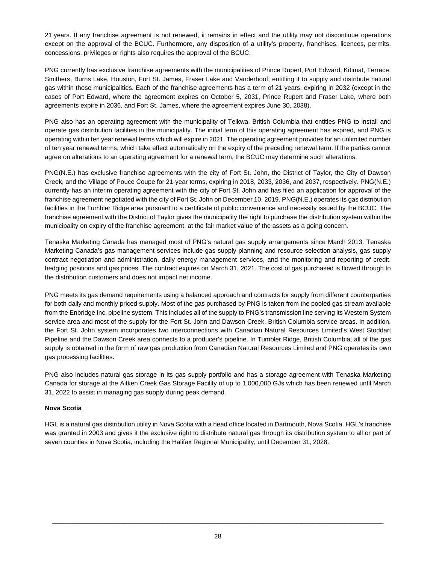21 years. If any franchise agreement is not renewed, it remains in effect and the utility may not discontinue operations except on the approval of the BCUC. Furthermore, any disposition of a utility's property, franchises, licences, permits, concessions, privileges or rights also requires the approval of the BCUC.

PNG currently has exclusive franchise agreements with the municipalities of Prince Rupert, Port Edward, Kitimat, Terrace, Smithers, Burns Lake, Houston, Fort St. James, Fraser Lake and Vanderhoof, entitling it to supply and distribute natural gas within those municipalities. Each of the franchise agreements has a term of 21 years, expiring in 2032 (except in the cases of Port Edward, where the agreement expires on October 5, 2031, Prince Rupert and Fraser Lake, where both agreements expire in 2036, and Fort St. James, where the agreement expires June 30, 2038).

PNG also has an operating agreement with the municipality of Telkwa, British Columbia that entitles PNG to install and operate gas distribution facilities in the municipality. The initial term of this operating agreement has expired, and PNG is operating within ten year renewal terms which will expire in 2021. The operating agreement provides for an unlimited number of ten year renewal terms, which take effect automatically on the expiry of the preceding renewal term. If the parties cannot agree on alterations to an operating agreement for a renewal term, the BCUC may determine such alterations.

PNG(N.E.) has exclusive franchise agreements with the city of Fort St. John, the District of Taylor, the City of Dawson Creek, and the Village of Pouce Coupe for 21-year terms, expiring in 2018, 2033, 2036, and 2037, respectively. PNG(N.E.) currently has an interim operating agreement with the city of Fort St. John and has filed an application for approval of the franchise agreement negotiated with the city of Fort St. John on December 10, 2019. PNG(N.E.) operates its gas distribution facilities in the Tumbler Ridge area pursuant to a certificate of public convenience and necessity issued by the BCUC. The franchise agreement with the District of Taylor gives the municipality the right to purchase the distribution system within the municipality on expiry of the franchise agreement, at the fair market value of the assets as a going concern.

Tenaska Marketing Canada has managed most of PNG's natural gas supply arrangements since March 2013. Tenaska Marketing Canada's gas management services include gas supply planning and resource selection analysis, gas supply contract negotiation and administration, daily energy management services, and the monitoring and reporting of credit, hedging positions and gas prices. The contract expires on March 31, 2021. The cost of gas purchased is flowed through to the distribution customers and does not impact net income.

PNG meets its gas demand requirements using a balanced approach and contracts for supply from different counterparties for both daily and monthly priced supply. Most of the gas purchased by PNG is taken from the pooled gas stream available from the Enbridge Inc. pipeline system. This includes all of the supply to PNG's transmission line serving its Western System service area and most of the supply for the Fort St. John and Dawson Creek, British Columbia service areas. In addition, the Fort St. John system incorporates two interconnections with Canadian Natural Resources Limited's West Stoddart Pipeline and the Dawson Creek area connects to a producer's pipeline. In Tumbler Ridge, British Columbia, all of the gas supply is obtained in the form of raw gas production from Canadian Natural Resources Limited and PNG operates its own gas processing facilities.

PNG also includes natural gas storage in its gas supply portfolio and has a storage agreement with Tenaska Marketing Canada for storage at the Aitken Creek Gas Storage Facility of up to 1,000,000 GJs which has been renewed until March 31, 2022 to assist in managing gas supply during peak demand.

#### **Nova Scotia**

HGL is a natural gas distribution utility in Nova Scotia with a head office located in Dartmouth, Nova Scotia. HGL's franchise was granted in 2003 and gives it the exclusive right to distribute natural gas through its distribution system to all or part of seven counties in Nova Scotia, including the Halifax Regional Municipality, until December 31, 2028.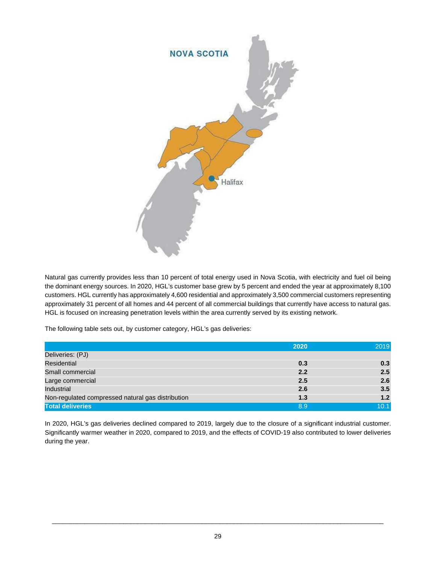

Natural gas currently provides less than 10 percent of total energy used in Nova Scotia, with electricity and fuel oil being the dominant energy sources. In 2020, HGL's customer base grew by 5 percent and ended the year at approximately 8,100 customers. HGL currently has approximately 4,600 residential and approximately 3,500 commercial customers representing approximately 31 percent of all homes and 44 percent of all commercial buildings that currently have access to natural gas. HGL is focused on increasing penetration levels within the area currently served by its existing network.

The following table sets out, by customer category, HGL's gas deliveries:

|                                                   | 2020 | 2019 |
|---------------------------------------------------|------|------|
| Deliveries: (PJ)                                  |      |      |
| Residential                                       | 0.3  | 0.3  |
| Small commercial                                  | 2.2  | 2.5  |
| Large commercial                                  | 2.5  | 2.6  |
| Industrial                                        | 2.6  | 3.5  |
| Non-regulated compressed natural gas distribution | 1.3  | 1.2  |
| <b>Total deliveries</b>                           | 8.9  | 10.1 |

In 2020, HGL's gas deliveries declined compared to 2019, largely due to the closure of a significant industrial customer. Significantly warmer weather in 2020, compared to 2019, and the effects of COVID-19 also contributed to lower deliveries during the year.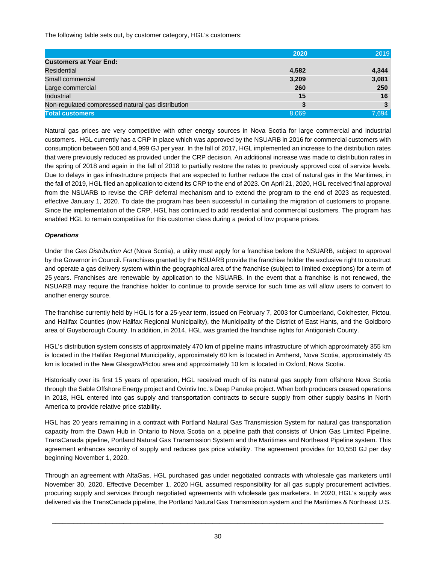The following table sets out, by customer category, HGL's customers:

|                                                   | 2020  | 2019  |
|---------------------------------------------------|-------|-------|
| <b>Customers at Year End:</b>                     |       |       |
| Residential                                       | 4,582 | 4,344 |
| Small commercial                                  | 3,209 | 3,081 |
| Large commercial                                  | 260   | 250   |
| Industrial                                        | 15    | 16    |
| Non-regulated compressed natural gas distribution | 3     |       |
| <b>Total customers</b>                            | 8,069 | 7,694 |

Natural gas prices are very competitive with other energy sources in Nova Scotia for large commercial and industrial customers. HGL currently has a CRP in place which was approved by the NSUARB in 2016 for commercial customers with consumption between 500 and 4,999 GJ per year. In the fall of 2017, HGL implemented an increase to the distribution rates that were previously reduced as provided under the CRP decision. An additional increase was made to distribution rates in the spring of 2018 and again in the fall of 2018 to partially restore the rates to previously approved cost of service levels. Due to delays in gas infrastructure projects that are expected to further reduce the cost of natural gas in the Maritimes, in the fall of 2019, HGL filed an application to extend its CRP to the end of 2023. On April 21, 2020, HGL received final approval from the NSUARB to revise the CRP deferral mechanism and to extend the program to the end of 2023 as requested, effective January 1, 2020. To date the program has been successful in curtailing the migration of customers to propane. Since the implementation of the CRP, HGL has continued to add residential and commercial customers. The program has enabled HGL to remain competitive for this customer class during a period of low propane prices.

#### *Operations*

Under the *Gas Distribution Act* (Nova Scotia), a utility must apply for a franchise before the NSUARB, subject to approval by the Governor in Council. Franchises granted by the NSUARB provide the franchise holder the exclusive right to construct and operate a gas delivery system within the geographical area of the franchise (subject to limited exceptions) for a term of 25 years. Franchises are renewable by application to the NSUARB. In the event that a franchise is not renewed, the NSUARB may require the franchise holder to continue to provide service for such time as will allow users to convert to another energy source.

The franchise currently held by HGL is for a 25-year term, issued on February 7, 2003 for Cumberland, Colchester, Pictou, and Halifax Counties (now Halifax Regional Municipality), the Municipality of the District of East Hants, and the Goldboro area of Guysborough County. In addition, in 2014, HGL was granted the franchise rights for Antigonish County.

HGL's distribution system consists of approximately 470 km of pipeline mains infrastructure of which approximately 355 km is located in the Halifax Regional Municipality, approximately 60 km is located in Amherst, Nova Scotia, approximately 45 km is located in the New Glasgow/Pictou area and approximately 10 km is located in Oxford, Nova Scotia.

Historically over its first 15 years of operation, HGL received much of its natural gas supply from offshore Nova Scotia through the Sable Offshore Energy project and Ovintiv Inc.'s Deep Panuke project. When both producers ceased operations in 2018, HGL entered into gas supply and transportation contracts to secure supply from other supply basins in North America to provide relative price stability.

HGL has 20 years remaining in a contract with Portland Natural Gas Transmission System for natural gas transportation capacity from the Dawn Hub in Ontario to Nova Scotia on a pipeline path that consists of Union Gas Limited Pipeline, TransCanada pipeline, Portland Natural Gas Transmission System and the Maritimes and Northeast Pipeline system. This agreement enhances security of supply and reduces gas price volatility. The agreement provides for 10,550 GJ per day beginning November 1, 2020.

Through an agreement with AltaGas, HGL purchased gas under negotiated contracts with wholesale gas marketers until November 30, 2020. Effective December 1, 2020 HGL assumed responsibility for all gas supply procurement activities, procuring supply and services through negotiated agreements with wholesale gas marketers. In 2020, HGL's supply was delivered via the TransCanada pipeline, the Portland Natural Gas Transmission system and the Maritimes & Northeast U.S.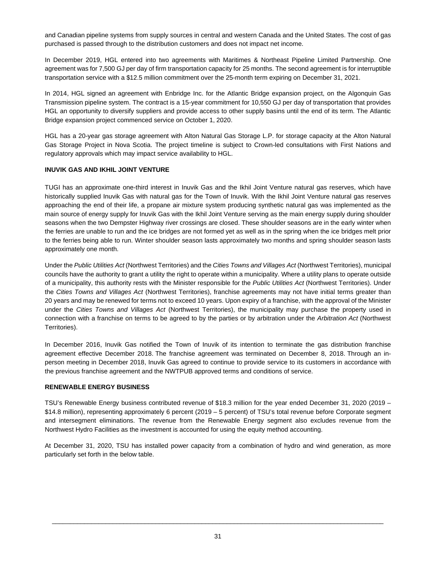and Canadian pipeline systems from supply sources in central and western Canada and the United States. The cost of gas purchased is passed through to the distribution customers and does not impact net income.

In December 2019, HGL entered into two agreements with Maritimes & Northeast Pipeline Limited Partnership. One agreement was for 7,500 GJ per day of firm transportation capacity for 25 months. The second agreement is for interruptible transportation service with a \$12.5 million commitment over the 25-month term expiring on December 31, 2021.

In 2014, HGL signed an agreement with Enbridge Inc. for the Atlantic Bridge expansion project, on the Algonquin Gas Transmission pipeline system. The contract is a 15-year commitment for 10,550 GJ per day of transportation that provides HGL an opportunity to diversify suppliers and provide access to other supply basins until the end of its term. The Atlantic Bridge expansion project commenced service on October 1, 2020.

HGL has a 20-year gas storage agreement with Alton Natural Gas Storage L.P. for storage capacity at the Alton Natural Gas Storage Project in Nova Scotia. The project timeline is subject to Crown-led consultations with First Nations and regulatory approvals which may impact service availability to HGL.

#### **INUVIK GAS AND IKHIL JOINT VENTURE**

TUGI has an approximate one-third interest in Inuvik Gas and the Ikhil Joint Venture natural gas reserves, which have historically supplied Inuvik Gas with natural gas for the Town of Inuvik. With the Ikhil Joint Venture natural gas reserves approaching the end of their life, a propane air mixture system producing synthetic natural gas was implemented as the main source of energy supply for Inuvik Gas with the Ikhil Joint Venture serving as the main energy supply during shoulder seasons when the two Dempster Highway river crossings are closed. These shoulder seasons are in the early winter when the ferries are unable to run and the ice bridges are not formed yet as well as in the spring when the ice bridges melt prior to the ferries being able to run. Winter shoulder season lasts approximately two months and spring shoulder season lasts approximately one month.

Under the *Public Utilities Act* (Northwest Territories) and the *Cities Towns and Villages Act* (Northwest Territories), municipal councils have the authority to grant a utility the right to operate within a municipality. Where a utility plans to operate outside of a municipality, this authority rests with the Minister responsible for the *Public Utilities Act* (Northwest Territories). Under the *Cities Towns and Villages Act* (Northwest Territories), franchise agreements may not have initial terms greater than 20 years and may be renewed for terms not to exceed 10 years. Upon expiry of a franchise, with the approval of the Minister under the *Cities Towns and Villages Act* (Northwest Territories), the municipality may purchase the property used in connection with a franchise on terms to be agreed to by the parties or by arbitration under the *Arbitration Act* (Northwest Territories).

In December 2016, Inuvik Gas notified the Town of Inuvik of its intention to terminate the gas distribution franchise agreement effective December 2018. The franchise agreement was terminated on December 8, 2018. Through an inperson meeting in December 2018, Inuvik Gas agreed to continue to provide service to its customers in accordance with the previous franchise agreement and the NWTPUB approved terms and conditions of service.

#### **RENEWABLE ENERGY BUSINESS**

TSU's Renewable Energy business contributed revenue of \$18.3 million for the year ended December 31, 2020 (2019 – \$14.8 million), representing approximately 6 percent (2019 – 5 percent) of TSU's total revenue before Corporate segment and intersegment eliminations. The revenue from the Renewable Energy segment also excludes revenue from the Northwest Hydro Facilities as the investment is accounted for using the equity method accounting.

At December 31, 2020, TSU has installed power capacity from a combination of hydro and wind generation, as more particularly set forth in the below table.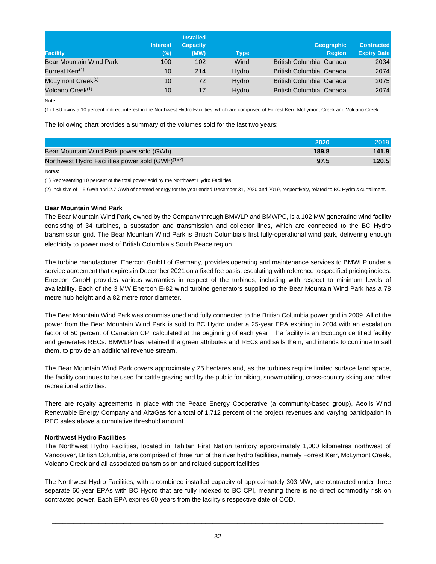|                                | <b>Interest</b> | <b>Installed</b><br><b>Capacity</b> |             | <b>Geographic</b>        | <b>Contracted</b>  |
|--------------------------------|-----------------|-------------------------------------|-------------|--------------------------|--------------------|
| <b>Facility</b>                | (%)             | (MW)                                | <b>Type</b> | <b>Region</b>            | <b>Expiry Date</b> |
| <b>Bear Mountain Wind Park</b> | 100             | 102                                 | Wind        | British Columbia, Canada | 2034               |
| Forrest Kerr <sup>(1)</sup>    | 10              | 214                                 | Hydro       | British Columbia, Canada | 2074               |
| McLymont Creek <sup>(1)</sup>  | 10              | 72                                  | Hydro       | British Columbia, Canada | 2075               |
| Volcano Creek <sup>(1)</sup>   | 10              | 17                                  | Hydro       | British Columbia, Canada | 2074               |

Note:

(1) TSU owns a 10 percent indirect interest in the Northwest Hydro Facilities, which are comprised of Forrest Kerr, McLymont Creek and Volcano Creek.

The following chart provides a summary of the volumes sold for the last two years:

|                                                               | 2020  | 2019  |
|---------------------------------------------------------------|-------|-------|
| Bear Mountain Wind Park power sold (GWh)                      | 189.8 | 141.9 |
| Northwest Hydro Facilities power sold (GWh) <sup>(1)(2)</sup> | 97.5  | 120.5 |

Notes:

(1) Representing 10 percent of the total power sold by the Northwest Hydro Facilities.

(2) Inclusive of 1.5 GWh and 2.7 GWh of deemed energy for the year ended December 31, 2020 and 2019, respectively, related to BC Hydro's curtailment.

#### **Bear Mountain Wind Park**

The Bear Mountain Wind Park, owned by the Company through BMWLP and BMWPC, is a 102 MW generating wind facility consisting of 34 turbines, a substation and transmission and collector lines, which are connected to the BC Hydro transmission grid. The Bear Mountain Wind Park is British Columbia's first fully-operational wind park, delivering enough electricity to power most of British Columbia's South Peace region.

The turbine manufacturer, Enercon GmbH of Germany, provides operating and maintenance services to BMWLP under a service agreement that expires in December 2021 on a fixed fee basis, escalating with reference to specified pricing indices. Enercon GmbH provides various warranties in respect of the turbines, including with respect to minimum levels of availability. Each of the 3 MW Enercon E-82 wind turbine generators supplied to the Bear Mountain Wind Park has a 78 metre hub height and a 82 metre rotor diameter.

The Bear Mountain Wind Park was commissioned and fully connected to the British Columbia power grid in 2009. All of the power from the Bear Mountain Wind Park is sold to BC Hydro under a 25-year EPA expiring in 2034 with an escalation factor of 50 percent of Canadian CPI calculated at the beginning of each year. The facility is an EcoLogo certified facility and generates RECs. BMWLP has retained the green attributes and RECs and sells them, and intends to continue to sell them, to provide an additional revenue stream.

The Bear Mountain Wind Park covers approximately 25 hectares and, as the turbines require limited surface land space, the facility continues to be used for cattle grazing and by the public for hiking, snowmobiling, cross-country skiing and other recreational activities.

There are royalty agreements in place with the Peace Energy Cooperative (a community-based group), Aeolis Wind Renewable Energy Company and AltaGas for a total of 1.712 percent of the project revenues and varying participation in REC sales above a cumulative threshold amount.

#### **Northwest Hydro Facilities**

The Northwest Hydro Facilities, located in Tahltan First Nation territory approximately 1,000 kilometres northwest of Vancouver, British Columbia, are comprised of three run of the river hydro facilities, namely Forrest Kerr, McLymont Creek, Volcano Creek and all associated transmission and related support facilities.

The Northwest Hydro Facilities, with a combined installed capacity of approximately 303 MW, are contracted under three separate 60-year EPAs with BC Hydro that are fully indexed to BC CPI, meaning there is no direct commodity risk on contracted power. Each EPA expires 60 years from the facility's respective date of COD.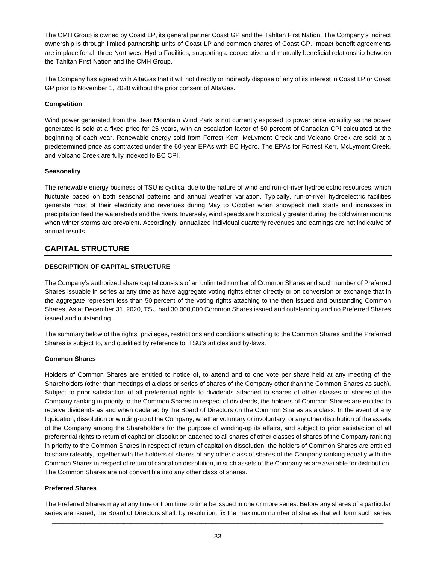The CMH Group is owned by Coast LP, its general partner Coast GP and the Tahltan First Nation. The Company's indirect ownership is through limited partnership units of Coast LP and common shares of Coast GP. Impact benefit agreements are in place for all three Northwest Hydro Facilities, supporting a cooperative and mutually beneficial relationship between the Tahltan First Nation and the CMH Group.

The Company has agreed with AltaGas that it will not directly or indirectly dispose of any of its interest in Coast LP or Coast GP prior to November 1, 2028 without the prior consent of AltaGas.

## **Competition**

Wind power generated from the Bear Mountain Wind Park is not currently exposed to power price volatility as the power generated is sold at a fixed price for 25 years, with an escalation factor of 50 percent of Canadian CPI calculated at the beginning of each year. Renewable energy sold from Forrest Kerr, McLymont Creek and Volcano Creek are sold at a predetermined price as contracted under the 60-year EPAs with BC Hydro. The EPAs for Forrest Kerr, McLymont Creek, and Volcano Creek are fully indexed to BC CPI.

#### **Seasonality**

The renewable energy business of TSU is cyclical due to the nature of wind and run-of-river hydroelectric resources, which fluctuate based on both seasonal patterns and annual weather variation. Typically, run-of-river hydroelectric facilities generate most of their electricity and revenues during May to October when snowpack melt starts and increases in precipitation feed the watersheds and the rivers. Inversely, wind speeds are historically greater during the cold winter months when winter storms are prevalent. Accordingly, annualized individual quarterly revenues and earnings are not indicative of annual results.

# **CAPITAL STRUCTURE**

## **DESCRIPTION OF CAPITAL STRUCTURE**

The Company's authorized share capital consists of an unlimited number of Common Shares and such number of Preferred Shares issuable in series at any time as have aggregate voting rights either directly or on conversion or exchange that in the aggregate represent less than 50 percent of the voting rights attaching to the then issued and outstanding Common Shares. As at December 31, 2020, TSU had 30,000,000 Common Shares issued and outstanding and no Preferred Shares issued and outstanding.

The summary below of the rights, privileges, restrictions and conditions attaching to the Common Shares and the Preferred Shares is subject to, and qualified by reference to, TSU's articles and by-laws.

#### **Common Shares**

Holders of Common Shares are entitled to notice of, to attend and to one vote per share held at any meeting of the Shareholders (other than meetings of a class or series of shares of the Company other than the Common Shares as such). Subject to prior satisfaction of all preferential rights to dividends attached to shares of other classes of shares of the Company ranking in priority to the Common Shares in respect of dividends, the holders of Common Shares are entitled to receive dividends as and when declared by the Board of Directors on the Common Shares as a class. In the event of any liquidation, dissolution or winding-up of the Company, whether voluntary or involuntary, or any other distribution of the assets of the Company among the Shareholders for the purpose of winding-up its affairs, and subject to prior satisfaction of all preferential rights to return of capital on dissolution attached to all shares of other classes of shares of the Company ranking in priority to the Common Shares in respect of return of capital on dissolution, the holders of Common Shares are entitled to share rateably, together with the holders of shares of any other class of shares of the Company ranking equally with the Common Shares in respect of return of capital on dissolution, in such assets of the Company as are available for distribution. The Common Shares are not convertible into any other class of shares.

#### **Preferred Shares**

 $\Box$ The Preferred Shares may at any time or from time to time be issued in one or more series. Before any shares of a particular series are issued, the Board of Directors shall, by resolution, fix the maximum number of shares that will form such series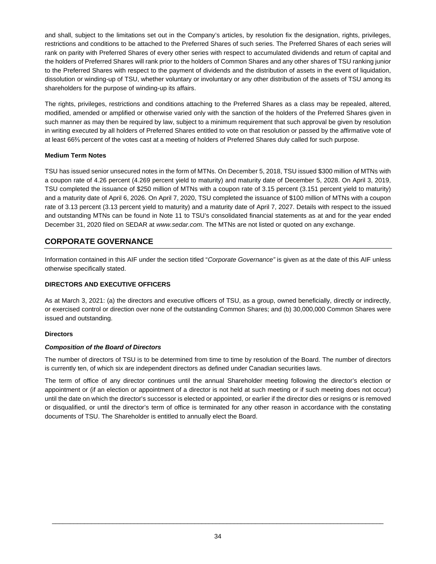and shall, subject to the limitations set out in the Company's articles, by resolution fix the designation, rights, privileges, restrictions and conditions to be attached to the Preferred Shares of such series. The Preferred Shares of each series will rank on parity with Preferred Shares of every other series with respect to accumulated dividends and return of capital and the holders of Preferred Shares will rank prior to the holders of Common Shares and any other shares of TSU ranking junior to the Preferred Shares with respect to the payment of dividends and the distribution of assets in the event of liquidation, dissolution or winding-up of TSU, whether voluntary or involuntary or any other distribution of the assets of TSU among its shareholders for the purpose of winding-up its affairs.

The rights, privileges, restrictions and conditions attaching to the Preferred Shares as a class may be repealed, altered, modified, amended or amplified or otherwise varied only with the sanction of the holders of the Preferred Shares given in such manner as may then be required by law, subject to a minimum requirement that such approval be given by resolution in writing executed by all holders of Preferred Shares entitled to vote on that resolution or passed by the affirmative vote of at least 66⅔ percent of the votes cast at a meeting of holders of Preferred Shares duly called for such purpose.

## **Medium Term Notes**

TSU has issued senior unsecured notes in the form of MTNs. On December 5, 2018, TSU issued \$300 million of MTNs with a coupon rate of 4.26 percent (4.269 percent yield to maturity) and maturity date of December 5, 2028. On April 3, 2019, TSU completed the issuance of \$250 million of MTNs with a coupon rate of 3.15 percent (3.151 percent yield to maturity) and a maturity date of April 6, 2026. On April 7, 2020, TSU completed the issuance of \$100 million of MTNs with a coupon rate of 3.13 percent (3.13 percent yield to maturity) and a maturity date of April 7, 2027. Details with respect to the issued and outstanding MTNs can be found in Note 11 to TSU's consolidated financial statements as at and for the year ended December 31, 2020 filed on SEDAR at *www.sedar.com*. The MTNs are not listed or quoted on any exchange.

# **CORPORATE GOVERNANCE**

Information contained in this AIF under the section titled "*Corporate Governance"* is given as at the date of this AIF unless otherwise specifically stated.

# **DIRECTORS AND EXECUTIVE OFFICERS**

As at March 3, 2021: (a) the directors and executive officers of TSU, as a group, owned beneficially, directly or indirectly, or exercised control or direction over none of the outstanding Common Shares; and (b) 30,000,000 Common Shares were issued and outstanding.

#### **Directors**

#### *Composition of the Board of Directors*

The number of directors of TSU is to be determined from time to time by resolution of the Board. The number of directors is currently ten, of which six are independent directors as defined under Canadian securities laws.

The term of office of any director continues until the annual Shareholder meeting following the director's election or appointment or (if an election or appointment of a director is not held at such meeting or if such meeting does not occur) until the date on which the director's successor is elected or appointed, or earlier if the director dies or resigns or is removed or disqualified, or until the director's term of office is terminated for any other reason in accordance with the constating documents of TSU. The Shareholder is entitled to annually elect the Board.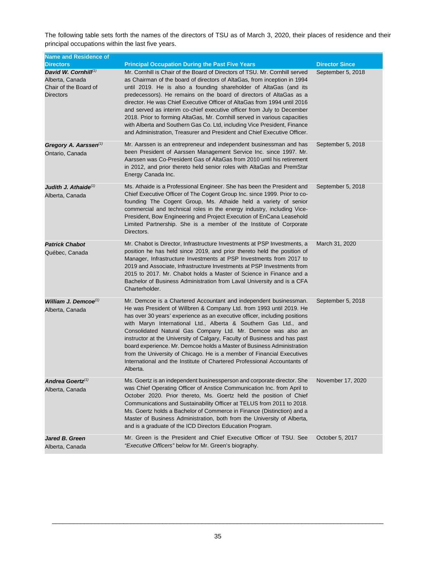The following table sets forth the names of the directors of TSU as of March 3, 2020, their places of residence and their principal occupations within the last five years.

| <b>Name and Residence of</b>                                                            |                                                                                                                                                                                                                                                                                                                                                                                                                                                                                                                                                                                                                                                                                                |                       |
|-----------------------------------------------------------------------------------------|------------------------------------------------------------------------------------------------------------------------------------------------------------------------------------------------------------------------------------------------------------------------------------------------------------------------------------------------------------------------------------------------------------------------------------------------------------------------------------------------------------------------------------------------------------------------------------------------------------------------------------------------------------------------------------------------|-----------------------|
| <b>Directors</b>                                                                        | <b>Principal Occupation During the Past Five Years</b>                                                                                                                                                                                                                                                                                                                                                                                                                                                                                                                                                                                                                                         | <b>Director Since</b> |
| David W. Cornhill $(1)$<br>Alberta, Canada<br>Chair of the Board of<br><b>Directors</b> | Mr. Cornhill is Chair of the Board of Directors of TSU. Mr. Cornhill served<br>as Chairman of the board of directors of AltaGas, from inception in 1994<br>until 2019. He is also a founding shareholder of AltaGas (and its<br>predecessors). He remains on the board of directors of AltaGas as a<br>director. He was Chief Executive Officer of AltaGas from 1994 until 2016<br>and served as interim co-chief executive officer from July to December<br>2018. Prior to forming AltaGas, Mr. Cornhill served in various capacities<br>with Alberta and Southern Gas Co. Ltd, including Vice President, Finance<br>and Administration, Treasurer and President and Chief Executive Officer. | September 5, 2018     |
| Gregory A. Aarssen <sup>(1)</sup><br>Ontario, Canada                                    | Mr. Aarssen is an entrepreneur and independent businessman and has<br>been President of Aarssen Management Service Inc. since 1997. Mr.<br>Aarssen was Co-President Gas of AltaGas from 2010 until his retirement<br>in 2012, and prior thereto held senior roles with AltaGas and PremStar<br>Energy Canada Inc.                                                                                                                                                                                                                                                                                                                                                                              | September 5, 2018     |
| Judith J. Athaide <sup>(1)</sup><br>Alberta, Canada                                     | Ms. Athaide is a Professional Engineer. She has been the President and<br>Chief Executive Officer of The Cogent Group Inc. since 1999. Prior to co-<br>founding The Cogent Group, Ms. Athaide held a variety of senior<br>commercial and technical roles in the energy industry, including Vice-<br>President, Bow Engineering and Project Execution of EnCana Leasehold<br>Limited Partnership. She is a member of the Institute of Corporate<br>Directors.                                                                                                                                                                                                                                   | September 5, 2018     |
| <b>Patrick Chabot</b><br>Québec, Canada                                                 | Mr. Chabot is Director, Infrastructure Investments at PSP Investments, a<br>position he has held since 2019, and prior thereto held the position of<br>Manager, Infrastructure Investments at PSP Investments from 2017 to<br>2019 and Associate, Infrastructure Investments at PSP Investments from<br>2015 to 2017. Mr. Chabot holds a Master of Science in Finance and a<br>Bachelor of Business Administration from Laval University and is a CFA<br>Charterholder.                                                                                                                                                                                                                        | March 31, 2020        |
| William J. Demcoe $(1)$<br>Alberta, Canada                                              | Mr. Demcoe is a Chartered Accountant and independent businessman.<br>He was President of Willbren & Company Ltd. from 1993 until 2019. He<br>has over 30 years' experience as an executive officer, including positions<br>with Maryn International Ltd., Alberta & Southern Gas Ltd., and<br>Consolidated Natural Gas Company Ltd. Mr. Demcoe was also an<br>instructor at the University of Calgary, Faculty of Business and has past<br>board experience. Mr. Demcoe holds a Master of Business Administration<br>from the University of Chicago. He is a member of Financial Executives<br>International and the Institute of Chartered Professional Accountants of<br>Alberta.            | September 5, 2018     |
| Andrea Goertz <sup>(1)</sup><br>Alberta, Canada                                         | Ms. Goertz is an independent businessperson and corporate director. She<br>was Chief Operating Officer of Anstice Communication Inc. from April to<br>October 2020. Prior thereto, Ms. Goertz held the position of Chief<br>Communications and Sustainability Officer at TELUS from 2011 to 2018.<br>Ms. Goertz holds a Bachelor of Commerce in Finance (Distinction) and a<br>Master of Business Administration, both from the University of Alberta,<br>and is a graduate of the ICD Directors Education Program.                                                                                                                                                                            | November 17, 2020     |
| Jared B. Green<br>Alberta, Canada                                                       | Mr. Green is the President and Chief Executive Officer of TSU. See<br>"Executive Officers" below for Mr. Green's biography.                                                                                                                                                                                                                                                                                                                                                                                                                                                                                                                                                                    | October 5, 2017       |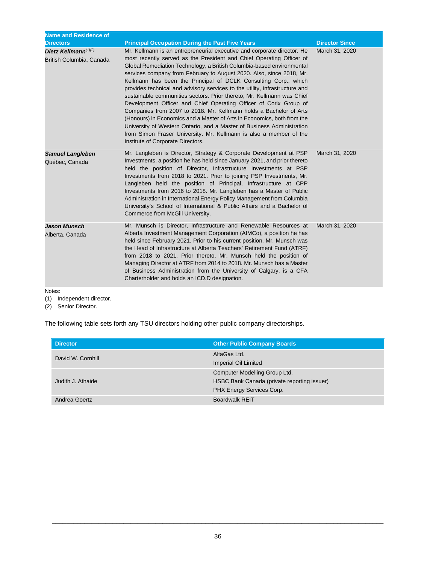| <b>Name and Residence of</b><br><b>Directors</b>    | <b>Principal Occupation During the Past Five Years</b>                                                                                                                                                                                                                                                                                                                                                                                                                                                                                                                                                                                                                                                                                                                                                                                                                                                                                  | <b>Director Since</b> |
|-----------------------------------------------------|-----------------------------------------------------------------------------------------------------------------------------------------------------------------------------------------------------------------------------------------------------------------------------------------------------------------------------------------------------------------------------------------------------------------------------------------------------------------------------------------------------------------------------------------------------------------------------------------------------------------------------------------------------------------------------------------------------------------------------------------------------------------------------------------------------------------------------------------------------------------------------------------------------------------------------------------|-----------------------|
| Dietz Kellmann $(1)(2)$<br>British Columbia, Canada | Mr. Kellmann is an entrepreneurial executive and corporate director. He<br>most recently served as the President and Chief Operating Officer of<br>Global Remediation Technology, a British Columbia-based environmental<br>services company from February to August 2020. Also, since 2018, Mr.<br>Kellmann has been the Principal of DCLK Consulting Corp., which<br>provides technical and advisory services to the utility, infrastructure and<br>sustainable communities sectors. Prior thereto, Mr. Kellmann was Chief<br>Development Officer and Chief Operating Officer of Corix Group of<br>Companies from 2007 to 2018. Mr. Kellmann holds a Bachelor of Arts<br>(Honours) in Economics and a Master of Arts in Economics, both from the<br>University of Western Ontario, and a Master of Business Administration<br>from Simon Fraser University. Mr. Kellmann is also a member of the<br>Institute of Corporate Directors. | March 31, 2020        |
| <b>Samuel Langleben</b><br>Québec, Canada           | Mr. Langleben is Director, Strategy & Corporate Development at PSP<br>Investments, a position he has held since January 2021, and prior thereto<br>held the position of Director, Infrastructure Investments at PSP<br>Investments from 2018 to 2021. Prior to joining PSP Investments, Mr.<br>Langleben held the position of Principal, Infrastructure at CPP<br>Investments from 2016 to 2018. Mr. Langleben has a Master of Public<br>Administration in International Energy Policy Management from Columbia<br>University's School of International & Public Affairs and a Bachelor of<br>Commerce from McGill University.                                                                                                                                                                                                                                                                                                          | March 31, 2020        |
| <b>Jason Munsch</b><br>Alberta, Canada              | Mr. Munsch is Director, Infrastructure and Renewable Resources at<br>Alberta Investment Management Corporation (AIMCo), a position he has<br>held since February 2021. Prior to his current position, Mr. Munsch was<br>the Head of Infrastructure at Alberta Teachers' Retirement Fund (ATRF)<br>from 2018 to 2021. Prior thereto, Mr. Munsch held the position of<br>Managing Director at ATRF from 2014 to 2018. Mr. Munsch has a Master<br>of Business Administration from the University of Calgary, is a CFA<br>Charterholder and holds an ICD.D designation.                                                                                                                                                                                                                                                                                                                                                                     | March 31, 2020        |

Notes:

(1) Independent director.

(2) Senior Director.

The following table sets forth any TSU directors holding other public company directorships.

| <b>Director</b>   | <b>Other Public Company Boards</b>                                                                        |
|-------------------|-----------------------------------------------------------------------------------------------------------|
| David W. Cornhill | AltaGas Ltd.<br>Imperial Oil Limited                                                                      |
| Judith J. Athaide | Computer Modelling Group Ltd.<br>HSBC Bank Canada (private reporting issuer)<br>PHX Energy Services Corp. |
| Andrea Goertz     | <b>Boardwalk REIT</b>                                                                                     |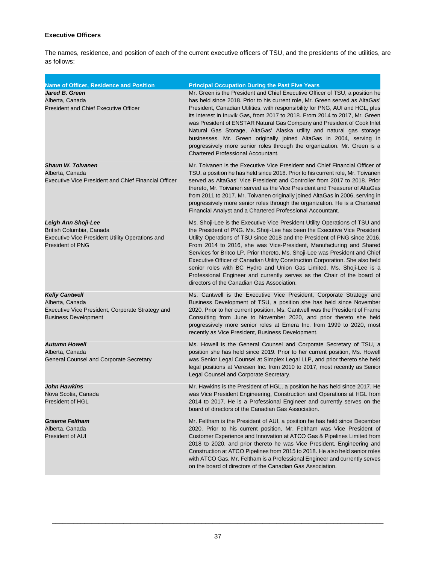# **Executive Officers**

The names, residence, and position of each of the current executive officers of TSU, and the presidents of the utilities, are as follows:

| <b>Name of Officer, Residence and Position</b>                                                                                | <b>Principal Occupation During the Past Five Years</b>                                                                                                                                                                                                                                                                                                                                                                                                                                                                                                                                                                                                                          |
|-------------------------------------------------------------------------------------------------------------------------------|---------------------------------------------------------------------------------------------------------------------------------------------------------------------------------------------------------------------------------------------------------------------------------------------------------------------------------------------------------------------------------------------------------------------------------------------------------------------------------------------------------------------------------------------------------------------------------------------------------------------------------------------------------------------------------|
| Jared B. Green<br>Alberta, Canada<br><b>President and Chief Executive Officer</b>                                             | Mr. Green is the President and Chief Executive Officer of TSU, a position he<br>has held since 2018. Prior to his current role, Mr. Green served as AltaGas'<br>President, Canadian Utilities, with responsibility for PNG, AUI and HGL, plus<br>its interest in Inuvik Gas, from 2017 to 2018. From 2014 to 2017, Mr. Green<br>was President of ENSTAR Natural Gas Company and President of Cook Inlet<br>Natural Gas Storage, AltaGas' Alaska utility and natural gas storage<br>businesses. Mr. Green originally joined AltaGas in 2004, serving in<br>progressively more senior roles through the organization. Mr. Green is a<br><b>Chartered Professional Accountant.</b> |
| <b>Shaun W. Toivanen</b><br>Alberta, Canada<br><b>Executive Vice President and Chief Financial Officer</b>                    | Mr. Toivanen is the Executive Vice President and Chief Financial Officer of<br>TSU, a position he has held since 2018. Prior to his current role, Mr. Toivanen<br>served as AltaGas' Vice President and Controller from 2017 to 2018. Prior<br>thereto, Mr. Toivanen served as the Vice President and Treasurer of AltaGas<br>from 2011 to 2017. Mr. Toivanen originally joined AltaGas in 2006, serving in<br>progressively more senior roles through the organization. He is a Chartered<br>Financial Analyst and a Chartered Professional Accountant.                                                                                                                        |
| Leigh Ann Shoji-Lee<br>British Columbia, Canada<br>Executive Vice President Utility Operations and<br><b>President of PNG</b> | Ms. Shoji-Lee is the Executive Vice President Utility Operations of TSU and<br>the President of PNG. Ms. Shoji-Lee has been the Executive Vice President<br>Utility Operations of TSU since 2018 and the President of PNG since 2016.<br>From 2014 to 2016, she was Vice-President, Manufacturing and Shared<br>Services for Britco LP. Prior thereto, Ms. Shoji-Lee was President and Chief<br>Executive Officer of Canadian Utility Construction Corporation. She also held<br>senior roles with BC Hydro and Union Gas Limited. Ms. Shoji-Lee is a<br>Professional Engineer and currently serves as the Chair of the board of<br>directors of the Canadian Gas Association.  |
| <b>Kelly Cantwell</b><br>Alberta, Canada<br>Executive Vice President, Corporate Strategy and<br><b>Business Development</b>   | Ms. Cantwell is the Executive Vice President, Corporate Strategy and<br>Business Development of TSU, a position she has held since November<br>2020. Prior to her current position, Ms. Cantwell was the President of Frame<br>Consulting from June to November 2020, and prior thereto she held<br>progressively more senior roles at Emera Inc. from 1999 to 2020, most<br>recently as Vice President, Business Development.                                                                                                                                                                                                                                                  |
| <b>Autumn Howell</b><br>Alberta, Canada<br>General Counsel and Corporate Secretary                                            | Ms. Howell is the General Counsel and Corporate Secretary of TSU, a<br>position she has held since 2019. Prior to her current position, Ms. Howell<br>was Senior Legal Counsel at Simplex Legal LLP, and prior thereto she held<br>legal positions at Veresen Inc. from 2010 to 2017, most recently as Senior<br>Legal Counsel and Corporate Secretary.                                                                                                                                                                                                                                                                                                                         |
| John Hawkins<br>Nova Scotia, Canada<br>President of HGL                                                                       | Mr. Hawkins is the President of HGL, a position he has held since 2017. He<br>was Vice President Engineering, Construction and Operations at HGL from<br>2014 to 2017. He is a Professional Engineer and currently serves on the<br>board of directors of the Canadian Gas Association.                                                                                                                                                                                                                                                                                                                                                                                         |
| <b>Graeme Feltham</b><br>Alberta, Canada<br>President of AUI                                                                  | Mr. Feltham is the President of AUI, a position he has held since December<br>2020. Prior to his current position, Mr. Feltham was Vice President of<br>Customer Experience and Innovation at ATCO Gas & Pipelines Limited from<br>2018 to 2020, and prior thereto he was Vice President, Engineering and<br>Construction at ATCO Pipelines from 2015 to 2018. He also held senior roles<br>with ATCO Gas. Mr. Feltham is a Professional Engineer and currently serves<br>on the board of directors of the Canadian Gas Association.                                                                                                                                            |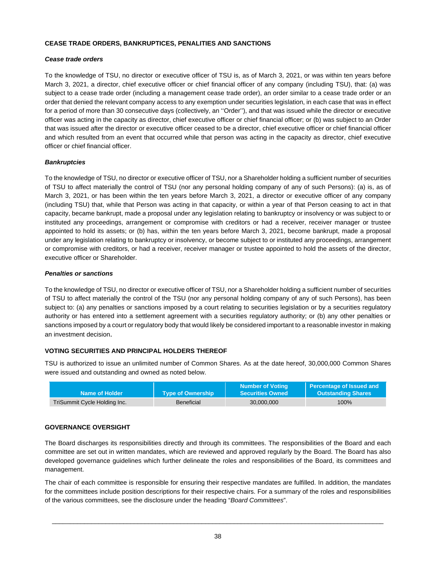## **CEASE TRADE ORDERS, BANKRUPTICES, PENALITIES AND SANCTIONS**

## *Cease trade orders*

To the knowledge of TSU, no director or executive officer of TSU is, as of March 3, 2021, or was within ten years before March 3, 2021, a director, chief executive officer or chief financial officer of any company (including TSU), that: (a) was subject to a cease trade order (including a management cease trade order), an order similar to a cease trade order or an order that denied the relevant company access to any exemption under securities legislation, in each case that was in effect for a period of more than 30 consecutive days (collectively, an ''Order''), and that was issued while the director or executive officer was acting in the capacity as director, chief executive officer or chief financial officer; or (b) was subject to an Order that was issued after the director or executive officer ceased to be a director, chief executive officer or chief financial officer and which resulted from an event that occurred while that person was acting in the capacity as director, chief executive officer or chief financial officer.

## *Bankruptcies*

To the knowledge of TSU, no director or executive officer of TSU, nor a Shareholder holding a sufficient number of securities of TSU to affect materially the control of TSU (nor any personal holding company of any of such Persons): (a) is, as of March 3, 2021, or has been within the ten years before March 3, 2021, a director or executive officer of any company (including TSU) that, while that Person was acting in that capacity, or within a year of that Person ceasing to act in that capacity, became bankrupt, made a proposal under any legislation relating to bankruptcy or insolvency or was subject to or instituted any proceedings, arrangement or compromise with creditors or had a receiver, receiver manager or trustee appointed to hold its assets; or (b) has, within the ten years before March 3, 2021, become bankrupt, made a proposal under any legislation relating to bankruptcy or insolvency, or become subject to or instituted any proceedings, arrangement or compromise with creditors, or had a receiver, receiver manager or trustee appointed to hold the assets of the director, executive officer or Shareholder.

## *Penalties or sanctions*

To the knowledge of TSU, no director or executive officer of TSU, nor a Shareholder holding a sufficient number of securities of TSU to affect materially the control of the TSU (nor any personal holding company of any of such Persons), has been subject to: (a) any penalties or sanctions imposed by a court relating to securities legislation or by a securities regulatory authority or has entered into a settlement agreement with a securities regulatory authority; or (b) any other penalties or sanctions imposed by a court or regulatory body that would likely be considered important to a reasonable investor in making an investment decision.

# **VOTING SECURITIES AND PRINCIPAL HOLDERS THEREOF**

TSU is authorized to issue an unlimited number of Common Shares. As at the date hereof, 30,000,000 Common Shares were issued and outstanding and owned as noted below.

| Name of Holder               | <b>Type of Ownership</b> | <b>Number of Voting</b><br><b>Securities Owned</b> | Percentage of Issued and<br><b>Outstanding Shares</b> |
|------------------------------|--------------------------|----------------------------------------------------|-------------------------------------------------------|
| TriSummit Cycle Holding Inc. | <b>Beneficial</b>        | 30.000.000                                         | 100%                                                  |

# **GOVERNANCE OVERSIGHT**

The Board discharges its responsibilities directly and through its committees. The responsibilities of the Board and each committee are set out in written mandates, which are reviewed and approved regularly by the Board. The Board has also developed governance guidelines which further delineate the roles and responsibilities of the Board, its committees and management.

The chair of each committee is responsible for ensuring their respective mandates are fulfilled. In addition, the mandates for the committees include position descriptions for their respective chairs. For a summary of the roles and responsibilities of the various committees, see the disclosure under the heading "*Board Committees*".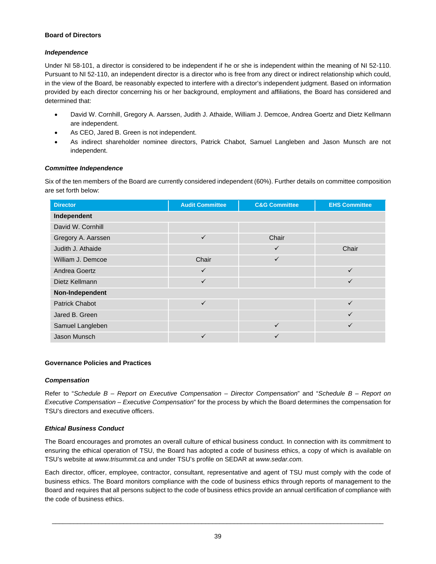## **Board of Directors**

# *Independence*

Under NI 58-101, a director is considered to be independent if he or she is independent within the meaning of NI 52-110. Pursuant to NI 52-110, an independent director is a director who is free from any direct or indirect relationship which could, in the view of the Board, be reasonably expected to interfere with a director's independent judgment. Based on information provided by each director concerning his or her background, employment and affiliations, the Board has considered and determined that:

- · David W. Cornhill, Gregory A. Aarssen, Judith J. Athaide, William J. Demcoe, Andrea Goertz and Dietz Kellmann are independent.
- · As CEO, Jared B. Green is not independent.
- As indirect shareholder nominee directors, Patrick Chabot, Samuel Langleben and Jason Munsch are not independent.

# *Committee Independence*

Six of the ten members of the Board are currently considered independent (60%). Further details on committee composition are set forth below:

| <b>Director</b>       | <b>Audit Committee</b> | <b>C&amp;G Committee</b> | <b>EHS Committee</b> |  |  |  |  |  |
|-----------------------|------------------------|--------------------------|----------------------|--|--|--|--|--|
| Independent           |                        |                          |                      |  |  |  |  |  |
| David W. Cornhill     |                        |                          |                      |  |  |  |  |  |
| Gregory A. Aarssen    | $\checkmark$           | Chair                    |                      |  |  |  |  |  |
| Judith J. Athaide     |                        | ✓                        | Chair                |  |  |  |  |  |
| William J. Demcoe     | Chair                  | ✓                        |                      |  |  |  |  |  |
| Andrea Goertz         | $\checkmark$           |                          | $\checkmark$         |  |  |  |  |  |
| Dietz Kellmann        | $\checkmark$           |                          | $\checkmark$         |  |  |  |  |  |
| Non-Independent       |                        |                          |                      |  |  |  |  |  |
| <b>Patrick Chabot</b> | $\checkmark$           |                          | $\checkmark$         |  |  |  |  |  |
| Jared B. Green        |                        |                          | $\checkmark$         |  |  |  |  |  |
| Samuel Langleben      |                        | ✓                        | $\checkmark$         |  |  |  |  |  |
| Jason Munsch          | ✓                      | ✓                        |                      |  |  |  |  |  |

# **Governance Policies and Practices**

# *Compensation*

Refer to "*Schedule B – Report on Executive Compensation – Director Compensation*" and "*Schedule B – Report on Executive Compensation – Executive Compensation*" for the process by which the Board determines the compensation for TSU's directors and executive officers.

# *Ethical Business Conduct*

The Board encourages and promotes an overall culture of ethical business conduct. In connection with its commitment to ensuring the ethical operation of TSU, the Board has adopted a code of business ethics, a copy of which is available on TSU's website at *www.trisummit.ca* and under TSU's profile on SEDAR at *www.sedar.com*.

Each director, officer, employee, contractor, consultant, representative and agent of TSU must comply with the code of business ethics. The Board monitors compliance with the code of business ethics through reports of management to the Board and requires that all persons subject to the code of business ethics provide an annual certification of compliance with the code of business ethics.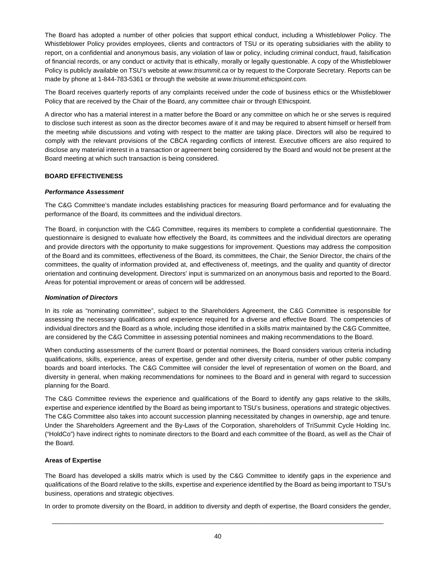The Board has adopted a number of other policies that support ethical conduct, including a Whistleblower Policy. The Whistleblower Policy provides employees, clients and contractors of TSU or its operating subsidiaries with the ability to report, on a confidential and anonymous basis, any violation of law or policy, including criminal conduct, fraud, falsification of financial records, or any conduct or activity that is ethically, morally or legally questionable. A copy of the Whistleblower Policy is publicly available on TSU's website at *www.trisummit.ca* or by request to the Corporate Secretary. Reports can be made by phone at 1-844-783-5361 or through the website at *[www.trisummit.ethicspoint.com.](http://www.trisummit.ethicspoint.com/)*

The Board receives quarterly reports of any complaints received under the code of business ethics or the Whistleblower Policy that are received by the Chair of the Board, any committee chair or through Ethicspoint.

A director who has a material interest in a matter before the Board or any committee on which he or she serves is required to disclose such interest as soon as the director becomes aware of it and may be required to absent himself or herself from the meeting while discussions and voting with respect to the matter are taking place. Directors will also be required to comply with the relevant provisions of the CBCA regarding conflicts of interest. Executive officers are also required to disclose any material interest in a transaction or agreement being considered by the Board and would not be present at the Board meeting at which such transaction is being considered.

# **BOARD EFFECTIVENESS**

# *Performance Assessment*

The C&G Committee's mandate includes establishing practices for measuring Board performance and for evaluating the performance of the Board, its committees and the individual directors.

The Board, in conjunction with the C&G Committee, requires its members to complete a confidential questionnaire. The questionnaire is designed to evaluate how effectively the Board, its committees and the individual directors are operating and provide directors with the opportunity to make suggestions for improvement. Questions may address the composition of the Board and its committees, effectiveness of the Board, its committees, the Chair, the Senior Director, the chairs of the committees, the quality of information provided at, and effectiveness of, meetings, and the quality and quantity of director orientation and continuing development. Directors' input is summarized on an anonymous basis and reported to the Board. Areas for potential improvement or areas of concern will be addressed.

# *Nomination of Directors*

In its role as "nominating committee", subject to the Shareholders Agreement, the C&G Committee is responsible for assessing the necessary qualifications and experience required for a diverse and effective Board. The competencies of individual directors and the Board as a whole, including those identified in a skills matrix maintained by the C&G Committee, are considered by the C&G Committee in assessing potential nominees and making recommendations to the Board.

When conducting assessments of the current Board or potential nominees, the Board considers various criteria including qualifications, skills, experience, areas of expertise, gender and other diversity criteria, number of other public company boards and board interlocks. The C&G Committee will consider the level of representation of women on the Board, and diversity in general, when making recommendations for nominees to the Board and in general with regard to succession planning for the Board.

The C&G Committee reviews the experience and qualifications of the Board to identify any gaps relative to the skills, expertise and experience identified by the Board as being important to TSU's business, operations and strategic objectives. The C&G Committee also takes into account succession planning necessitated by changes in ownership, age and tenure. Under the Shareholders Agreement and the By-Laws of the Corporation, shareholders of TriSummit Cycle Holding Inc. ("HoldCo") have indirect rights to nominate directors to the Board and each committee of the Board, as well as the Chair of the Board.

# **Areas of Expertise**

The Board has developed a skills matrix which is used by the C&G Committee to identify gaps in the experience and qualifications of the Board relative to the skills, expertise and experience identified by the Board as being important to TSU's business, operations and strategic objectives.

In order to promote diversity on the Board, in addition to diversity and depth of expertise, the Board considers the gender,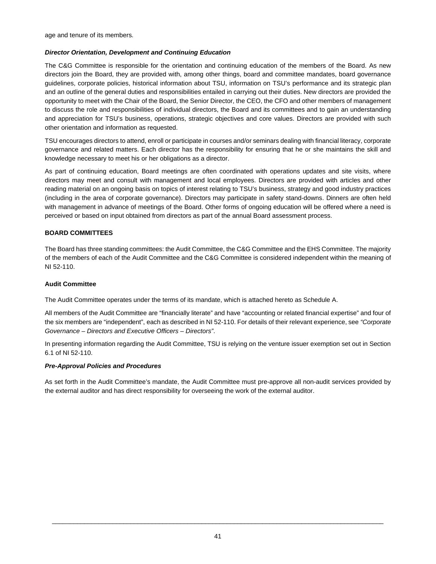age and tenure of its members.

# *Director Orientation, Development and Continuing Education*

The C&G Committee is responsible for the orientation and continuing education of the members of the Board. As new directors join the Board, they are provided with, among other things, board and committee mandates, board governance guidelines, corporate policies, historical information about TSU, information on TSU's performance and its strategic plan and an outline of the general duties and responsibilities entailed in carrying out their duties. New directors are provided the opportunity to meet with the Chair of the Board, the Senior Director, the CEO, the CFO and other members of management to discuss the role and responsibilities of individual directors, the Board and its committees and to gain an understanding and appreciation for TSU's business, operations, strategic objectives and core values. Directors are provided with such other orientation and information as requested.

TSU encourages directors to attend, enroll or participate in courses and/or seminars dealing with financial literacy, corporate governance and related matters. Each director has the responsibility for ensuring that he or she maintains the skill and knowledge necessary to meet his or her obligations as a director.

As part of continuing education, Board meetings are often coordinated with operations updates and site visits, where directors may meet and consult with management and local employees. Directors are provided with articles and other reading material on an ongoing basis on topics of interest relating to TSU's business, strategy and good industry practices (including in the area of corporate governance). Directors may participate in safety stand-downs. Dinners are often held with management in advance of meetings of the Board. Other forms of ongoing education will be offered where a need is perceived or based on input obtained from directors as part of the annual Board assessment process.

# **BOARD COMMITTEES**

The Board has three standing committees: the Audit Committee, the C&G Committee and the EHS Committee. The majority of the members of each of the Audit Committee and the C&G Committee is considered independent within the meaning of NI 52-110.

# **Audit Committee**

The Audit Committee operates under the terms of its mandate, which is attached hereto as Schedule A.

All members of the Audit Committee are "financially literate" and have "accounting or related financial expertise" and four of the six members are "independent", each as described in NI 52-110. For details of their relevant experience, see *"Corporate Governance – Directors and Executive Officers – Directors"*.

In presenting information regarding the Audit Committee, TSU is relying on the venture issuer exemption set out in Section 6.1 of NI 52-110.

# *Pre-Approval Policies and Procedures*

As set forth in the Audit Committee's mandate, the Audit Committee must pre-approve all non-audit services provided by the external auditor and has direct responsibility for overseeing the work of the external auditor.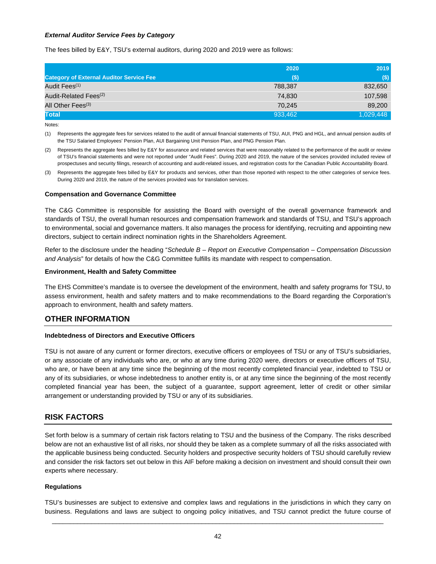## *External Auditor Service Fees by Category*

The fees billed by E&Y, TSU's external auditors, during 2020 and 2019 were as follows:

|                                                 | 2020    | 2019      |
|-------------------------------------------------|---------|-----------|
| <b>Category of External Auditor Service Fee</b> | $($ \$) | $($)$     |
| Audit Fees <sup>(1)</sup>                       | 788.387 | 832,650   |
| Audit-Related Fees <sup>(2)</sup>               | 74.830  | 107,598   |
| All Other Fees <sup>(3)</sup>                   | 70.245  | 89,200    |
| <b>Total</b>                                    | 933,462 | 1,029,448 |

Notes:

(1) Represents the aggregate fees for services related to the audit of annual financial statements of TSU, AUI, PNG and HGL, and annual pension audits of the TSU Salaried Employees' Pension Plan, AUI Bargaining Unit Pension Plan, and PNG Pension Plan.

(2) Represents the aggregate fees billed by E&Y for assurance and related services that were reasonably related to the performance of the audit or review of TSU's financial statements and were not reported under "Audit Fees". During 2020 and 2019, the nature of the services provided included review of prospectuses and security filings, research of accounting and audit-related issues, and registration costs for the Canadian Public Accountability Board.

(3) Represents the aggregate fees billed by E&Y for products and services, other than those reported with respect to the other categories of service fees. During 2020 and 2019, the nature of the services provided was for translation services.

#### **Compensation and Governance Committee**

The C&G Committee is responsible for assisting the Board with oversight of the overall governance framework and standards of TSU, the overall human resources and compensation framework and standards of TSU, and TSU's approach to environmental, social and governance matters. It also manages the process for identifying, recruiting and appointing new directors, subject to certain indirect nomination rights in the Shareholders Agreement.

Refer to the disclosure under the heading "*Schedule B – Report on Executive Compensation – Compensation Discussion and Analysis*" for details of how the C&G Committee fulfills its mandate with respect to compensation.

#### **Environment, Health and Safety Committee**

The EHS Committee's mandate is to oversee the development of the environment, health and safety programs for TSU, to assess environment, health and safety matters and to make recommendations to the Board regarding the Corporation's approach to environment, health and safety matters.

# **OTHER INFORMATION**

#### **Indebtedness of Directors and Executive Officers**

TSU is not aware of any current or former directors, executive officers or employees of TSU or any of TSU's subsidiaries, or any associate of any individuals who are, or who at any time during 2020 were, directors or executive officers of TSU, who are, or have been at any time since the beginning of the most recently completed financial year, indebted to TSU or any of its subsidiaries, or whose indebtedness to another entity is, or at any time since the beginning of the most recently completed financial year has been, the subject of a guarantee, support agreement, letter of credit or other similar arrangement or understanding provided by TSU or any of its subsidiaries.

# **RISK FACTORS**

Set forth below is a summary of certain risk factors relating to TSU and the business of the Company. The risks described below are not an exhaustive list of all risks, nor should they be taken as a complete summary of all the risks associated with the applicable business being conducted. Security holders and prospective security holders of TSU should carefully review and consider the risk factors set out below in this AIF before making a decision on investment and should consult their own experts where necessary.

#### **Regulations**

 $\Box$ TSU's businesses are subject to extensive and complex laws and regulations in the jurisdictions in which they carry on business. Regulations and laws are subject to ongoing policy initiatives, and TSU cannot predict the future course of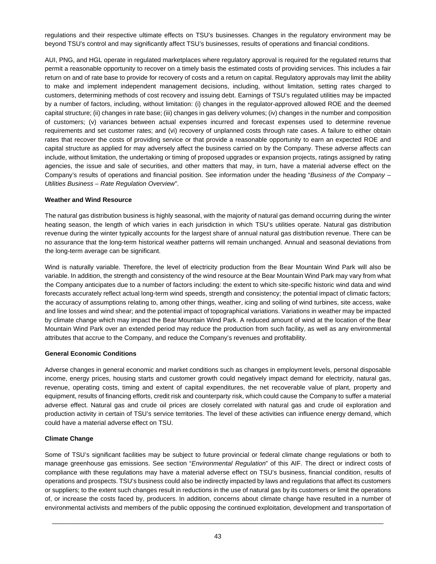regulations and their respective ultimate effects on TSU's businesses. Changes in the regulatory environment may be beyond TSU's control and may significantly affect TSU's businesses, results of operations and financial conditions.

AUI, PNG, and HGL operate in regulated marketplaces where regulatory approval is required for the regulated returns that permit a reasonable opportunity to recover on a timely basis the estimated costs of providing services. This includes a fair return on and of rate base to provide for recovery of costs and a return on capital. Regulatory approvals may limit the ability to make and implement independent management decisions, including, without limitation, setting rates charged to customers, determining methods of cost recovery and issuing debt. Earnings of TSU's regulated utilities may be impacted by a number of factors, including, without limitation: (i) changes in the regulator-approved allowed ROE and the deemed capital structure; (ii) changes in rate base; (iii) changes in gas delivery volumes; (iv) changes in the number and composition of customers; (v) variances between actual expenses incurred and forecast expenses used to determine revenue requirements and set customer rates; and (vi) recovery of unplanned costs through rate cases. A failure to either obtain rates that recover the costs of providing service or that provide a reasonable opportunity to earn an expected ROE and capital structure as applied for may adversely affect the business carried on by the Company. These adverse affects can include, without limitation, the undertaking or timing of proposed upgrades or expansion projects, ratings assigned by rating agencies, the issue and sale of securities, and other matters that may, in turn, have a material adverse effect on the Company's results of operations and financial position. See information under the heading "*Business of the Company – Utilities Business – Rate Regulation Overview*".

# **Weather and Wind Resource**

The natural gas distribution business is highly seasonal, with the majority of natural gas demand occurring during the winter heating season, the length of which varies in each jurisdiction in which TSU's utilities operate. Natural gas distribution revenue during the winter typically accounts for the largest share of annual natural gas distribution revenue. There can be no assurance that the long-term historical weather patterns will remain unchanged. Annual and seasonal deviations from the long-term average can be significant.

Wind is naturally variable. Therefore, the level of electricity production from the Bear Mountain Wind Park will also be variable. In addition, the strength and consistency of the wind resource at the Bear Mountain Wind Park may vary from what the Company anticipates due to a number of factors including: the extent to which site-specific historic wind data and wind forecasts accurately reflect actual long-term wind speeds, strength and consistency; the potential impact of climatic factors; the accuracy of assumptions relating to, among other things, weather, icing and soiling of wind turbines, site access, wake and line losses and wind shear; and the potential impact of topographical variations. Variations in weather may be impacted by climate change which may impact the Bear Mountain Wind Park. A reduced amount of wind at the location of the Bear Mountain Wind Park over an extended period may reduce the production from such facility, as well as any environmental attributes that accrue to the Company, and reduce the Company's revenues and profitability.

#### **General Economic Conditions**

Adverse changes in general economic and market conditions such as changes in employment levels, personal disposable income, energy prices, housing starts and customer growth could negatively impact demand for electricity, natural gas, revenue, operating costs, timing and extent of capital expenditures, the net recoverable value of plant, property and equipment, results of financing efforts, credit risk and counterparty risk, which could cause the Company to suffer a material adverse effect. Natural gas and crude oil prices are closely correlated with natural gas and crude oil exploration and production activity in certain of TSU's service territories. The level of these activities can influence energy demand, which could have a material adverse effect on TSU.

# **Climate Change**

Some of TSU's significant facilities may be subject to future provincial or federal climate change regulations or both to manage greenhouse gas emissions. See section "*Environmental Regulation*" of this AIF. The direct or indirect costs of compliance with these regulations may have a material adverse effect on TSU's business, financial condition, results of operations and prospects. TSU's business could also be indirectly impacted by laws and regulations that affect its customers or suppliers; to the extent such changes result in reductions in the use of natural gas by its customers or limit the operations of, or increase the costs faced by, producers. In addition, concerns about climate change have resulted in a number of environmental activists and members of the public opposing the continued exploitation, development and transportation of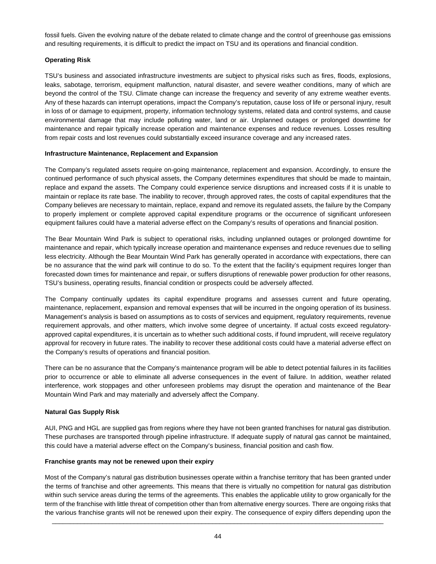fossil fuels. Given the evolving nature of the debate related to climate change and the control of greenhouse gas emissions and resulting requirements, it is difficult to predict the impact on TSU and its operations and financial condition.

# **Operating Risk**

TSU's business and associated infrastructure investments are subject to physical risks such as fires, floods, explosions, leaks, sabotage, terrorism, equipment malfunction, natural disaster, and severe weather conditions, many of which are beyond the control of the TSU. Climate change can increase the frequency and severity of any extreme weather events. Any of these hazards can interrupt operations, impact the Company's reputation, cause loss of life or personal injury, result in loss of or damage to equipment, property, information technology systems, related data and control systems, and cause environmental damage that may include polluting water, land or air. Unplanned outages or prolonged downtime for maintenance and repair typically increase operation and maintenance expenses and reduce revenues. Losses resulting from repair costs and lost revenues could substantially exceed insurance coverage and any increased rates.

# **Infrastructure Maintenance, Replacement and Expansion**

The Company's regulated assets require on-going maintenance, replacement and expansion. Accordingly, to ensure the continued performance of such physical assets, the Company determines expenditures that should be made to maintain, replace and expand the assets. The Company could experience service disruptions and increased costs if it is unable to maintain or replace its rate base. The inability to recover, through approved rates, the costs of capital expenditures that the Company believes are necessary to maintain, replace, expand and remove its regulated assets, the failure by the Company to properly implement or complete approved capital expenditure programs or the occurrence of significant unforeseen equipment failures could have a material adverse effect on the Company's results of operations and financial position.

The Bear Mountain Wind Park is subject to operational risks, including unplanned outages or prolonged downtime for maintenance and repair, which typically increase operation and maintenance expenses and reduce revenues due to selling less electricity. Although the Bear Mountain Wind Park has generally operated in accordance with expectations, there can be no assurance that the wind park will continue to do so. To the extent that the facility's equipment requires longer than forecasted down times for maintenance and repair, or suffers disruptions of renewable power production for other reasons, TSU's business, operating results, financial condition or prospects could be adversely affected.

The Company continually updates its capital expenditure programs and assesses current and future operating, maintenance, replacement, expansion and removal expenses that will be incurred in the ongoing operation of its business. Management's analysis is based on assumptions as to costs of services and equipment, regulatory requirements, revenue requirement approvals, and other matters, which involve some degree of uncertainty. If actual costs exceed regulatoryapproved capital expenditures, it is uncertain as to whether such additional costs, if found imprudent, will receive regulatory approval for recovery in future rates. The inability to recover these additional costs could have a material adverse effect on the Company's results of operations and financial position.

There can be no assurance that the Company's maintenance program will be able to detect potential failures in its facilities prior to occurrence or able to eliminate all adverse consequences in the event of failure. In addition, weather related interference, work stoppages and other unforeseen problems may disrupt the operation and maintenance of the Bear Mountain Wind Park and may materially and adversely affect the Company.

# **Natural Gas Supply Risk**

AUI, PNG and HGL are supplied gas from regions where they have not been granted franchises for natural gas distribution. These purchases are transported through pipeline infrastructure. If adequate supply of natural gas cannot be maintained, this could have a material adverse effect on the Company's business, financial position and cash flow.

# **Franchise grants may not be renewed upon their expiry**

Most of the Company's natural gas distribution businesses operate within a franchise territory that has been granted under the terms of franchise and other agreements. This means that there is virtually no competition for natural gas distribution within such service areas during the terms of the agreements. This enables the applicable utility to grow organically for the term of the franchise with little threat of competition other than from alternative energy sources. There are ongoing risks that the various franchise grants will not be renewed upon their expiry. The consequence of expiry differs depending upon the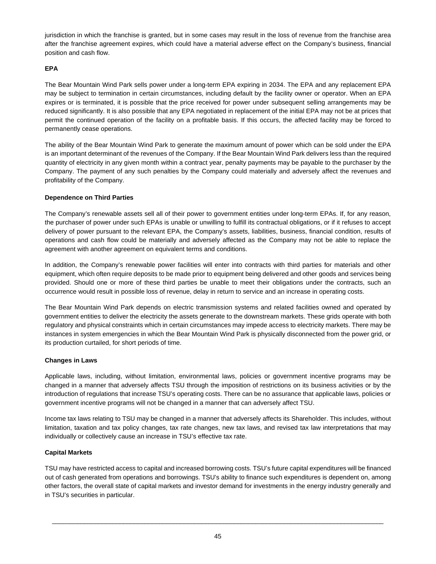jurisdiction in which the franchise is granted, but in some cases may result in the loss of revenue from the franchise area after the franchise agreement expires, which could have a material adverse effect on the Company's business, financial position and cash flow.

# **EPA**

The Bear Mountain Wind Park sells power under a long-term EPA expiring in 2034. The EPA and any replacement EPA may be subject to termination in certain circumstances, including default by the facility owner or operator. When an EPA expires or is terminated, it is possible that the price received for power under subsequent selling arrangements may be reduced significantly. It is also possible that any EPA negotiated in replacement of the initial EPA may not be at prices that permit the continued operation of the facility on a profitable basis. If this occurs, the affected facility may be forced to permanently cease operations.

The ability of the Bear Mountain Wind Park to generate the maximum amount of power which can be sold under the EPA is an important determinant of the revenues of the Company. If the Bear Mountain Wind Park delivers less than the required quantity of electricity in any given month within a contract year, penalty payments may be payable to the purchaser by the Company. The payment of any such penalties by the Company could materially and adversely affect the revenues and profitability of the Company.

# **Dependence on Third Parties**

The Company's renewable assets sell all of their power to government entities under long-term EPAs. If, for any reason, the purchaser of power under such EPAs is unable or unwilling to fulfill its contractual obligations, or if it refuses to accept delivery of power pursuant to the relevant EPA, the Company's assets, liabilities, business, financial condition, results of operations and cash flow could be materially and adversely affected as the Company may not be able to replace the agreement with another agreement on equivalent terms and conditions.

In addition, the Company's renewable power facilities will enter into contracts with third parties for materials and other equipment, which often require deposits to be made prior to equipment being delivered and other goods and services being provided. Should one or more of these third parties be unable to meet their obligations under the contracts, such an occurrence would result in possible loss of revenue, delay in return to service and an increase in operating costs.

The Bear Mountain Wind Park depends on electric transmission systems and related facilities owned and operated by government entities to deliver the electricity the assets generate to the downstream markets. These grids operate with both regulatory and physical constraints which in certain circumstances may impede access to electricity markets. There may be instances in system emergencies in which the Bear Mountain Wind Park is physically disconnected from the power grid, or its production curtailed, for short periods of time.

# **Changes in Laws**

Applicable laws, including, without limitation, environmental laws, policies or government incentive programs may be changed in a manner that adversely affects TSU through the imposition of restrictions on its business activities or by the introduction of regulations that increase TSU's operating costs. There can be no assurance that applicable laws, policies or government incentive programs will not be changed in a manner that can adversely affect TSU.

Income tax laws relating to TSU may be changed in a manner that adversely affects its Shareholder. This includes, without limitation, taxation and tax policy changes, tax rate changes, new tax laws, and revised tax law interpretations that may individually or collectively cause an increase in TSU's effective tax rate.

# **Capital Markets**

TSU may have restricted access to capital and increased borrowing costs. TSU's future capital expenditures will be financed out of cash generated from operations and borrowings. TSU's ability to finance such expenditures is dependent on, among other factors, the overall state of capital markets and investor demand for investments in the energy industry generally and in TSU's securities in particular.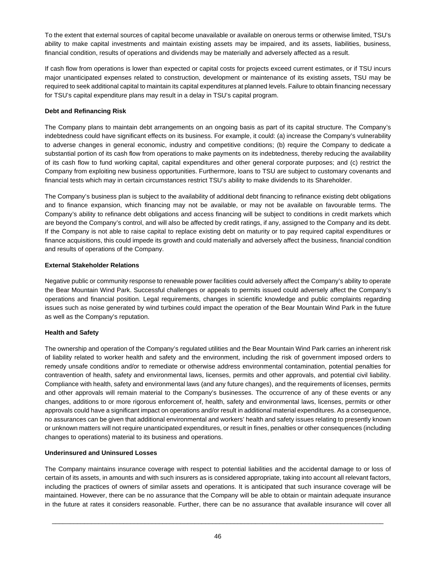To the extent that external sources of capital become unavailable or available on onerous terms or otherwise limited, TSU's ability to make capital investments and maintain existing assets may be impaired, and its assets, liabilities, business, financial condition, results of operations and dividends may be materially and adversely affected as a result.

If cash flow from operations is lower than expected or capital costs for projects exceed current estimates, or if TSU incurs major unanticipated expenses related to construction, development or maintenance of its existing assets, TSU may be required to seek additional capital to maintain its capital expenditures at planned levels. Failure to obtain financing necessary for TSU's capital expenditure plans may result in a delay in TSU's capital program.

# **Debt and Refinancing Risk**

The Company plans to maintain debt arrangements on an ongoing basis as part of its capital structure. The Company's indebtedness could have significant effects on its business. For example, it could: (a) increase the Company's vulnerability to adverse changes in general economic, industry and competitive conditions; (b) require the Company to dedicate a substantial portion of its cash flow from operations to make payments on its indebtedness, thereby reducing the availability of its cash flow to fund working capital, capital expenditures and other general corporate purposes; and (c) restrict the Company from exploiting new business opportunities. Furthermore, loans to TSU are subject to customary covenants and financial tests which may in certain circumstances restrict TSU's ability to make dividends to its Shareholder.

The Company's business plan is subject to the availability of additional debt financing to refinance existing debt obligations and to finance expansion, which financing may not be available, or may not be available on favourable terms. The Company's ability to refinance debt obligations and access financing will be subject to conditions in credit markets which are beyond the Company's control, and will also be affected by credit ratings, if any, assigned to the Company and its debt. If the Company is not able to raise capital to replace existing debt on maturity or to pay required capital expenditures or finance acquisitions, this could impede its growth and could materially and adversely affect the business, financial condition and results of operations of the Company.

# **External Stakeholder Relations**

Negative public or community response to renewable power facilities could adversely affect the Company's ability to operate the Bear Mountain Wind Park. Successful challenges or appeals to permits issued could adversely affect the Company's operations and financial position. Legal requirements, changes in scientific knowledge and public complaints regarding issues such as noise generated by wind turbines could impact the operation of the Bear Mountain Wind Park in the future as well as the Company's reputation.

# **Health and Safety**

The ownership and operation of the Company's regulated utilities and the Bear Mountain Wind Park carries an inherent risk of liability related to worker health and safety and the environment, including the risk of government imposed orders to remedy unsafe conditions and/or to remediate or otherwise address environmental contamination, potential penalties for contravention of health, safety and environmental laws, licenses, permits and other approvals, and potential civil liability. Compliance with health, safety and environmental laws (and any future changes), and the requirements of licenses, permits and other approvals will remain material to the Company's businesses. The occurrence of any of these events or any changes, additions to or more rigorous enforcement of, health, safety and environmental laws, licenses, permits or other approvals could have a significant impact on operations and/or result in additional material expenditures. As a consequence, no assurances can be given that additional environmental and workers' health and safety issues relating to presently known or unknown matters will not require unanticipated expenditures, or result in fines, penalties or other consequences (including changes to operations) material to its business and operations.

# **Underinsured and Uninsured Losses**

The Company maintains insurance coverage with respect to potential liabilities and the accidental damage to or loss of certain of its assets, in amounts and with such insurers as is considered appropriate, taking into account all relevant factors, including the practices of owners of similar assets and operations. It is anticipated that such insurance coverage will be maintained. However, there can be no assurance that the Company will be able to obtain or maintain adequate insurance in the future at rates it considers reasonable. Further, there can be no assurance that available insurance will cover all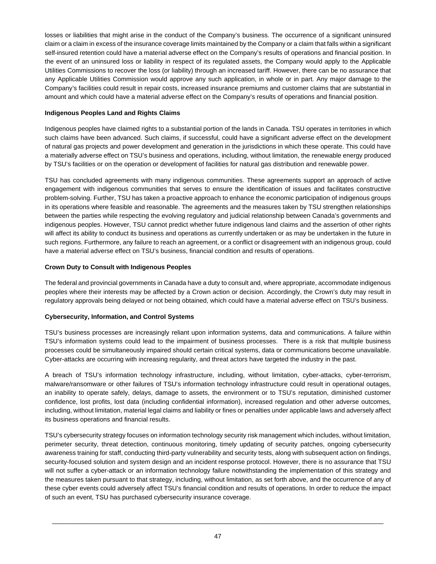losses or liabilities that might arise in the conduct of the Company's business. The occurrence of a significant uninsured claim or a claim in excess of the insurance coverage limits maintained by the Company or a claim that falls within a significant self-insured retention could have a material adverse effect on the Company's results of operations and financial position. In the event of an uninsured loss or liability in respect of its regulated assets, the Company would apply to the Applicable Utilities Commissions to recover the loss (or liability) through an increased tariff. However, there can be no assurance that any Applicable Utilities Commission would approve any such application, in whole or in part. Any major damage to the Company's facilities could result in repair costs, increased insurance premiums and customer claims that are substantial in amount and which could have a material adverse effect on the Company's results of operations and financial position.

# **Indigenous Peoples Land and Rights Claims**

Indigenous peoples have claimed rights to a substantial portion of the lands in Canada. TSU operates in territories in which such claims have been advanced. Such claims, if successful, could have a significant adverse effect on the development of natural gas projects and power development and generation in the jurisdictions in which these operate. This could have a materially adverse effect on TSU's business and operations, including, without limitation, the renewable energy produced by TSU's facilities or on the operation or development of facilities for natural gas distribution and renewable power.

TSU has concluded agreements with many indigenous communities. These agreements support an approach of active engagement with indigenous communities that serves to ensure the identification of issues and facilitates constructive problem-solving. Further, TSU has taken a proactive approach to enhance the economic participation of indigenous groups in its operations where feasible and reasonable. The agreements and the measures taken by TSU strengthen relationships between the parties while respecting the evolving regulatory and judicial relationship between Canada's governments and indigenous peoples. However, TSU cannot predict whether future indigenous land claims and the assertion of other rights will affect its ability to conduct its business and operations as currently undertaken or as may be undertaken in the future in such regions. Furthermore, any failure to reach an agreement, or a conflict or disagreement with an indigenous group, could have a material adverse effect on TSU's business, financial condition and results of operations.

# **Crown Duty to Consult with Indigenous Peoples**

The federal and provincial governments in Canada have a duty to consult and, where appropriate, accommodate indigenous peoples where their interests may be affected by a Crown action or decision. Accordingly, the Crown's duty may result in regulatory approvals being delayed or not being obtained, which could have a material adverse effect on TSU's business.

# **Cybersecurity, Information, and Control Systems**

TSU's business processes are increasingly reliant upon information systems, data and communications. A failure within TSU's information systems could lead to the impairment of business processes. There is a risk that multiple business processes could be simultaneously impaired should certain critical systems, data or communications become unavailable. Cyber-attacks are occurring with increasing regularity, and threat actors have targeted the industry in the past.

A breach of TSU's information technology infrastructure, including, without limitation, cyber-attacks, cyber-terrorism, malware/ransomware or other failures of TSU's information technology infrastructure could result in operational outages, an inability to operate safely, delays, damage to assets, the environment or to TSU's reputation, diminished customer confidence, lost profits, lost data (including confidential information), increased regulation and other adverse outcomes, including, without limitation, material legal claims and liability or fines or penalties under applicable laws and adversely affect its business operations and financial results.

TSU's cybersecurity strategy focuses on information technology security risk management which includes, without limitation, perimeter security, threat detection, continuous monitoring, timely updating of security patches, ongoing cybersecurity awareness training for staff, conducting third-party vulnerability and security tests, along with subsequent action on findings, security-focused solution and system design and an incident response protocol. However, there is no assurance that TSU will not suffer a cyber-attack or an information technology failure notwithstanding the implementation of this strategy and the measures taken pursuant to that strategy, including, without limitation, as set forth above, and the occurrence of any of these cyber events could adversely affect TSU's financial condition and results of operations. In order to reduce the impact of such an event, TSU has purchased cybersecurity insurance coverage.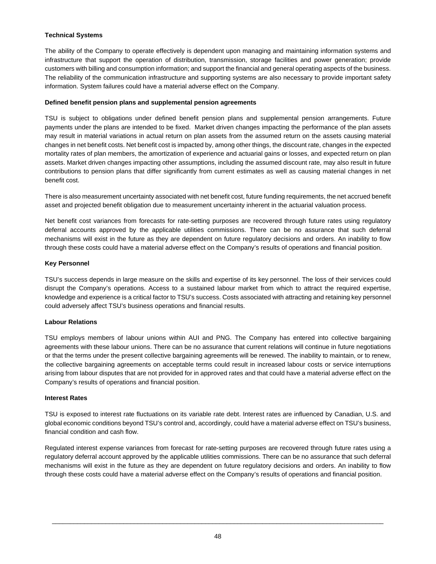# **Technical Systems**

The ability of the Company to operate effectively is dependent upon managing and maintaining information systems and infrastructure that support the operation of distribution, transmission, storage facilities and power generation; provide customers with billing and consumption information; and support the financial and general operating aspects of the business. The reliability of the communication infrastructure and supporting systems are also necessary to provide important safety information. System failures could have a material adverse effect on the Company.

## **Defined benefit pension plans and supplemental pension agreements**

TSU is subject to obligations under defined benefit pension plans and supplemental pension arrangements. Future payments under the plans are intended to be fixed. Market driven changes impacting the performance of the plan assets may result in material variations in actual return on plan assets from the assumed return on the assets causing material changes in net benefit costs. Net benefit cost is impacted by, among other things, the discount rate, changes in the expected mortality rates of plan members, the amortization of experience and actuarial gains or losses, and expected return on plan assets. Market driven changes impacting other assumptions, including the assumed discount rate, may also result in future contributions to pension plans that differ significantly from current estimates as well as causing material changes in net benefit cost.

There is also measurement uncertainty associated with net benefit cost, future funding requirements, the net accrued benefit asset and projected benefit obligation due to measurement uncertainty inherent in the actuarial valuation process.

Net benefit cost variances from forecasts for rate-setting purposes are recovered through future rates using regulatory deferral accounts approved by the applicable utilities commissions. There can be no assurance that such deferral mechanisms will exist in the future as they are dependent on future regulatory decisions and orders. An inability to flow through these costs could have a material adverse effect on the Company's results of operations and financial position.

## **Key Personnel**

TSU's success depends in large measure on the skills and expertise of its key personnel. The loss of their services could disrupt the Company's operations. Access to a sustained labour market from which to attract the required expertise, knowledge and experience is a critical factor to TSU's success. Costs associated with attracting and retaining key personnel could adversely affect TSU's business operations and financial results.

# **Labour Relations**

TSU employs members of labour unions within AUI and PNG. The Company has entered into collective bargaining agreements with these labour unions. There can be no assurance that current relations will continue in future negotiations or that the terms under the present collective bargaining agreements will be renewed. The inability to maintain, or to renew, the collective bargaining agreements on acceptable terms could result in increased labour costs or service interruptions arising from labour disputes that are not provided for in approved rates and that could have a material adverse effect on the Company's results of operations and financial position.

#### **Interest Rates**

TSU is exposed to interest rate fluctuations on its variable rate debt. Interest rates are influenced by Canadian, U.S. and global economic conditions beyond TSU's control and, accordingly, could have a material adverse effect on TSU's business, financial condition and cash flow.

Regulated interest expense variances from forecast for rate-setting purposes are recovered through future rates using a regulatory deferral account approved by the applicable utilities commissions. There can be no assurance that such deferral mechanisms will exist in the future as they are dependent on future regulatory decisions and orders. An inability to flow through these costs could have a material adverse effect on the Company's results of operations and financial position.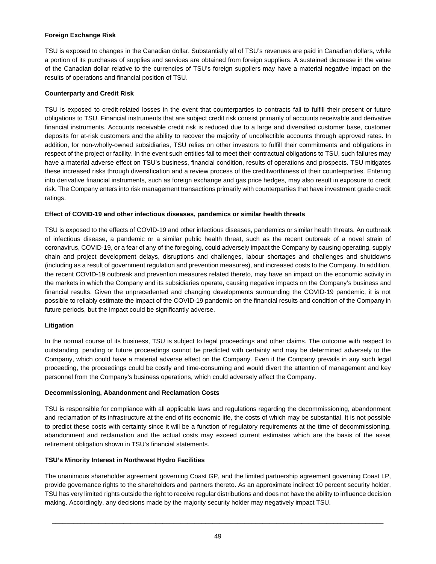# **Foreign Exchange Risk**

TSU is exposed to changes in the Canadian dollar. Substantially all of TSU's revenues are paid in Canadian dollars, while a portion of its purchases of supplies and services are obtained from foreign suppliers. A sustained decrease in the value of the Canadian dollar relative to the currencies of TSU's foreign suppliers may have a material negative impact on the results of operations and financial position of TSU.

## **Counterparty and Credit Risk**

TSU is exposed to credit-related losses in the event that counterparties to contracts fail to fulfill their present or future obligations to TSU. Financial instruments that are subject credit risk consist primarily of accounts receivable and derivative financial instruments. Accounts receivable credit risk is reduced due to a large and diversified customer base, customer deposits for at-risk customers and the ability to recover the majority of uncollectible accounts through approved rates. In addition, for non-wholly-owned subsidiaries, TSU relies on other investors to fulfill their commitments and obligations in respect of the project or facility. In the event such entities fail to meet their contractual obligations to TSU, such failures may have a material adverse effect on TSU's business, financial condition, results of operations and prospects. TSU mitigates these increased risks through diversification and a review process of the creditworthiness of their counterparties. Entering into derivative financial instruments, such as foreign exchange and gas price hedges, may also result in exposure to credit risk. The Company enters into risk management transactions primarily with counterparties that have investment grade credit ratings.

## **Effect of COVID-19 and other infectious diseases, pandemics or similar health threats**

TSU is exposed to the effects of COVID-19 and other infectious diseases, pandemics or similar health threats. An outbreak of infectious disease, a pandemic or a similar public health threat, such as the recent outbreak of a novel strain of coronavirus, COVID-19, or a fear of any of the foregoing, could adversely impact the Company by causing operating, supply chain and project development delays, disruptions and challenges, labour shortages and challenges and shutdowns (including as a result of government regulation and prevention measures), and increased costs to the Company. In addition, the recent COVID-19 outbreak and prevention measures related thereto, may have an impact on the economic activity in the markets in which the Company and its subsidiaries operate, causing negative impacts on the Company's business and financial results. Given the unprecedented and changing developments surrounding the COVID-19 pandemic, it is not possible to reliably estimate the impact of the COVID-19 pandemic on the financial results and condition of the Company in future periods, but the impact could be significantly adverse.

# **Litigation**

In the normal course of its business, TSU is subject to legal proceedings and other claims. The outcome with respect to outstanding, pending or future proceedings cannot be predicted with certainty and may be determined adversely to the Company, which could have a material adverse effect on the Company. Even if the Company prevails in any such legal proceeding, the proceedings could be costly and time-consuming and would divert the attention of management and key personnel from the Company's business operations, which could adversely affect the Company.

#### **Decommissioning, Abandonment and Reclamation Costs**

TSU is responsible for compliance with all applicable laws and regulations regarding the decommissioning, abandonment and reclamation of its infrastructure at the end of its economic life, the costs of which may be substantial. It is not possible to predict these costs with certainty since it will be a function of regulatory requirements at the time of decommissioning, abandonment and reclamation and the actual costs may exceed current estimates which are the basis of the asset retirement obligation shown in TSU's financial statements.

# **TSU's Minority Interest in Northwest Hydro Facilities**

The unanimous shareholder agreement governing Coast GP, and the limited partnership agreement governing Coast LP, provide governance rights to the shareholders and partners thereto. As an approximate indirect 10 percent security holder, TSU has very limited rights outside the right to receive regular distributions and does not have the ability to influence decision making. Accordingly, any decisions made by the majority security holder may negatively impact TSU.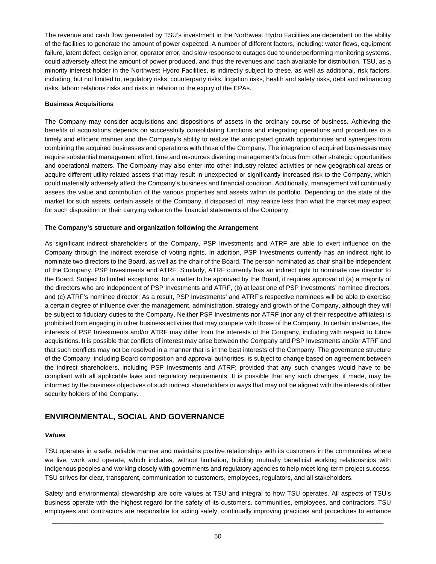The revenue and cash flow generated by TSU's investment in the Northwest Hydro Facilities are dependent on the ability of the facilities to generate the amount of power expected. A number of different factors, including: water flows, equipment failure, latent defect, design error, operator error, and slow response to outages due to underperforming monitoring systems, could adversely affect the amount of power produced, and thus the revenues and cash available for distribution. TSU, as a minority interest holder in the Northwest Hydro Facilities, is indirectly subject to these, as well as additional, risk factors, including, but not limited to, regulatory risks, counterparty risks, litigation risks, health and safety risks, debt and refinancing risks, labour relations risks and risks in relation to the expiry of the EPAs.

## **Business Acquisitions**

The Company may consider acquisitions and dispositions of assets in the ordinary course of business. Achieving the benefits of acquisitions depends on successfully consolidating functions and integrating operations and procedures in a timely and efficient manner and the Company's ability to realize the anticipated growth opportunities and synergies from combining the acquired businesses and operations with those of the Company. The integration of acquired businesses may require substantial management effort, time and resources diverting management's focus from other strategic opportunities and operational matters. The Company may also enter into other industry related activities or new geographical areas or acquire different utility-related assets that may result in unexpected or significantly increased risk to the Company, which could materially adversely affect the Company's business and financial condition. Additionally, management will continually assess the value and contribution of the various properties and assets within its portfolio. Depending on the state of the market for such assets, certain assets of the Company, if disposed of, may realize less than what the market may expect for such disposition or their carrying value on the financial statements of the Company.

## **The Company's structure and organization following the Arrangement**

As significant indirect shareholders of the Company, PSP Investments and ATRF are able to exert influence on the Company through the indirect exercise of voting rights. In addition, PSP Investments currently has an indirect right to nominate two directors to the Board, as well as the chair of the Board. The person nominated as chair shall be independent of the Company, PSP Investments and ATRF. Similarly, ATRF currently has an indirect right to nominate one director to the Board. Subject to limited exceptions, for a matter to be approved by the Board, it requires approval of (a) a majority of the directors who are independent of PSP Investments and ATRF, (b) at least one of PSP Investments' nominee directors, and (c) ATRF's nominee director. As a result, PSP Investments' and ATRF's respective nominees will be able to exercise a certain degree of influence over the management, administration, strategy and growth of the Company, although they will be subject to fiduciary duties to the Company. Neither PSP Investments nor ATRF (nor any of their respective affiliates) is prohibited from engaging in other business activities that may compete with those of the Company. In certain instances, the interests of PSP Investments and/or ATRF may differ from the interests of the Company, including with respect to future acquisitions. It is possible that conflicts of interest may arise between the Company and PSP Investments and/or ATRF and that such conflicts may not be resolved in a manner that is in the best interests of the Company. The governance structure of the Company, including Board composition and approval authorities, is subject to change based on agreement between the indirect shareholders, including PSP Investments and ATRF; provided that any such changes would have to be compliant with all applicable laws and regulatory requirements. It is possible that any such changes, if made, may be informed by the business objectives of such indirect shareholders in ways that may not be aligned with the interests of other security holders of the Company.

# **ENVIRONMENTAL, SOCIAL AND GOVERNANCE**

#### *Values*

TSU operates in a safe, reliable manner and maintains positive relationships with its customers in the communities where we live, work and operate, which includes, without limitation, building mutually beneficial working relationships with Indigenous peoples and working closely with governments and regulatory agencies to help meet long-term project success. TSU strives for clear, transparent, communication to customers, employees, regulators, and all stakeholders.

Safety and environmental stewardship are core values at TSU and integral to how TSU operates. All aspects of TSU's business operate with the highest regard for the safety of its customers, communities, employees, and contractors. TSU employees and contractors are responsible for acting safely, continually improving practices and procedures to enhance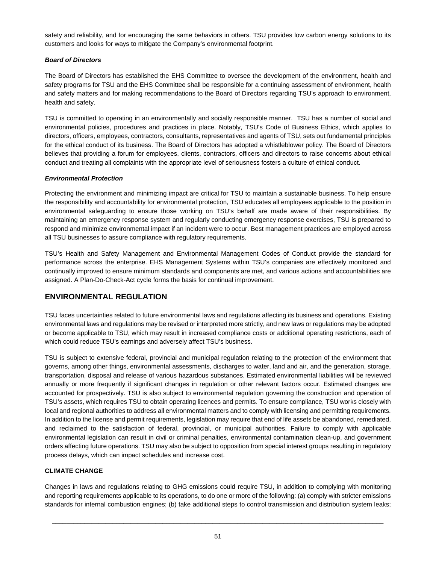safety and reliability, and for encouraging the same behaviors in others. TSU provides low carbon energy solutions to its customers and looks for ways to mitigate the Company's environmental footprint.

# *Board of Directors*

The Board of Directors has established the EHS Committee to oversee the development of the environment, health and safety programs for TSU and the EHS Committee shall be responsible for a continuing assessment of environment, health and safety matters and for making recommendations to the Board of Directors regarding TSU's approach to environment, health and safety.

TSU is committed to operating in an environmentally and socially responsible manner. TSU has a number of social and environmental policies, procedures and practices in place. Notably, TSU's Code of Business Ethics, which applies to directors, officers, employees, contractors, consultants, representatives and agents of TSU, sets out fundamental principles for the ethical conduct of its business. The Board of Directors has adopted a whistleblower policy. The Board of Directors believes that providing a forum for employees, clients, contractors, officers and directors to raise concerns about ethical conduct and treating all complaints with the appropriate level of seriousness fosters a culture of ethical conduct.

## *Environmental Protection*

Protecting the environment and minimizing impact are critical for TSU to maintain a sustainable business. To help ensure the responsibility and accountability for environmental protection, TSU educates all employees applicable to the position in environmental safeguarding to ensure those working on TSU's behalf are made aware of their responsibilities. By maintaining an emergency response system and regularly conducting emergency response exercises, TSU is prepared to respond and minimize environmental impact if an incident were to occur. Best management practices are employed across all TSU businesses to assure compliance with regulatory requirements.

TSU's Health and Safety Management and Environmental Management Codes of Conduct provide the standard for performance across the enterprise. EHS Management Systems within TSU's companies are effectively monitored and continually improved to ensure minimum standards and components are met, and various actions and accountabilities are assigned. A Plan-Do-Check-Act cycle forms the basis for continual improvement.

# **ENVIRONMENTAL REGULATION**

TSU faces uncertainties related to future environmental laws and regulations affecting its business and operations. Existing environmental laws and regulations may be revised or interpreted more strictly, and new laws or regulations may be adopted or become applicable to TSU, which may result in increased compliance costs or additional operating restrictions, each of which could reduce TSU's earnings and adversely affect TSU's business.

TSU is subject to extensive federal, provincial and municipal regulation relating to the protection of the environment that governs, among other things, environmental assessments, discharges to water, land and air, and the generation, storage, transportation, disposal and release of various hazardous substances. Estimated environmental liabilities will be reviewed annually or more frequently if significant changes in regulation or other relevant factors occur. Estimated changes are accounted for prospectively. TSU is also subject to environmental regulation governing the construction and operation of TSU's assets, which requires TSU to obtain operating licences and permits. To ensure compliance, TSU works closely with local and regional authorities to address all environmental matters and to comply with licensing and permitting requirements. In addition to the license and permit requirements, legislation may require that end of life assets be abandoned, remediated, and reclaimed to the satisfaction of federal, provincial, or municipal authorities. Failure to comply with applicable environmental legislation can result in civil or criminal penalties, environmental contamination clean-up, and government orders affecting future operations. TSU may also be subject to opposition from special interest groups resulting in regulatory process delays, which can impact schedules and increase cost.

# **CLIMATE CHANGE**

Changes in laws and regulations relating to GHG emissions could require TSU, in addition to complying with monitoring and reporting requirements applicable to its operations, to do one or more of the following: (a) comply with stricter emissions standards for internal combustion engines; (b) take additional steps to control transmission and distribution system leaks;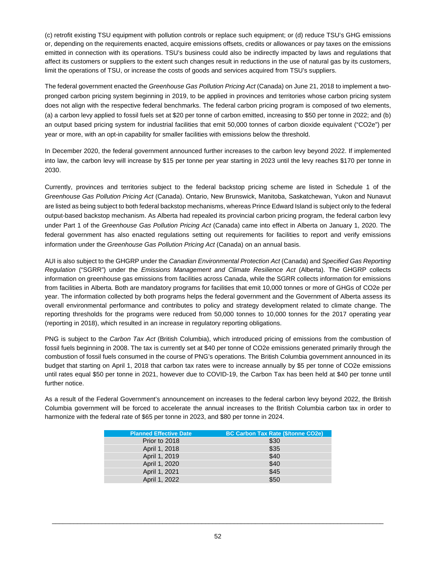(c) retrofit existing TSU equipment with pollution controls or replace such equipment; or (d) reduce TSU's GHG emissions or, depending on the requirements enacted, acquire emissions offsets, credits or allowances or pay taxes on the emissions emitted in connection with its operations. TSU's business could also be indirectly impacted by laws and regulations that affect its customers or suppliers to the extent such changes result in reductions in the use of natural gas by its customers, limit the operations of TSU, or increase the costs of goods and services acquired from TSU's suppliers.

The federal government enacted the *Greenhouse Gas Pollution Pricing Act* (Canada) on June 21, 2018 to implement a twopronged carbon pricing system beginning in 2019, to be applied in provinces and territories whose carbon pricing system does not align with the respective federal benchmarks. The federal carbon pricing program is composed of two elements, (a) a carbon levy applied to fossil fuels set at \$20 per tonne of carbon emitted, increasing to \$50 per tonne in 2022; and (b) an output based pricing system for industrial facilities that emit 50,000 tonnes of carbon dioxide equivalent ("CO2e") per year or more, with an opt-in capability for smaller facilities with emissions below the threshold.

In December 2020, the federal government announced further increases to the carbon levy beyond 2022. If implemented into law, the carbon levy will increase by \$15 per tonne per year starting in 2023 until the levy reaches \$170 per tonne in 2030.

Currently, provinces and territories subject to the federal backstop pricing scheme are listed in Schedule 1 of the *Greenhouse Gas Pollution Pricing Act* (Canada). Ontario, New Brunswick, Manitoba, Saskatchewan, Yukon and Nunavut are listed as being subject to both federal backstop mechanisms, whereas Prince Edward Island is subject only to the federal output-based backstop mechanism. As Alberta had repealed its provincial carbon pricing program, the federal carbon levy under Part 1 of the *Greenhouse Gas Pollution Pricing Act* (Canada) came into effect in Alberta on January 1, 2020. The federal government has also enacted regulations setting out requirements for facilities to report and verify emissions information under the *Greenhouse Gas Pollution Pricing Act* (Canada) on an annual basis.

AUI is also subject to the GHGRP under the *Canadian Environmental Protection Act* (Canada) and *Specified Gas Reporting Regulation* ("SGRR") under the *Emissions Management and Climate Resilience Act* (Alberta). The GHGRP collects information on greenhouse gas emissions from facilities across Canada, while the SGRR collects information for emissions from facilities in Alberta. Both are mandatory programs for facilities that emit 10,000 tonnes or more of GHGs of CO2e per year. The information collected by both programs helps the federal government and the Government of Alberta assess its overall environmental performance and contributes to policy and strategy development related to climate change. The reporting thresholds for the programs were reduced from 50,000 tonnes to 10,000 tonnes for the 2017 operating year (reporting in 2018), which resulted in an increase in regulatory reporting obligations.

PNG is subject to the *Carbon Tax Act* (British Columbia), which introduced pricing of emissions from the combustion of fossil fuels beginning in 2008. The tax is currently set at \$40 per tonne of CO2e emissions generated primarily through the combustion of fossil fuels consumed in the course of PNG's operations. The British Columbia government announced in its budget that starting on April 1, 2018 that carbon tax rates were to increase annually by \$5 per tonne of CO2e emissions until rates equal \$50 per tonne in 2021, however due to COVID-19, the Carbon Tax has been held at \$40 per tonne until further notice.

As a result of the Federal Government's announcement on increases to the federal carbon levy beyond 2022, the British Columbia government will be forced to accelerate the annual increases to the British Columbia carbon tax in order to harmonize with the federal rate of \$65 per tonne in 2023, and \$80 per tonne in 2024.

| <b>Planned Effective Date</b> | <b>BC Carbon Tax Rate (\$/tonne CO2e)</b> |
|-------------------------------|-------------------------------------------|
| Prior to 2018                 | \$30                                      |
| April 1, 2018                 | \$35                                      |
| April 1, 2019                 | \$40                                      |
| April 1, 2020                 | \$40                                      |
| April 1, 2021                 | \$45                                      |
| April 1, 2022                 | \$50                                      |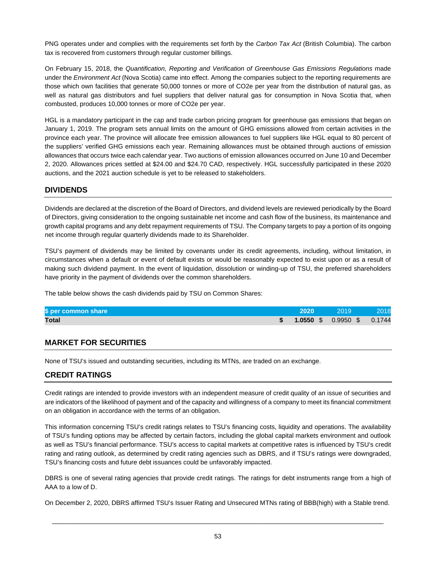PNG operates under and complies with the requirements set forth by the *Carbon Tax Act* (British Columbia). The carbon tax is recovered from customers through regular customer billings.

On February 15, 2018, the *Quantification, Reporting and Verification of Greenhouse Gas Emissions Regulations* made under the *Environment Act* (Nova Scotia) came into effect. Among the companies subject to the reporting requirements are those which own facilities that generate 50,000 tonnes or more of CO2e per year from the distribution of natural gas, as well as natural gas distributors and fuel suppliers that deliver natural gas for consumption in Nova Scotia that, when combusted, produces 10,000 tonnes or more of CO2e per year.

HGL is a mandatory participant in the cap and trade carbon pricing program for greenhouse gas emissions that began on January 1, 2019. The program sets annual limits on the amount of GHG emissions allowed from certain activities in the province each year. The province will allocate free emission allowances to fuel suppliers like HGL equal to 80 percent of the suppliers' verified GHG emissions each year. Remaining allowances must be obtained through auctions of emission allowances that occurs twice each calendar year. Two auctions of emission allowances occurred on June 10 and December 2, 2020. Allowances prices settled at \$24.00 and \$24.70 CAD, respectively. HGL successfully participated in these 2020 auctions, and the 2021 auction schedule is yet to be released to stakeholders.

# **DIVIDENDS**

Dividends are declared at the discretion of the Board of Directors, and dividend levels are reviewed periodically by the Board of Directors, giving consideration to the ongoing sustainable net income and cash flow of the business, its maintenance and growth capital programs and any debt repayment requirements of TSU. The Company targets to pay a portion of its ongoing net income through regular quarterly dividends made to its Shareholder.

TSU's payment of dividends may be limited by covenants under its credit agreements, including, without limitation, in circumstances when a default or event of default exists or would be reasonably expected to exist upon or as a result of making such dividend payment. In the event of liquidation, dissolution or winding-up of TSU, the preferred shareholders have priority in the payment of dividends over the common shareholders.

The table below shows the cash dividends paid by TSU on Common Shares:

| \$ per common share | 2020 | 2019                                    | 2018 |
|---------------------|------|-----------------------------------------|------|
| <b>Total</b>        |      | $$ 1.0550 \text{ }$ \$ 0.9950 \$ 0.1744 |      |

# **MARKET FOR SECURITIES**

None of TSU's issued and outstanding securities, including its MTNs, are traded on an exchange.

# **CREDIT RATINGS**

Credit ratings are intended to provide investors with an independent measure of credit quality of an issue of securities and are indicators of the likelihood of payment and of the capacity and willingness of a company to meet its financial commitment on an obligation in accordance with the terms of an obligation.

This information concerning TSU's credit ratings relates to TSU's financing costs, liquidity and operations. The availability of TSU's funding options may be affected by certain factors, including the global capital markets environment and outlook as well as TSU's financial performance. TSU's access to capital markets at competitive rates is influenced by TSU's credit rating and rating outlook, as determined by credit rating agencies such as DBRS, and if TSU's ratings were downgraded, TSU's financing costs and future debt issuances could be unfavorably impacted.

DBRS is one of several rating agencies that provide credit ratings. The ratings for debt instruments range from a high of AAA to a low of D.

On December 2, 2020, DBRS affirmed TSU's Issuer Rating and Unsecured MTNs rating of BBB(high) with a Stable trend.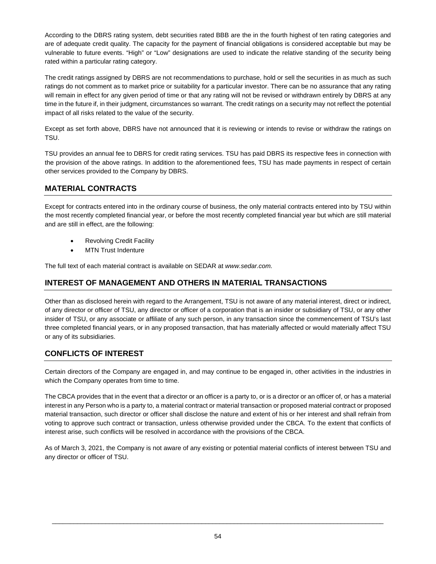According to the DBRS rating system, debt securities rated BBB are the in the fourth highest of ten rating categories and are of adequate credit quality. The capacity for the payment of financial obligations is considered acceptable but may be vulnerable to future events. "High" or "Low" designations are used to indicate the relative standing of the security being rated within a particular rating category.

The credit ratings assigned by DBRS are not recommendations to purchase, hold or sell the securities in as much as such ratings do not comment as to market price or suitability for a particular investor. There can be no assurance that any rating will remain in effect for any given period of time or that any rating will not be revised or withdrawn entirely by DBRS at any time in the future if, in their judgment, circumstances so warrant. The credit ratings on a security may not reflect the potential impact of all risks related to the value of the security.

Except as set forth above, DBRS have not announced that it is reviewing or intends to revise or withdraw the ratings on TSU.

TSU provides an annual fee to DBRS for credit rating services. TSU has paid DBRS its respective fees in connection with the provision of the above ratings. In addition to the aforementioned fees, TSU has made payments in respect of certain other services provided to the Company by DBRS.

# **MATERIAL CONTRACTS**

Except for contracts entered into in the ordinary course of business, the only material contracts entered into by TSU within the most recently completed financial year, or before the most recently completed financial year but which are still material and are still in effect, are the following:

- **Revolving Credit Facility**
- **MTN Trust Indenture**

The full text of each material contract is available on SEDAR at *www.sedar.com.*

# **INTEREST OF MANAGEMENT AND OTHERS IN MATERIAL TRANSACTIONS**

Other than as disclosed herein with regard to the Arrangement, TSU is not aware of any material interest, direct or indirect, of any director or officer of TSU, any director or officer of a corporation that is an insider or subsidiary of TSU, or any other insider of TSU, or any associate or affiliate of any such person, in any transaction since the commencement of TSU's last three completed financial years, or in any proposed transaction, that has materially affected or would materially affect TSU or any of its subsidiaries.

# **CONFLICTS OF INTEREST**

Certain directors of the Company are engaged in, and may continue to be engaged in, other activities in the industries in which the Company operates from time to time.

The CBCA provides that in the event that a director or an officer is a party to, or is a director or an officer of, or has a material interest in any Person who is a party to, a material contract or material transaction or proposed material contract or proposed material transaction, such director or officer shall disclose the nature and extent of his or her interest and shall refrain from voting to approve such contract or transaction, unless otherwise provided under the CBCA. To the extent that conflicts of interest arise, such conflicts will be resolved in accordance with the provisions of the CBCA.

As of March 3, 2021, the Company is not aware of any existing or potential material conflicts of interest between TSU and any director or officer of TSU.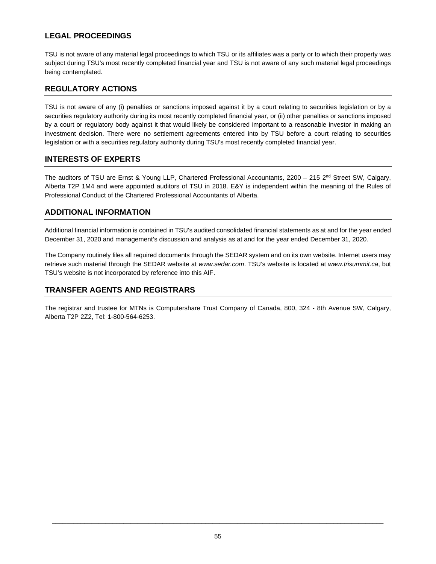# **LEGAL PROCEEDINGS**

TSU is not aware of any material legal proceedings to which TSU or its affiliates was a party or to which their property was subject during TSU's most recently completed financial year and TSU is not aware of any such material legal proceedings being contemplated.

# **REGULATORY ACTIONS**

TSU is not aware of any (i) penalties or sanctions imposed against it by a court relating to securities legislation or by a securities regulatory authority during its most recently completed financial year, or (ii) other penalties or sanctions imposed by a court or regulatory body against it that would likely be considered important to a reasonable investor in making an investment decision. There were no settlement agreements entered into by TSU before a court relating to securities legislation or with a securities regulatory authority during TSU's most recently completed financial year.

# **INTERESTS OF EXPERTS**

The auditors of TSU are Ernst & Young LLP, Chartered Professional Accountants, 2200 – 215 2<sup>nd</sup> Street SW, Calgary, Alberta T2P 1M4 and were appointed auditors of TSU in 2018. E&Y is independent within the meaning of the Rules of Professional Conduct of the Chartered Professional Accountants of Alberta.

# **ADDITIONAL INFORMATION**

Additional financial information is contained in TSU's audited consolidated financial statements as at and for the year ended December 31, 2020 and management's discussion and analysis as at and for the year ended December 31, 2020.

The Company routinely files all required documents through the SEDAR system and on its own website. Internet users may retrieve such material through the SEDAR website at *www.sedar.com*. TSU's website is located at *www.trisummit.ca*, but TSU's website is not incorporated by reference into this AIF.

# **TRANSFER AGENTS AND REGISTRARS**

The registrar and trustee for MTNs is Computershare Trust Company of Canada, 800, 324 - 8th Avenue SW, Calgary, Alberta T2P 2Z2, Tel: 1-800-564-6253.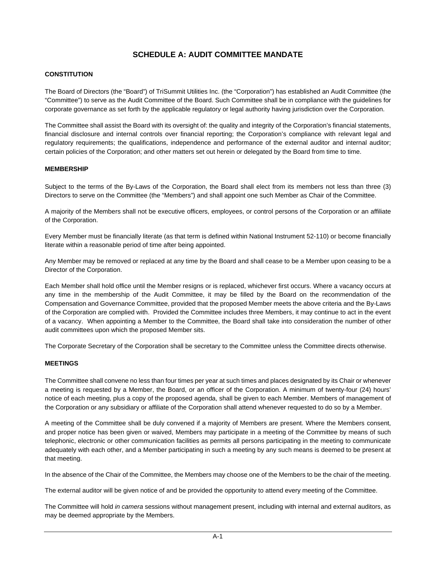# **SCHEDULE A: AUDIT COMMITTEE MANDATE**

## **CONSTITUTION**

The Board of Directors (the "Board") of TriSummit Utilities Inc. (the "Corporation") has established an Audit Committee (the "Committee") to serve as the Audit Committee of the Board. Such Committee shall be in compliance with the guidelines for corporate governance as set forth by the applicable regulatory or legal authority having jurisdiction over the Corporation.

The Committee shall assist the Board with its oversight of: the quality and integrity of the Corporation's financial statements, financial disclosure and internal controls over financial reporting; the Corporation's compliance with relevant legal and regulatory requirements; the qualifications, independence and performance of the external auditor and internal auditor; certain policies of the Corporation; and other matters set out herein or delegated by the Board from time to time.

## **MEMBERSHIP**

Subject to the terms of the By-Laws of the Corporation, the Board shall elect from its members not less than three (3) Directors to serve on the Committee (the "Members") and shall appoint one such Member as Chair of the Committee.

A majority of the Members shall not be executive officers, employees, or control persons of the Corporation or an affiliate of the Corporation.

Every Member must be financially literate (as that term is defined within National Instrument 52-110) or become financially literate within a reasonable period of time after being appointed.

Any Member may be removed or replaced at any time by the Board and shall cease to be a Member upon ceasing to be a Director of the Corporation.

Each Member shall hold office until the Member resigns or is replaced, whichever first occurs. Where a vacancy occurs at any time in the membership of the Audit Committee, it may be filled by the Board on the recommendation of the Compensation and Governance Committee, provided that the proposed Member meets the above criteria and the By-Laws of the Corporation are complied with. Provided the Committee includes three Members, it may continue to act in the event of a vacancy. When appointing a Member to the Committee, the Board shall take into consideration the number of other audit committees upon which the proposed Member sits.

The Corporate Secretary of the Corporation shall be secretary to the Committee unless the Committee directs otherwise.

### **MEETINGS**

The Committee shall convene no less than four times per year at such times and places designated by its Chair or whenever a meeting is requested by a Member, the Board, or an officer of the Corporation. A minimum of twenty-four (24) hours' notice of each meeting, plus a copy of the proposed agenda, shall be given to each Member. Members of management of the Corporation or any subsidiary or affiliate of the Corporation shall attend whenever requested to do so by a Member.

A meeting of the Committee shall be duly convened if a majority of Members are present. Where the Members consent, and proper notice has been given or waived, Members may participate in a meeting of the Committee by means of such telephonic, electronic or other communication facilities as permits all persons participating in the meeting to communicate adequately with each other, and a Member participating in such a meeting by any such means is deemed to be present at that meeting.

In the absence of the Chair of the Committee, the Members may choose one of the Members to be the chair of the meeting.

The external auditor will be given notice of and be provided the opportunity to attend every meeting of the Committee.

The Committee will hold *in camera* sessions without management present, including with internal and external auditors, as may be deemed appropriate by the Members.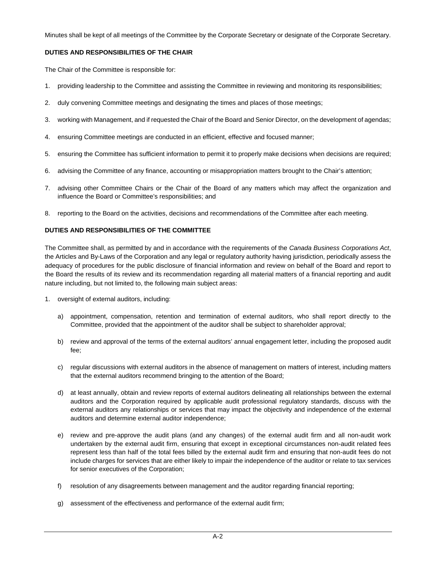Minutes shall be kept of all meetings of the Committee by the Corporate Secretary or designate of the Corporate Secretary.

# **DUTIES AND RESPONSIBILITIES OF THE CHAIR**

The Chair of the Committee is responsible for:

- 1. providing leadership to the Committee and assisting the Committee in reviewing and monitoring its responsibilities;
- 2. duly convening Committee meetings and designating the times and places of those meetings;
- 3. working with Management, and if requested the Chair of the Board and Senior Director, on the development of agendas;
- 4. ensuring Committee meetings are conducted in an efficient, effective and focused manner;
- 5. ensuring the Committee has sufficient information to permit it to properly make decisions when decisions are required;
- 6. advising the Committee of any finance, accounting or misappropriation matters brought to the Chair's attention;
- 7. advising other Committee Chairs or the Chair of the Board of any matters which may affect the organization and influence the Board or Committee's responsibilities; and
- 8. reporting to the Board on the activities, decisions and recommendations of the Committee after each meeting.

# **DUTIES AND RESPONSIBILITIES OF THE COMMITTEE**

The Committee shall, as permitted by and in accordance with the requirements of the *Canada Business Corporations Act*, the Articles and By-Laws of the Corporation and any legal or regulatory authority having jurisdiction, periodically assess the adequacy of procedures for the public disclosure of financial information and review on behalf of the Board and report to the Board the results of its review and its recommendation regarding all material matters of a financial reporting and audit nature including, but not limited to, the following main subject areas:

- 1. oversight of external auditors, including:
	- a) appointment, compensation, retention and termination of external auditors, who shall report directly to the Committee, provided that the appointment of the auditor shall be subject to shareholder approval;
	- b) review and approval of the terms of the external auditors' annual engagement letter, including the proposed audit fee;
	- c) regular discussions with external auditors in the absence of management on matters of interest, including matters that the external auditors recommend bringing to the attention of the Board;
	- d) at least annually, obtain and review reports of external auditors delineating all relationships between the external auditors and the Corporation required by applicable audit professional regulatory standards, discuss with the external auditors any relationships or services that may impact the objectivity and independence of the external auditors and determine external auditor independence;
	- e) review and pre-approve the audit plans (and any changes) of the external audit firm and all non-audit work undertaken by the external audit firm, ensuring that except in exceptional circumstances non-audit related fees represent less than half of the total fees billed by the external audit firm and ensuring that non-audit fees do not include charges for services that are either likely to impair the independence of the auditor or relate to tax services for senior executives of the Corporation;
	- f) resolution of any disagreements between management and the auditor regarding financial reporting;
	- g) assessment of the effectiveness and performance of the external audit firm;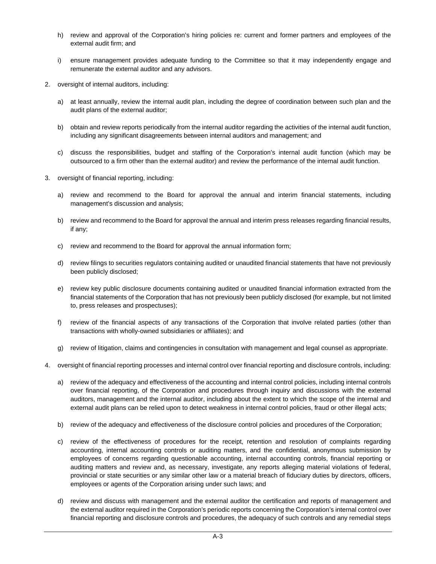- h) review and approval of the Corporation's hiring policies re: current and former partners and employees of the external audit firm; and
- i) ensure management provides adequate funding to the Committee so that it may independently engage and remunerate the external auditor and any advisors.
- 2. oversight of internal auditors, including:
	- a) at least annually, review the internal audit plan, including the degree of coordination between such plan and the audit plans of the external auditor;
	- b) obtain and review reports periodically from the internal auditor regarding the activities of the internal audit function, including any significant disagreements between internal auditors and management; and
	- c) discuss the responsibilities, budget and staffing of the Corporation's internal audit function (which may be outsourced to a firm other than the external auditor) and review the performance of the internal audit function.
- 3. oversight of financial reporting, including:
	- a) review and recommend to the Board for approval the annual and interim financial statements, including management's discussion and analysis;
	- b) review and recommend to the Board for approval the annual and interim press releases regarding financial results, if any;
	- c) review and recommend to the Board for approval the annual information form;
	- d) review filings to securities regulators containing audited or unaudited financial statements that have not previously been publicly disclosed;
	- e) review key public disclosure documents containing audited or unaudited financial information extracted from the financial statements of the Corporation that has not previously been publicly disclosed (for example, but not limited to, press releases and prospectuses);
	- f) review of the financial aspects of any transactions of the Corporation that involve related parties (other than transactions with wholly-owned subsidiaries or affiliates); and
	- g) review of litigation, claims and contingencies in consultation with management and legal counsel as appropriate.
- 4. oversight of financial reporting processes and internal control over financial reporting and disclosure controls, including:
	- a) review of the adequacy and effectiveness of the accounting and internal control policies, including internal controls over financial reporting, of the Corporation and procedures through inquiry and discussions with the external auditors, management and the internal auditor, including about the extent to which the scope of the internal and external audit plans can be relied upon to detect weakness in internal control policies, fraud or other illegal acts;
	- b) review of the adequacy and effectiveness of the disclosure control policies and procedures of the Corporation;
	- c) review of the effectiveness of procedures for the receipt, retention and resolution of complaints regarding accounting, internal accounting controls or auditing matters, and the confidential, anonymous submission by employees of concerns regarding questionable accounting, internal accounting controls, financial reporting or auditing matters and review and, as necessary, investigate, any reports alleging material violations of federal, provincial or state securities or any similar other law or a material breach of fiduciary duties by directors, officers, employees or agents of the Corporation arising under such laws; and
	- d) review and discuss with management and the external auditor the certification and reports of management and the external auditor required in the Corporation's periodic reports concerning the Corporation's internal control over financial reporting and disclosure controls and procedures, the adequacy of such controls and any remedial steps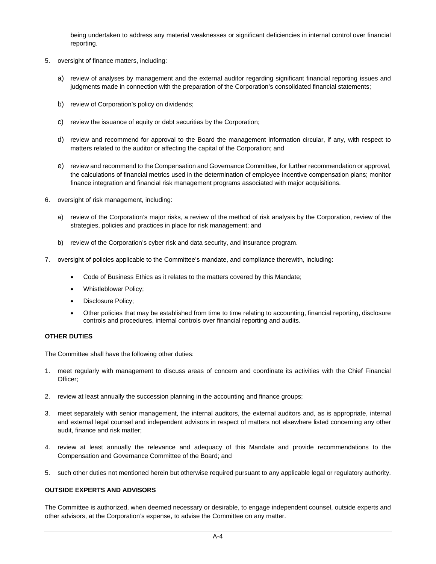being undertaken to address any material weaknesses or significant deficiencies in internal control over financial reporting.

- 5. oversight of finance matters, including:
	- a) review of analyses by management and the external auditor regarding significant financial reporting issues and judgments made in connection with the preparation of the Corporation's consolidated financial statements;
	- b) review of Corporation's policy on dividends;
	- c) review the issuance of equity or debt securities by the Corporation;
	- d) review and recommend for approval to the Board the management information circular, if any, with respect to matters related to the auditor or affecting the capital of the Corporation; and
	- e) review and recommend to the Compensation and Governance Committee, for further recommendation or approval, the calculations of financial metrics used in the determination of employee incentive compensation plans; monitor finance integration and financial risk management programs associated with major acquisitions.
- 6. oversight of risk management, including:
	- a) review of the Corporation's major risks, a review of the method of risk analysis by the Corporation, review of the strategies, policies and practices in place for risk management; and
	- b) review of the Corporation's cyber risk and data security, and insurance program.
- 7. oversight of policies applicable to the Committee's mandate, and compliance therewith, including:
	- Code of Business Ethics as it relates to the matters covered by this Mandate;
	- Whistleblower Policy;
	- Disclosure Policy;
	- · Other policies that may be established from time to time relating to accounting, financial reporting, disclosure controls and procedures, internal controls over financial reporting and audits.

# **OTHER DUTIES**

The Committee shall have the following other duties:

- 1. meet regularly with management to discuss areas of concern and coordinate its activities with the Chief Financial Officer;
- 2. review at least annually the succession planning in the accounting and finance groups;
- 3. meet separately with senior management, the internal auditors, the external auditors and, as is appropriate, internal and external legal counsel and independent advisors in respect of matters not elsewhere listed concerning any other audit, finance and risk matter;
- 4. review at least annually the relevance and adequacy of this Mandate and provide recommendations to the Compensation and Governance Committee of the Board; and
- 5. such other duties not mentioned herein but otherwise required pursuant to any applicable legal or regulatory authority.

# **OUTSIDE EXPERTS AND ADVISORS**

The Committee is authorized, when deemed necessary or desirable, to engage independent counsel, outside experts and other advisors, at the Corporation's expense, to advise the Committee on any matter.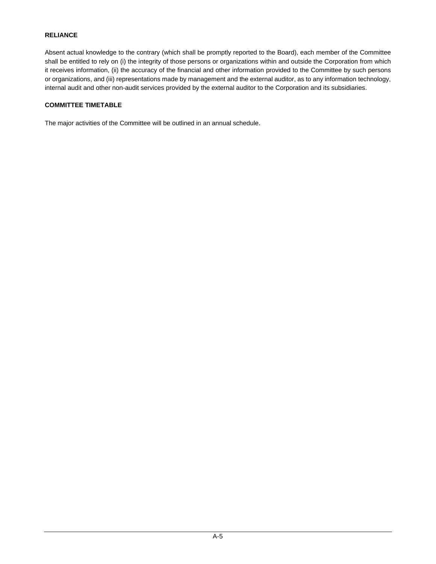# **RELIANCE**

Absent actual knowledge to the contrary (which shall be promptly reported to the Board), each member of the Committee shall be entitled to rely on (i) the integrity of those persons or organizations within and outside the Corporation from which it receives information, (ii) the accuracy of the financial and other information provided to the Committee by such persons or organizations, and (iii) representations made by management and the external auditor, as to any information technology, internal audit and other non-audit services provided by the external auditor to the Corporation and its subsidiaries.

## **COMMITTEE TIMETABLE**

The major activities of the Committee will be outlined in an annual schedule.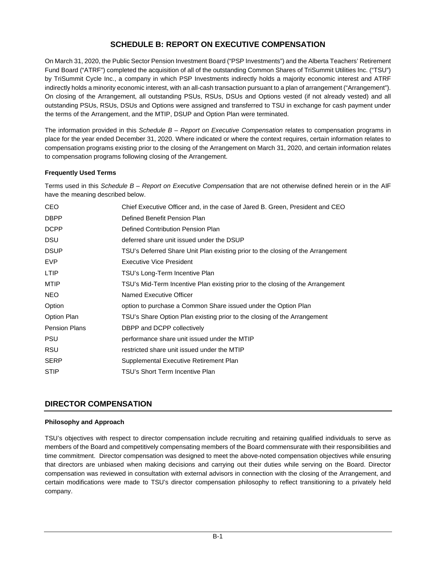# **SCHEDULE B: REPORT ON EXECUTIVE COMPENSATION**

On March 31, 2020, the Public Sector Pension Investment Board ("PSP Investments") and the Alberta Teachers' Retirement Fund Board ("ATRF") completed the acquisition of all of the outstanding Common Shares of TriSummit Utilities Inc. ("TSU") by TriSummit Cycle Inc., a company in which PSP Investments indirectly holds a majority economic interest and ATRF indirectly holds a minority economic interest, with an all-cash transaction pursuant to a plan of arrangement ("Arrangement"). On closing of the Arrangement, all outstanding PSUs, RSUs, DSUs and Options vested (if not already vested) and all outstanding PSUs, RSUs, DSUs and Options were assigned and transferred to TSU in exchange for cash payment under the terms of the Arrangement, and the MTIP, DSUP and Option Plan were terminated.

The information provided in this *Schedule B – Report on Executive Compensation* relates to compensation programs in place for the year ended December 31, 2020. Where indicated or where the context requires, certain information relates to compensation programs existing prior to the closing of the Arrangement on March 31, 2020, and certain information relates to compensation programs following closing of the Arrangement.

# **Frequently Used Terms**

Terms used in this *Schedule B – Report on Executive Compensation* that are not otherwise defined herein or in the AIF have the meaning described below.

| <b>CEO</b>           | Chief Executive Officer and, in the case of Jared B. Green, President and CEO   |
|----------------------|---------------------------------------------------------------------------------|
| <b>DBPP</b>          | Defined Benefit Pension Plan                                                    |
| <b>DCPP</b>          | Defined Contribution Pension Plan                                               |
| <b>DSU</b>           | deferred share unit issued under the DSUP                                       |
| <b>DSUP</b>          | TSU's Deferred Share Unit Plan existing prior to the closing of the Arrangement |
| EVP                  | Executive Vice President                                                        |
| <b>LTIP</b>          | TSU's Long-Term Incentive Plan                                                  |
| MTIP                 | TSU's Mid-Term Incentive Plan existing prior to the closing of the Arrangement  |
| NEO.                 | Named Executive Officer                                                         |
| Option               | option to purchase a Common Share issued under the Option Plan                  |
| Option Plan          | TSU's Share Option Plan existing prior to the closing of the Arrangement        |
| <b>Pension Plans</b> | DBPP and DCPP collectively                                                      |
| <b>PSU</b>           | performance share unit issued under the MTIP                                    |
| <b>RSU</b>           | restricted share unit issued under the MTIP                                     |
| <b>SERP</b>          | Supplemental Executive Retirement Plan                                          |
| <b>STIP</b>          | TSU's Short Term Incentive Plan                                                 |

# **DIRECTOR COMPENSATION**

# **Philosophy and Approach**

TSU's objectives with respect to director compensation include recruiting and retaining qualified individuals to serve as members of the Board and competitively compensating members of the Board commensurate with their responsibilities and time commitment. Director compensation was designed to meet the above-noted compensation objectives while ensuring that directors are unbiased when making decisions and carrying out their duties while serving on the Board. Director compensation was reviewed in consultation with external advisors in connection with the closing of the Arrangement, and certain modifications were made to TSU's director compensation philosophy to reflect transitioning to a privately held company.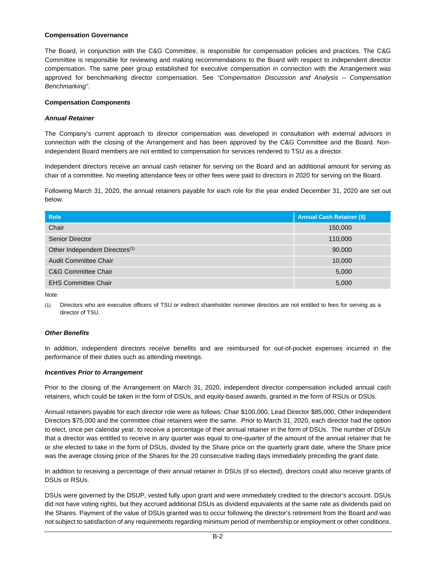#### **Compensation Governance**

The Board, in conjunction with the C&G Committee, is responsible for compensation policies and practices. The C&G Committee is responsible for reviewing and making recommendations to the Board with respect to independent director compensation. The same peer group established for executive compensation in connection with the Arrangement was approved for benchmarking director compensation. See *"Compensation Discussion and Analysis – Compensation Benchmarking"*.

## **Compensation Components**

## *Annual Retainer*

The Company's current approach to director compensation was developed in consultation with external advisors in connection with the closing of the Arrangement and has been approved by the C&G Committee and the Board. Nonindependent Board members are not entitled to compensation for services rendered to TSU as a director.

Independent directors receive an annual cash retainer for serving on the Board and an additional amount for serving as chair of a committee. No meeting attendance fees or other fees were paid to directors in 2020 for serving on the Board.

Following March 31, 2020, the annual retainers payable for each role for the year ended December 31, 2020 are set out below.

| <b>Role</b>                                | <b>Annual Cash Retainer (\$)</b> |
|--------------------------------------------|----------------------------------|
| Chair                                      | 150,000                          |
| Senior Director                            | 110,000                          |
| Other Independent Directors <sup>(1)</sup> | 90,000                           |
| <b>Audit Committee Chair</b>               | 10,000                           |
| <b>C&amp;G Committee Chair</b>             | 5,000                            |
| <b>EHS Committee Chair</b>                 | 5,000                            |

Note:

(1) Directors who are executive officers of TSU or indirect shareholder nominee directors are not entitled to fees for serving as a director of TSU.

# *Other Benefits*

In addition, independent directors receive benefits and are reimbursed for out-of-pocket expenses incurred in the performance of their duties such as attending meetings.

#### *Incentives Prior to Arrangement*

Prior to the closing of the Arrangement on March 31, 2020, independent director compensation included annual cash retainers, which could be taken in the form of DSUs, and equity-based awards, granted in the form of RSUs or DSUs.

Annual retainers payable for each director role were as follows: Chair \$100,000, Lead Director \$85,000, Other Independent Directors \$75,000 and the committee chair retainers were the same. Prior to March 31, 2020, each director had the option to elect, once per calendar year, to receive a percentage of their annual retainer in the form of DSUs. The number of DSUs that a director was entitled to receive in any quarter was equal to one-quarter of the amount of the annual retainer that he or she elected to take in the form of DSUs, divided by the Share price on the quarterly grant date, where the Share price was the average closing price of the Shares for the 20 consecutive trading days immediately preceding the grant date.

In addition to receiving a percentage of their annual retainer in DSUs (if so elected), directors could also receive grants of DSUs or RSUs.

DSUs were governed by the DSUP, vested fully upon grant and were immediately credited to the director's account. DSUs did not have voting rights, but they accrued additional DSUs as dividend equivalents at the same rate as dividends paid on the Shares. Payment of the value of DSUs granted was to occur following the director's retirement from the Board and was not subject to satisfaction of any requirements regarding minimum period of membership or employment or other conditions.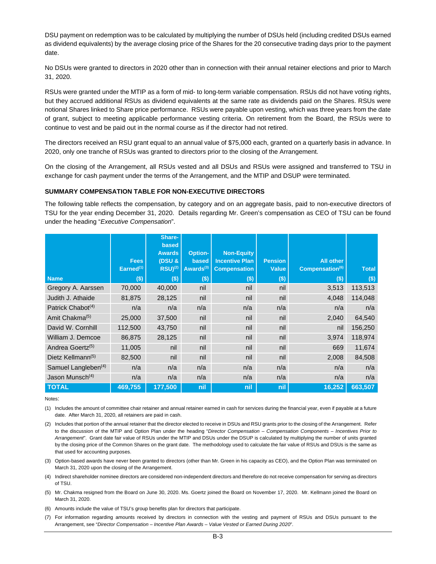DSU payment on redemption was to be calculated by multiplying the number of DSUs held (including credited DSUs earned as dividend equivalents) by the average closing price of the Shares for the 20 consecutive trading days prior to the payment date.

No DSUs were granted to directors in 2020 other than in connection with their annual retainer elections and prior to March 31, 2020.

RSUs were granted under the MTIP as a form of mid- to long-term variable compensation. RSUs did not have voting rights, but they accrued additional RSUs as dividend equivalents at the same rate as dividends paid on the Shares. RSUs were notional Shares linked to Share price performance. RSUs were payable upon vesting, which was three years from the date of grant, subject to meeting applicable performance vesting criteria. On retirement from the Board, the RSUs were to continue to vest and be paid out in the normal course as if the director had not retired.

The directors received an RSU grant equal to an annual value of \$75,000 each, granted on a quarterly basis in advance. In 2020, only one tranche of RSUs was granted to directors prior to the closing of the Arrangement.

On the closing of the Arrangement, all RSUs vested and all DSUs and RSUs were assigned and transferred to TSU in exchange for cash payment under the terms of the Arrangement, and the MTIP and DSUP were terminated.

## **SUMMARY COMPENSATION TABLE FOR NON-EXECUTIVE DIRECTORS**

The following table reflects the compensation, by category and on an aggregate basis, paid to non-executive directors of TSU for the year ending December 31, 2020. Details regarding Mr. Green's compensation as CEO of TSU can be found under the heading "*Executive Compensation*".

|                                 |                                      | Share-<br>based<br><b>Awards</b> | <b>Option-</b>                 | <b>Non-Equity</b>                            |                                |                                                 |              |
|---------------------------------|--------------------------------------|----------------------------------|--------------------------------|----------------------------------------------|--------------------------------|-------------------------------------------------|--------------|
|                                 | <b>Fees</b><br>Earned <sup>(1)</sup> | (DSU &<br>$RSU)^{(2)}$           | based<br>Awards <sup>(3)</sup> | <b>Incentive Plan</b><br><b>Compensation</b> | <b>Pension</b><br><b>Value</b> | <b>All other</b><br>Compensation <sup>(6)</sup> | <b>Total</b> |
| <b>Name</b>                     | $($ \$)                              | $($ \$)                          | $($ \$)                        | $($ \$)                                      | $($ \$)                        | $($ \$)                                         | \$)          |
| Gregory A. Aarssen              | 70,000                               | 40,000                           | nil                            | nil                                          | nil                            | 3,513                                           | 113,513      |
| Judith J. Athaide               | 81,875                               | 28,125                           | nil                            | nil                                          | nil                            | 4,048                                           | 114,048      |
| Patrick Chabot <sup>(4)</sup>   | n/a                                  | n/a                              | n/a                            | n/a                                          | n/a                            | n/a                                             | n/a          |
| Amit Chakma <sup>(5)</sup>      | 25,000                               | 37,500                           | nil                            | nil                                          | nil                            | 2,040                                           | 64,540       |
| David W. Cornhill               | 112,500                              | 43,750                           | nil                            | nil                                          | nil                            | nil                                             | 156,250      |
| William J. Demcoe               | 86,875                               | 28,125                           | nil                            | nil                                          | nil                            | 3,974                                           | 118,974      |
| Andrea Goertz <sup>(5)</sup>    | 11,005                               | nil                              | nil                            | nil                                          | nil                            | 669                                             | 11,674       |
| Dietz Kellmann <sup>(5)</sup>   | 82,500                               | nil                              | nil                            | nil                                          | nil                            | 2,008                                           | 84,508       |
| Samuel Langleben <sup>(4)</sup> | n/a                                  | n/a                              | n/a                            | n/a                                          | n/a                            | n/a                                             | n/a          |
| Jason Munsch <sup>(4)</sup>     | n/a                                  | n/a                              | n/a                            | n/a                                          | n/a                            | n/a                                             | n/a          |
| <b>TOTAL</b>                    | 469,755                              | 177,500                          | nil                            | nil                                          | nil                            | 16,252                                          | 663,507      |

Notes:

(1) Includes the amount of committee chair retainer and annual retainer earned in cash for services during the financial year, even if payable at a future date. After March 31, 2020, all retainers are paid in cash.

(2) Includes that portion of the annual retainer that the director elected to receive in DSUs and RSU grants prior to the closing of the Arrangement. Refer to the discussion of the MTIP and Option Plan under the heading "*Director Compensation – Compensation Components – Incentives Prior to Arrangement*". Grant date fair value of RSUs under the MTIP and DSUs under the DSUP is calculated by multiplying the number of units granted by the closing price of the Common Shares on the grant date. The methodology used to calculate the fair value of RSUs and DSUs is the same as that used for accounting purposes.

- (3) Option-based awards have never been granted to directors (other than Mr. Green in his capacity as CEO), and the Option Plan was terminated on March 31, 2020 upon the closing of the Arrangement.
- (4) Indirect shareholder nominee directors are considered non-independent directors and therefore do not receive compensation for serving as directors of TSU.
- (5) Mr. Chakma resigned from the Board on June 30, 2020. Ms. Goertz joined the Board on November 17, 2020. Mr. Kellmann joined the Board on March 31, 2020.
- (6) Amounts include the value of TSU's group benefits plan for directors that participate.
- (7) For information regarding amounts received by directors in connection with the vesting and payment of RSUs and DSUs pursuant to the Arrangement, see "*Director Compensation – Incentive Plan Awards – Value Vested or Earned During 2020*".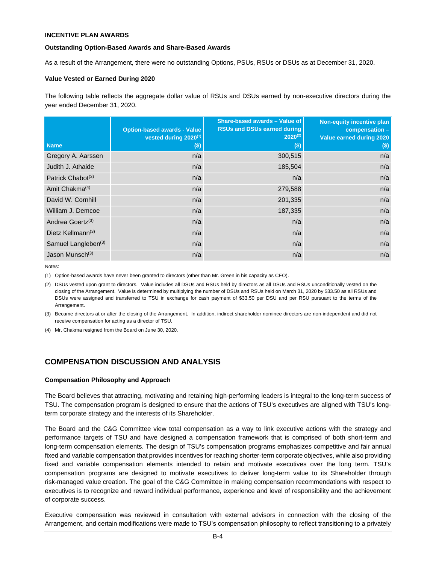## **INCENTIVE PLAN AWARDS**

### **Outstanding Option-Based Awards and Share-Based Awards**

As a result of the Arrangement, there were no outstanding Options, PSUs, RSUs or DSUs as at December 31, 2020.

## **Value Vested or Earned During 2020**

The following table reflects the aggregate dollar value of RSUs and DSUs earned by non-executive directors during the year ended December 31, 2020.

| <b>Name</b>                     | <b>Option-based awards - Value</b><br>vested during 2020 <sup>(1)</sup><br>$($)$ | Share-based awards - Value of<br><b>RSUs and DSUs earned during</b><br>$2020^{(2)}$<br>$(\$)$ | Non-equity incentive plan<br>compensation -<br>Value earned during 2020<br>$($)$ |
|---------------------------------|----------------------------------------------------------------------------------|-----------------------------------------------------------------------------------------------|----------------------------------------------------------------------------------|
| Gregory A. Aarssen              | n/a                                                                              | 300,515                                                                                       | n/a                                                                              |
| Judith J. Athaide               | n/a                                                                              | 185,504                                                                                       | n/a                                                                              |
| Patrick Chabot <sup>(3)</sup>   | n/a                                                                              | n/a                                                                                           | n/a                                                                              |
| Amit Chakma <sup>(4)</sup>      | n/a                                                                              | 279,588                                                                                       | n/a                                                                              |
| David W. Cornhill               | n/a                                                                              | 201,335                                                                                       | n/a                                                                              |
| William J. Demcoe               | n/a                                                                              | 187,335                                                                                       | n/a                                                                              |
| Andrea Goertz <sup>(3)</sup>    | n/a                                                                              | n/a                                                                                           | n/a                                                                              |
| Dietz Kellmann <sup>(3)</sup>   | n/a                                                                              | n/a                                                                                           | n/a                                                                              |
| Samuel Langleben <sup>(3)</sup> | n/a                                                                              | n/a                                                                                           | n/a                                                                              |
| Jason Munsch <sup>(3)</sup>     | n/a                                                                              | n/a                                                                                           | n/a                                                                              |

Notes:

(1) Option-based awards have never been granted to directors (other than Mr. Green in his capacity as CEO).

(2) DSUs vested upon grant to directors. Value includes all DSUs and RSUs held by directors as all DSUs and RSUs unconditionally vested on the closing of the Arrangement. Value is determined by multiplying the number of DSUs and RSUs held on March 31, 2020 by \$33.50 as all RSUs and DSUs were assigned and transferred to TSU in exchange for cash payment of \$33.50 per DSU and per RSU pursuant to the terms of the Arrangement.

- (3) Became directors at or after the closing of the Arrangement. In addition, indirect shareholder nominee directors are non-independent and did not receive compensation for acting as a director of TSU.
- (4) Mr. Chakma resigned from the Board on June 30, 2020.

# **COMPENSATION DISCUSSION AND ANALYSIS**

#### **Compensation Philosophy and Approach**

The Board believes that attracting, motivating and retaining high-performing leaders is integral to the long-term success of TSU. The compensation program is designed to ensure that the actions of TSU's executives are aligned with TSU's longterm corporate strategy and the interests of its Shareholder.

The Board and the C&G Committee view total compensation as a way to link executive actions with the strategy and performance targets of TSU and have designed a compensation framework that is comprised of both short-term and long-term compensation elements. The design of TSU's compensation programs emphasizes competitive and fair annual fixed and variable compensation that provides incentives for reaching shorter-term corporate objectives, while also providing fixed and variable compensation elements intended to retain and motivate executives over the long term. TSU's compensation programs are designed to motivate executives to deliver long-term value to its Shareholder through risk-managed value creation. The goal of the C&G Committee in making compensation recommendations with respect to executives is to recognize and reward individual performance, experience and level of responsibility and the achievement of corporate success.

Executive compensation was reviewed in consultation with external advisors in connection with the closing of the Arrangement, and certain modifications were made to TSU's compensation philosophy to reflect transitioning to a privately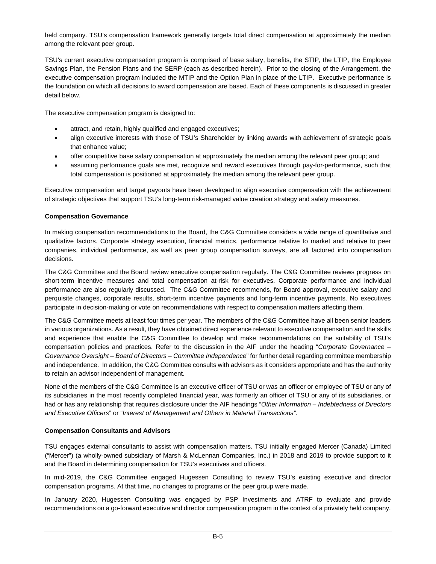held company. TSU's compensation framework generally targets total direct compensation at approximately the median among the relevant peer group.

TSU's current executive compensation program is comprised of base salary, benefits, the STIP, the LTIP, the Employee Savings Plan, the Pension Plans and the SERP (each as described herein). Prior to the closing of the Arrangement, the executive compensation program included the MTIP and the Option Plan in place of the LTIP. Executive performance is the foundation on which all decisions to award compensation are based. Each of these components is discussed in greater detail below.

The executive compensation program is designed to:

- attract, and retain, highly qualified and engaged executives;
- align executive interests with those of TSU's Shareholder by linking awards with achievement of strategic goals that enhance value;
- · offer competitive base salary compensation at approximately the median among the relevant peer group; and
- assuming performance goals are met, recognize and reward executives through pay-for-performance, such that total compensation is positioned at approximately the median among the relevant peer group.

Executive compensation and target payouts have been developed to align executive compensation with the achievement of strategic objectives that support TSU's long-term risk-managed value creation strategy and safety measures.

## **Compensation Governance**

In making compensation recommendations to the Board, the C&G Committee considers a wide range of quantitative and qualitative factors. Corporate strategy execution, financial metrics, performance relative to market and relative to peer companies, individual performance, as well as peer group compensation surveys, are all factored into compensation decisions.

The C&G Committee and the Board review executive compensation regularly. The C&G Committee reviews progress on short-term incentive measures and total compensation at-risk for executives. Corporate performance and individual performance are also regularly discussed. The C&G Committee recommends, for Board approval, executive salary and perquisite changes, corporate results, short-term incentive payments and long-term incentive payments. No executives participate in decision-making or vote on recommendations with respect to compensation matters affecting them.

The C&G Committee meets at least four times per year. The members of the C&G Committee have all been senior leaders in various organizations. As a result, they have obtained direct experience relevant to executive compensation and the skills and experience that enable the C&G Committee to develop and make recommendations on the suitability of TSU's compensation policies and practices. Refer to the discussion in the AIF under the heading "*Corporate Governance – Governance Oversight – Board of Directors – Committee Independence*" for further detail regarding committee membership and independence. In addition, the C&G Committee consults with advisors as it considers appropriate and has the authority to retain an advisor independent of management.

None of the members of the C&G Committee is an executive officer of TSU or was an officer or employee of TSU or any of its subsidiaries in the most recently completed financial year, was formerly an officer of TSU or any of its subsidiaries, or had or has any relationship that requires disclosure under the AIF headings "*Other Information – Indebtedness of Directors and Executive Officers*" or "*Interest of Management and Others in Material Transactions".*

# **Compensation Consultants and Advisors**

TSU engages external consultants to assist with compensation matters. TSU initially engaged Mercer (Canada) Limited ("Mercer") (a wholly-owned subsidiary of Marsh & McLennan Companies, Inc.) in 2018 and 2019 to provide support to it and the Board in determining compensation for TSU's executives and officers.

In mid-2019, the C&G Committee engaged Hugessen Consulting to review TSU's existing executive and director compensation programs. At that time, no changes to programs or the peer group were made.

In January 2020, Hugessen Consulting was engaged by PSP Investments and ATRF to evaluate and provide recommendations on a go-forward executive and director compensation program in the context of a privately held company.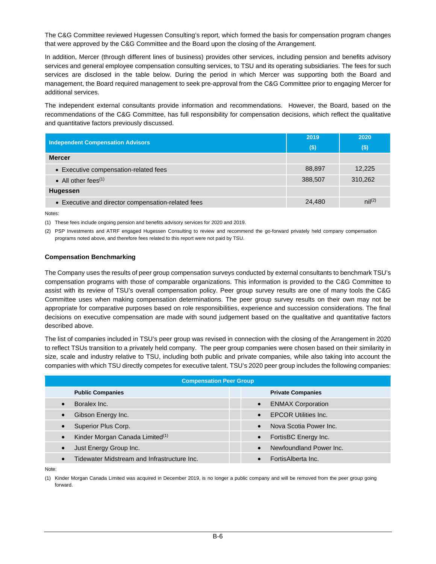The C&G Committee reviewed Hugessen Consulting's report, which formed the basis for compensation program changes that were approved by the C&G Committee and the Board upon the closing of the Arrangement.

In addition, Mercer (through different lines of business) provides other services, including pension and benefits advisory services and general employee compensation consulting services, to TSU and its operating subsidiaries. The fees for such services are disclosed in the table below. During the period in which Mercer was supporting both the Board and management, the Board required management to seek pre-approval from the C&G Committee prior to engaging Mercer for additional services.

The independent external consultants provide information and recommendations. However, the Board, based on the recommendations of the C&G Committee, has full responsibility for compensation decisions, which reflect the qualitative and quantitative factors previously discussed.

| <b>Independent Compensation Advisors</b>           | 2019    | 2020                 |
|----------------------------------------------------|---------|----------------------|
|                                                    | $($ \$) | $($)$                |
| <b>Mercer</b>                                      |         |                      |
| • Executive compensation-related fees              | 88,897  | 12,225               |
| • All other fees $(1)$                             | 388,507 | 310,262              |
| Hugessen                                           |         |                      |
| • Executive and director compensation-related fees | 24,480  | $\mathsf{nil}^{(2)}$ |

Notes:

(1) These fees include ongoing pension and benefits advisory services for 2020 and 2019.

(2) PSP Investments and ATRF engaged Hugessen Consulting to review and recommend the go-forward privately held company compensation programs noted above, and therefore fees related to this report were not paid by TSU.

## **Compensation Benchmarking**

The Company uses the results of peer group compensation surveys conducted by external consultants to benchmark TSU's compensation programs with those of comparable organizations. This information is provided to the C&G Committee to assist with its review of TSU's overall compensation policy. Peer group survey results are one of many tools the C&G Committee uses when making compensation determinations. The peer group survey results on their own may not be appropriate for comparative purposes based on role responsibilities, experience and succession considerations. The final decisions on executive compensation are made with sound judgement based on the qualitative and quantitative factors described above.

The list of companies included in TSU's peer group was revised in connection with the closing of the Arrangement in 2020 to reflect TSUs transition to a privately held company. The peer group companies were chosen based on their similarity in size, scale and industry relative to TSU, including both public and private companies, while also taking into account the companies with which TSU directly competes for executive talent. TSU's 2020 peer group includes the following companies:

| <b>Compensation Peer Group</b>                           |                                          |  |  |  |  |  |  |  |
|----------------------------------------------------------|------------------------------------------|--|--|--|--|--|--|--|
| <b>Public Companies</b>                                  | <b>Private Companies</b>                 |  |  |  |  |  |  |  |
| Boralex Inc.<br>$\bullet$                                | <b>ENMAX Corporation</b><br>$\bullet$    |  |  |  |  |  |  |  |
| Gibson Energy Inc.                                       | <b>EPCOR Utilities Inc.</b><br>$\bullet$ |  |  |  |  |  |  |  |
| Superior Plus Corp.                                      | Nova Scotia Power Inc.<br>$\bullet$      |  |  |  |  |  |  |  |
| Kinder Morgan Canada Limited <sup>(1)</sup><br>$\bullet$ | FortisBC Energy Inc.<br>$\bullet$        |  |  |  |  |  |  |  |
| Just Energy Group Inc.<br>$\bullet$                      | Newfoundland Power Inc.<br>$\bullet$     |  |  |  |  |  |  |  |
| Tidewater Midstream and Infrastructure Inc.              | FortisAlberta Inc.                       |  |  |  |  |  |  |  |

Note:

(1) Kinder Morgan Canada Limited was acquired in December 2019, is no longer a public company and will be removed from the peer group going forward.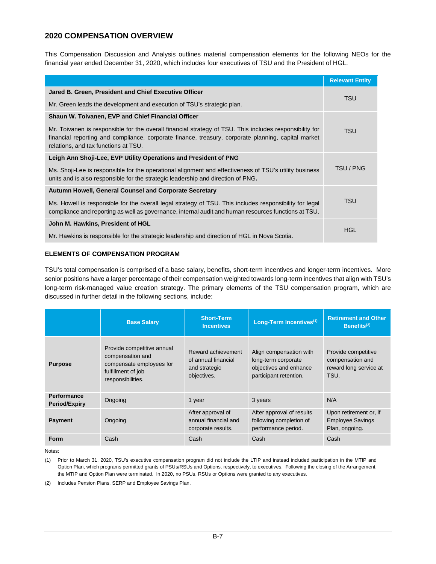# **2020 COMPENSATION OVERVIEW**

This Compensation Discussion and Analysis outlines material compensation elements for the following NEOs for the financial year ended December 31, 2020, which includes four executives of TSU and the President of HGL.

|                                                                                                                                                                                                                                                        | <b>Relevant Entity</b> |  |
|--------------------------------------------------------------------------------------------------------------------------------------------------------------------------------------------------------------------------------------------------------|------------------------|--|
| Jared B. Green, President and Chief Executive Officer                                                                                                                                                                                                  | <b>TSU</b>             |  |
| Mr. Green leads the development and execution of TSU's strategic plan.                                                                                                                                                                                 |                        |  |
| Shaun W. Toivanen, EVP and Chief Financial Officer                                                                                                                                                                                                     |                        |  |
| Mr. Toivanen is responsible for the overall financial strategy of TSU. This includes responsibility for<br>financial reporting and compliance, corporate finance, treasury, corporate planning, capital market<br>relations, and tax functions at TSU. | <b>TSU</b>             |  |
| Leigh Ann Shoji-Lee, EVP Utility Operations and President of PNG                                                                                                                                                                                       |                        |  |
| Ms. Shoji-Lee is responsible for the operational alignment and effectiveness of TSU's utility business<br>units and is also responsible for the strategic leadership and direction of PNG.                                                             | TSU / PNG              |  |
| <b>Autumn Howell, General Counsel and Corporate Secretary</b>                                                                                                                                                                                          |                        |  |
| Ms. Howell is responsible for the overall legal strategy of TSU. This includes responsibility for legal<br>compliance and reporting as well as governance, internal audit and human resources functions at TSU.                                        | <b>TSU</b>             |  |
| John M. Hawkins, President of HGL                                                                                                                                                                                                                      | HGL                    |  |
| Mr. Hawkins is responsible for the strategic leadership and direction of HGL in Nova Scotia.                                                                                                                                                           |                        |  |

## **ELEMENTS OF COMPENSATION PROGRAM**

TSU's total compensation is comprised of a base salary, benefits, short-term incentives and longer-term incentives. More senior positions have a larger percentage of their compensation weighted towards long-term incentives that align with TSU's long-term risk-managed value creation strategy. The primary elements of the TSU compensation program, which are discussed in further detail in the following sections, include:

|                                            | <b>Base Salary</b>                                                                                                    | <b>Short-Term</b><br><b>Incentives</b>                                    | Long-Term Incentives <sup>(1)</sup>                                                                | <b>Retirement and Other</b><br>Benefits $(2)$                             |
|--------------------------------------------|-----------------------------------------------------------------------------------------------------------------------|---------------------------------------------------------------------------|----------------------------------------------------------------------------------------------------|---------------------------------------------------------------------------|
| <b>Purpose</b>                             | Provide competitive annual<br>compensation and<br>compensate employees for<br>fulfillment of job<br>responsibilities. | Reward achievement<br>of annual financial<br>and strategic<br>objectives. | Align compensation with<br>long-term corporate<br>objectives and enhance<br>participant retention. | Provide competitive<br>compensation and<br>reward long service at<br>TSU. |
| <b>Performance</b><br><b>Period/Expiry</b> | Ongoing                                                                                                               | 1 year                                                                    | 3 years                                                                                            | N/A                                                                       |
| <b>Payment</b>                             | Ongoing                                                                                                               | After approval of<br>annual financial and<br>corporate results.           | After approval of results<br>following completion of<br>performance period.                        | Upon retirement or, if<br><b>Employee Savings</b><br>Plan, ongoing.       |
| <b>Form</b>                                | Cash                                                                                                                  | Cash                                                                      | Cash                                                                                               | Cash                                                                      |

Notes:

(2) Includes Pension Plans, SERP and Employee Savings Plan.

<sup>(1)</sup> Prior to March 31, 2020, TSU's executive compensation program did not include the LTIP and instead included participation in the MTIP and Option Plan, which programs permitted grants of PSUs/RSUs and Options, respectively, to executives. Following the closing of the Arrangement, the MTIP and Option Plan were terminated. In 2020, no PSUs, RSUs or Options were granted to any executives.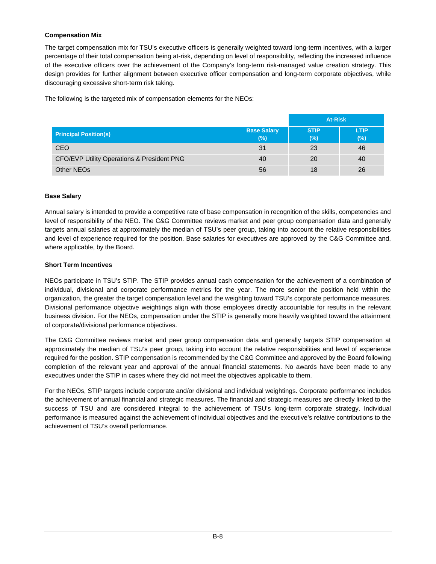# **Compensation Mix**

The target compensation mix for TSU's executive officers is generally weighted toward long-term incentives, with a larger percentage of their total compensation being at-risk, depending on level of responsibility, reflecting the increased influence of the executive officers over the achievement of the Company's long-term risk-managed value creation strategy. This design provides for further alignment between executive officer compensation and long-term corporate objectives, while discouraging excessive short-term risk taking.

The following is the targeted mix of compensation elements for the NEOs:

|                                                       |                           | <b>At-Risk</b>     |                    |
|-------------------------------------------------------|---------------------------|--------------------|--------------------|
| <b>Principal Position(s)</b>                          | <b>Base Salary</b><br>(%) | <b>STIP</b><br>(%) | <b>LTIP</b><br>(%) |
| <b>CEO</b>                                            | 31                        | -23                | 46                 |
| <b>CFO/EVP Utility Operations &amp; President PNG</b> | 40                        | -20                | 40                 |
| Other NEOs                                            | 56                        | 18                 | 26                 |

# **Base Salary**

Annual salary is intended to provide a competitive rate of base compensation in recognition of the skills, competencies and level of responsibility of the NEO. The C&G Committee reviews market and peer group compensation data and generally targets annual salaries at approximately the median of TSU's peer group, taking into account the relative responsibilities and level of experience required for the position. Base salaries for executives are approved by the C&G Committee and, where applicable, by the Board.

# **Short Term Incentives**

NEOs participate in TSU's STIP. The STIP provides annual cash compensation for the achievement of a combination of individual, divisional and corporate performance metrics for the year. The more senior the position held within the organization, the greater the target compensation level and the weighting toward TSU's corporate performance measures. Divisional performance objective weightings align with those employees directly accountable for results in the relevant business division. For the NEOs, compensation under the STIP is generally more heavily weighted toward the attainment of corporate/divisional performance objectives.

The C&G Committee reviews market and peer group compensation data and generally targets STIP compensation at approximately the median of TSU's peer group, taking into account the relative responsibilities and level of experience required for the position. STIP compensation is recommended by the C&G Committee and approved by the Board following completion of the relevant year and approval of the annual financial statements. No awards have been made to any executives under the STIP in cases where they did not meet the objectives applicable to them.

For the NEOs, STIP targets include corporate and/or divisional and individual weightings. Corporate performance includes the achievement of annual financial and strategic measures. The financial and strategic measures are directly linked to the success of TSU and are considered integral to the achievement of TSU's long-term corporate strategy. Individual performance is measured against the achievement of individual objectives and the executive's relative contributions to the achievement of TSU's overall performance.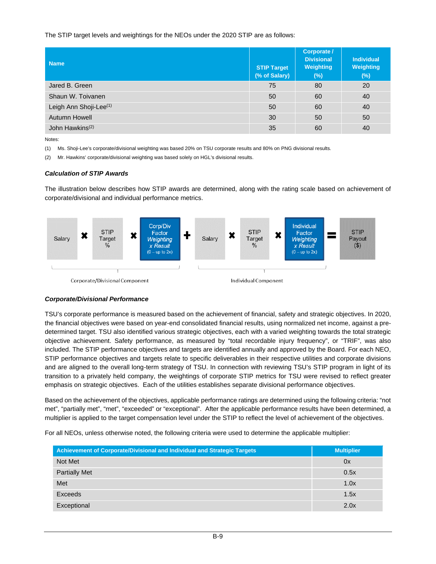## The STIP target levels and weightings for the NEOs under the 2020 STIP are as follows:

| <b>Name</b>                        | <b>STIP Target</b><br>(% of Salary) | Corporate /<br><b>Divisional</b><br>Weighting<br>$(\%)$ | Individual<br><b>Weighting</b><br>$(\%)$ |
|------------------------------------|-------------------------------------|---------------------------------------------------------|------------------------------------------|
| Jared B. Green                     | 75                                  | 80                                                      | 20                                       |
| Shaun W. Toivanen                  | 50                                  | 60                                                      | 40                                       |
| Leigh Ann Shoji-Lee <sup>(1)</sup> | 50                                  | 60                                                      | 40                                       |
| Autumn Howell                      | 30                                  | 50                                                      | 50                                       |
| John Hawkins <sup>(2)</sup>        | 35                                  | 60                                                      | 40                                       |

Notes:

(1) Ms. Shoji-Lee's corporate/divisional weighting was based 20% on TSU corporate results and 80% on PNG divisional results.

(2) Mr. Hawkins' corporate/divisional weighting was based solely on HGL's divisional results.

## *Calculation of STIP Awards*

The illustration below describes how STIP awards are determined, along with the rating scale based on achievement of corporate/divisional and individual performance metrics.



# *Corporate/Divisional Performance*

TSU's corporate performance is measured based on the achievement of financial, safety and strategic objectives. In 2020, the financial objectives were based on year-end consolidated financial results, using normalized net income, against a predetermined target. TSU also identified various strategic objectives, each with a varied weighting towards the total strategic objective achievement. Safety performance, as measured by "total recordable injury frequency", or "TRIF", was also included. The STIP performance objectives and targets are identified annually and approved by the Board. For each NEO, STIP performance objectives and targets relate to specific deliverables in their respective utilities and corporate divisions and are aligned to the overall long-term strategy of TSU. In connection with reviewing TSU's STIP program in light of its transition to a privately held company, the weightings of corporate STIP metrics for TSU were revised to reflect greater emphasis on strategic objectives. Each of the utilities establishes separate divisional performance objectives.

Based on the achievement of the objectives, applicable performance ratings are determined using the following criteria: "not met", "partially met", "met", "exceeded" or "exceptional". After the applicable performance results have been determined, a multiplier is applied to the target compensation level under the STIP to reflect the level of achievement of the objectives.

For all NEOs, unless otherwise noted, the following criteria were used to determine the applicable multiplier:

| Achievement of Corporate/Divisional and Individual and Strategic Targets | <b>Multiplier</b> |
|--------------------------------------------------------------------------|-------------------|
| Not Met                                                                  | 0x                |
| <b>Partially Met</b>                                                     | 0.5x              |
| Met                                                                      | 1.0x              |
| Exceeds                                                                  | 1.5x              |
| Exceptional                                                              | 2.0x              |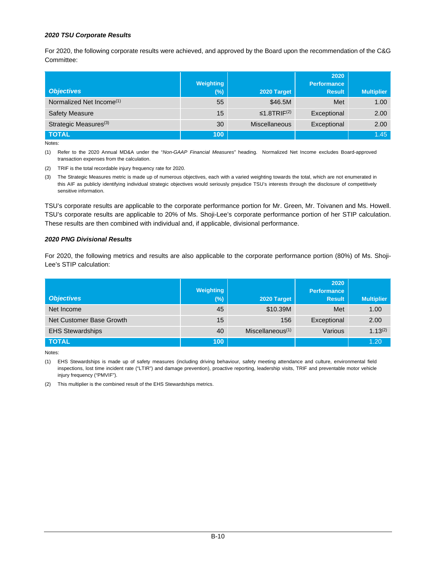## *2020 TSU Corporate Results*

For 2020, the following corporate results were achieved, and approved by the Board upon the recommendation of the C&G Committee:

|                                      | Weighting |                               | 2020<br><b>Performance</b> |                   |
|--------------------------------------|-----------|-------------------------------|----------------------------|-------------------|
| <b>Objectives</b>                    | $(\%)$    | 2020 Target                   | <b>Result</b>              | <b>Multiplier</b> |
| Normalized Net Income <sup>(1)</sup> | 55        | \$46.5M                       | Met                        | 1.00              |
| <b>Safety Measure</b>                | 15        | $\leq$ 1.8TRIF <sup>(2)</sup> | Exceptional                | 2.00              |
| Strategic Measures <sup>(3)</sup>    | 30        | <b>Miscellaneous</b>          | Exceptional                | 2.00              |
| <b>TOTAL</b>                         | 100       |                               |                            | 1.45              |

Notes:

(1) Refer to the 2020 Annual MD&A under the "*Non-GAAP Financial Measures*" heading. Normalized Net Income excludes Board-approved transaction expenses from the calculation.

(2) TRIF is the total recordable injury frequency rate for 2020.

(3) The Strategic Measures metric is made up of numerous objectives, each with a varied weighting towards the total, which are not enumerated in this AIF as publicly identifying individual strategic objectives would seriously prejudice TSU's interests through the disclosure of competitively sensitive information.

TSU's corporate results are applicable to the corporate performance portion for Mr. Green, Mr. Toivanen and Ms. Howell. TSU's corporate results are applicable to 20% of Ms. Shoji-Lee's corporate performance portion of her STIP calculation. These results are then combined with individual and, if applicable, divisional performance.

## *2020 PNG Divisional Results*

For 2020, the following metrics and results are also applicable to the corporate performance portion (80%) of Ms. Shoji-Lee's STIP calculation:

|                          |                  |                     | 2020               |                   |
|--------------------------|------------------|---------------------|--------------------|-------------------|
|                          | Weighting        |                     | <b>Performance</b> |                   |
| <b>Objectives</b>        | $(\%)$           | 2020 Target         | <b>Result</b>      | <b>Multiplier</b> |
| Net Income               | 45               | \$10.39M            | Met                | 1.00              |
| Net Customer Base Growth | 15               | 156                 | Exceptional        | 2.00              |
| <b>EHS Stewardships</b>  | 40               | Miscellaneous $(1)$ | Various            | $1.13^{(2)}$      |
| <b>TOTAL</b>             | 100 <sub>1</sub> |                     |                    | 1.20              |

Notes:

(1) EHS Stewardships is made up of safety measures (including driving behaviour, safety meeting attendance and culture, environmental field inspections, lost time incident rate ("LTIR") and damage prevention), proactive reporting, leadership visits, TRIF and preventable motor vehicle injury frequency ("PMVIF").

(2) This multiplier is the combined result of the EHS Stewardships metrics.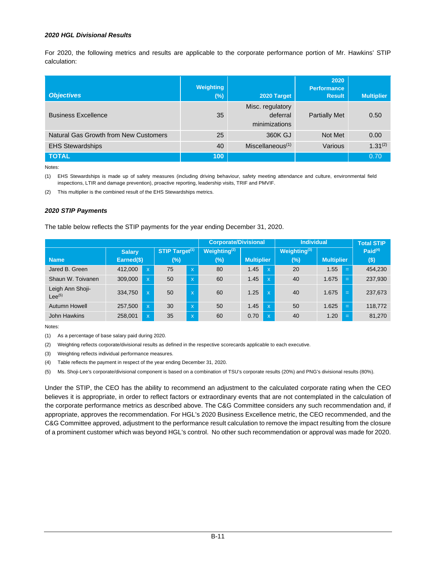## *2020 HGL Divisional Results*

For 2020, the following metrics and results are applicable to the corporate performance portion of Mr. Hawkins' STIP calculation:

| <b>Objectives</b>                     | Weighting<br>$(\%)$ | 2020 Target                                   | 2020<br><b>Performance</b><br><b>Result</b> | <b>Multiplier</b> |
|---------------------------------------|---------------------|-----------------------------------------------|---------------------------------------------|-------------------|
| <b>Business Excellence</b>            | 35                  | Misc. regulatory<br>deferral<br>minimizations | <b>Partially Met</b>                        | 0.50              |
| Natural Gas Growth from New Customers | 25                  | 360K GJ                                       | Not Met                                     | 0.00              |
| <b>EHS Stewardships</b>               | 40                  | Miscellaneous $(1)$                           | Various                                     | $1.31^{(2)}$      |
| <b>TOTAL</b>                          | 100                 |                                               |                                             | 0.70              |

Notes:

(1) EHS Stewardships is made up of safety measures (including driving behaviour, safety meeting attendance and culture, environmental field inspections, LTIR and damage prevention), proactive reporting, leadership visits, TRIF and PMVIF.

(2) This multiplier is the combined result of the EHS Stewardships metrics.

#### *2020 STIP Payments*

The table below reflects the STIP payments for the year ending December 31, 2020.

|                                 |               |                         |                            |                           | <b>Corporate/Divisional</b> |                   |                           | <b>Individual</b>        |                   |     | <b>Total STIP</b> |
|---------------------------------|---------------|-------------------------|----------------------------|---------------------------|-----------------------------|-------------------|---------------------------|--------------------------|-------------------|-----|-------------------|
|                                 | <b>Salary</b> |                         | STIP Target <sup>(1)</sup> |                           | Weighting <sup>(2)</sup>    |                   |                           | Weighting <sup>(3)</sup> |                   |     | Paid $(4)$        |
| <b>Name</b>                     | Earned(\$)    |                         | (%)                        |                           | $(\%)$                      | <b>Multiplier</b> |                           | (%)                      | <b>Multiplier</b> |     | $($ \$)           |
| Jared B. Green                  | 412,000       | $\overline{\mathsf{x}}$ | 75                         | $\mathbf{x}$              | 80                          | 1.45              | $\overline{\mathsf{x}}$   | 20                       | 1.55              | $=$ | 454,230           |
| Shaun W. Toivanen               | 309,000       | $\mathsf{x}$            | 50                         | $\overline{X}$            | 60                          | 1.45              | $\boldsymbol{\mathsf{x}}$ | 40                       | 1.675             | $=$ | 237,930           |
| Leigh Ann Shoji-<br>$Lee^{(5)}$ | 334,750       | X                       | 50                         | $\boldsymbol{\mathsf{x}}$ | 60                          | 1.25              | $\overline{\mathsf{x}}$   | 40                       | 1.675             | $=$ | 237,673           |
| <b>Autumn Howell</b>            | 257,500       | $\overline{\mathsf{x}}$ | 30                         | $\overline{\mathsf{x}}$   | 50                          | 1.45              | $\overline{\mathsf{x}}$   | 50                       | 1.625             | $=$ | 118,772           |
| John Hawkins                    | 258,001       | $\mathsf{x}$            | 35                         | $\overline{X}$            | 60                          | 0.70              | $\overline{\mathsf{x}}$   | 40                       | 1.20              | $=$ | 81,270            |

Notes:

(1) As a percentage of base salary paid during 2020.

(2) Weighting reflects corporate/divisional results as defined in the respective scorecards applicable to each executive.

(3) Weighting reflects individual performance measures.

(4) Table reflects the payment in respect of the year ending December 31, 2020.

(5) Ms. Shoji-Lee's corporate/divisional component is based on a combination of TSU's corporate results (20%) and PNG's divisional results (80%).

Under the STIP, the CEO has the ability to recommend an adjustment to the calculated corporate rating when the CEO believes it is appropriate, in order to reflect factors or extraordinary events that are not contemplated in the calculation of the corporate performance metrics as described above. The C&G Committee considers any such recommendation and, if appropriate, approves the recommendation. For HGL's 2020 Business Excellence metric, the CEO recommended, and the C&G Committee approved, adjustment to the performance result calculation to remove the impact resulting from the closure of a prominent customer which was beyond HGL's control. No other such recommendation or approval was made for 2020.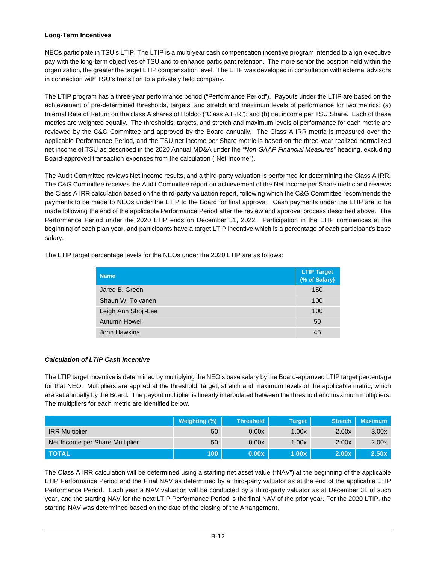### **Long-Term Incentives**

NEOs participate in TSU's LTIP. The LTIP is a multi-year cash compensation incentive program intended to align executive pay with the long-term objectives of TSU and to enhance participant retention. The more senior the position held within the organization, the greater the target LTIP compensation level. The LTIP was developed in consultation with external advisors in connection with TSU's transition to a privately held company.

The LTIP program has a three-year performance period ("Performance Period"). Payouts under the LTIP are based on the achievement of pre-determined thresholds, targets, and stretch and maximum levels of performance for two metrics: (a) Internal Rate of Return on the class A shares of Holdco ("Class A IRR"); and (b) net income per TSU Share. Each of these metrics are weighted equally. The thresholds, targets, and stretch and maximum levels of performance for each metric are reviewed by the C&G Committee and approved by the Board annually. The Class A IRR metric is measured over the applicable Performance Period, and the TSU net income per Share metric is based on the three-year realized normalized net income of TSU as described in the 2020 Annual MD&A under the *"Non-GAAP Financial Measures*" heading, excluding Board-approved transaction expenses from the calculation ("Net Income").

The Audit Committee reviews Net Income results, and a third-party valuation is performed for determining the Class A IRR. The C&G Committee receives the Audit Committee report on achievement of the Net Income per Share metric and reviews the Class A IRR calculation based on the third-party valuation report, following which the C&G Committee recommends the payments to be made to NEOs under the LTIP to the Board for final approval. Cash payments under the LTIP are to be made following the end of the applicable Performance Period after the review and approval process described above. The Performance Period under the 2020 LTIP ends on December 31, 2022. Participation in the LTIP commences at the beginning of each plan year, and participants have a target LTIP incentive which is a percentage of each participant's base salary.

The LTIP target percentage levels for the NEOs under the 2020 LTIP are as follows:

|  | <b>Name</b>          | <b>LTIP Target</b><br>(% of Salary) |
|--|----------------------|-------------------------------------|
|  | Jared B. Green       | 150                                 |
|  | Shaun W. Toivanen    | 100                                 |
|  | Leigh Ann Shoji-Lee  | 100                                 |
|  | <b>Autumn Howell</b> | 50                                  |
|  | John Hawkins         | 45                                  |

### *Calculation of LTIP Cash Incentive*

The LTIP target incentive is determined by multiplying the NEO's base salary by the Board-approved LTIP target percentage for that NEO. Multipliers are applied at the threshold, target, stretch and maximum levels of the applicable metric, which are set annually by the Board. The payout multiplier is linearly interpolated between the threshold and maximum multipliers. The multipliers for each metric are identified below.

|                                 | Weighting (%) | <b>Threshold</b> | <b>Target</b> | <b>Stretch</b> | <b>Maximum</b> |
|---------------------------------|---------------|------------------|---------------|----------------|----------------|
| <b>IRR Multiplier</b>           | 50            | 0.00x            | 1.00x         | 2.00x          | 3.00x          |
| Net Income per Share Multiplier | 50            | 0.00x            | 1.00x         | 2.00x          | 2.00x          |
| <b>TOTAL</b>                    | 100           | 0.00x            | 1.00x         | 2.00x          | 2.50x          |

The Class A IRR calculation will be determined using a starting net asset value ("NAV") at the beginning of the applicable LTIP Performance Period and the Final NAV as determined by a third-party valuator as at the end of the applicable LTIP Performance Period. Each year a NAV valuation will be conducted by a third-party valuator as at December 31 of such year, and the starting NAV for the next LTIP Performance Period is the final NAV of the prior year. For the 2020 LTIP, the starting NAV was determined based on the date of the closing of the Arrangement.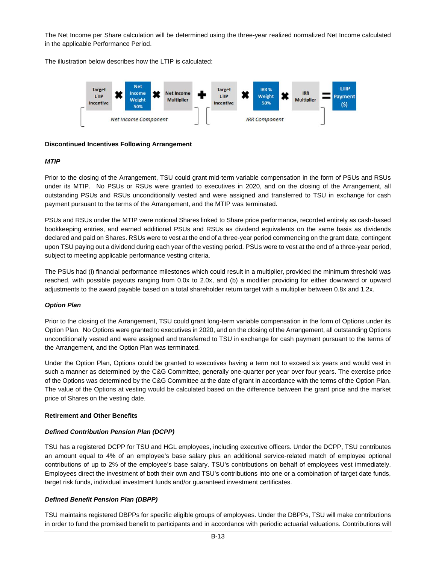The Net Income per Share calculation will be determined using the three-year realized normalized Net Income calculated in the applicable Performance Period.

The illustration below describes how the LTIP is calculated:



### **Discontinued Incentives Following Arrangement**

### *MTIP*

Prior to the closing of the Arrangement, TSU could grant mid-term variable compensation in the form of PSUs and RSUs under its MTIP. No PSUs or RSUs were granted to executives in 2020, and on the closing of the Arrangement, all outstanding PSUs and RSUs unconditionally vested and were assigned and transferred to TSU in exchange for cash payment pursuant to the terms of the Arrangement, and the MTIP was terminated.

PSUs and RSUs under the MTIP were notional Shares linked to Share price performance, recorded entirely as cash-based bookkeeping entries, and earned additional PSUs and RSUs as dividend equivalents on the same basis as dividends declared and paid on Shares. RSUs were to vest at the end of a three-year period commencing on the grant date, contingent upon TSU paying out a dividend during each year of the vesting period. PSUs were to vest at the end of a three-year period, subject to meeting applicable performance vesting criteria.

The PSUs had (i) financial performance milestones which could result in a multiplier, provided the minimum threshold was reached, with possible payouts ranging from 0.0x to 2.0x, and (b) a modifier providing for either downward or upward adjustments to the award payable based on a total shareholder return target with a multiplier between 0.8x and 1.2x.

### *Option Plan*

Prior to the closing of the Arrangement, TSU could grant long-term variable compensation in the form of Options under its Option Plan. No Options were granted to executives in 2020, and on the closing of the Arrangement, all outstanding Options unconditionally vested and were assigned and transferred to TSU in exchange for cash payment pursuant to the terms of the Arrangement, and the Option Plan was terminated.

Under the Option Plan, Options could be granted to executives having a term not to exceed six years and would vest in such a manner as determined by the C&G Committee, generally one-quarter per year over four years. The exercise price of the Options was determined by the C&G Committee at the date of grant in accordance with the terms of the Option Plan. The value of the Options at vesting would be calculated based on the difference between the grant price and the market price of Shares on the vesting date.

### **Retirement and Other Benefits**

### *Defined Contribution Pension Plan (DCPP)*

TSU has a registered DCPP for TSU and HGL employees, including executive officers. Under the DCPP, TSU contributes an amount equal to 4% of an employee's base salary plus an additional service-related match of employee optional contributions of up to 2% of the employee's base salary. TSU's contributions on behalf of employees vest immediately. Employees direct the investment of both their own and TSU's contributions into one or a combination of target date funds, target risk funds, individual investment funds and/or guaranteed investment certificates.

### *Defined Benefit Pension Plan (DBPP)*

TSU maintains registered DBPPs for specific eligible groups of employees. Under the DBPPs, TSU will make contributions in order to fund the promised benefit to participants and in accordance with periodic actuarial valuations. Contributions will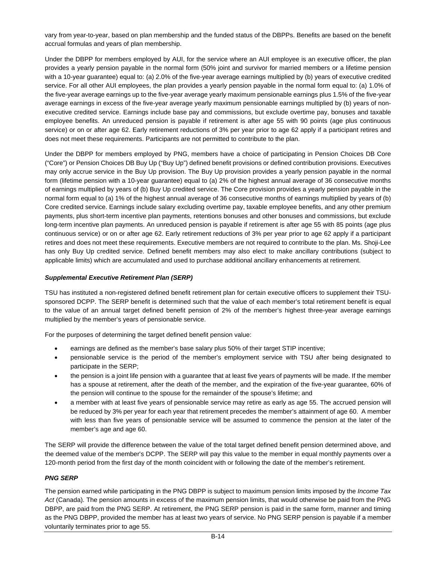vary from year-to-year, based on plan membership and the funded status of the DBPPs. Benefits are based on the benefit accrual formulas and years of plan membership.

Under the DBPP for members employed by AUI, for the service where an AUI employee is an executive officer, the plan provides a yearly pension payable in the normal form (50% joint and survivor for married members or a lifetime pension with a 10-year guarantee) equal to: (a) 2.0% of the five-year average earnings multiplied by (b) years of executive credited service. For all other AUI employees, the plan provides a yearly pension payable in the normal form equal to: (a) 1.0% of the five-year average earnings up to the five-year average yearly maximum pensionable earnings plus 1.5% of the five-year average earnings in excess of the five-year average yearly maximum pensionable earnings multiplied by (b) years of nonexecutive credited service. Earnings include base pay and commissions, but exclude overtime pay, bonuses and taxable employee benefits. An unreduced pension is payable if retirement is after age 55 with 90 points (age plus continuous service) or on or after age 62. Early retirement reductions of 3% per year prior to age 62 apply if a participant retires and does not meet these requirements. Participants are not permitted to contribute to the plan.

Under the DBPP for members employed by PNG, members have a choice of participating in Pension Choices DB Core ("Core") or Pension Choices DB Buy Up ("Buy Up") defined benefit provisions or defined contribution provisions. Executives may only accrue service in the Buy Up provision. The Buy Up provision provides a yearly pension payable in the normal form (lifetime pension with a 10-year guarantee) equal to (a) 2% of the highest annual average of 36 consecutive months of earnings multiplied by years of (b) Buy Up credited service. The Core provision provides a yearly pension payable in the normal form equal to (a) 1% of the highest annual average of 36 consecutive months of earnings multiplied by years of (b) Core credited service. Earnings include salary excluding overtime pay, taxable employee benefits, and any other premium payments, plus short-term incentive plan payments, retentions bonuses and other bonuses and commissions, but exclude long-term incentive plan payments. An unreduced pension is payable if retirement is after age 55 with 85 points (age plus continuous service) or on or after age 62. Early retirement reductions of 3% per year prior to age 62 apply if a participant retires and does not meet these requirements. Executive members are not required to contribute to the plan. Ms. Shoji-Lee has only Buy Up credited service. Defined benefit members may also elect to make ancillary contributions (subject to applicable limits) which are accumulated and used to purchase additional ancillary enhancements at retirement.

### *Supplemental Executive Retirement Plan (SERP)*

TSU has instituted a non-registered defined benefit retirement plan for certain executive officers to supplement their TSUsponsored DCPP. The SERP benefit is determined such that the value of each member's total retirement benefit is equal to the value of an annual target defined benefit pension of 2% of the member's highest three-year average earnings multiplied by the member's years of pensionable service.

For the purposes of determining the target defined benefit pension value:

- earnings are defined as the member's base salary plus 50% of their target STIP incentive;
- · pensionable service is the period of the member's employment service with TSU after being designated to participate in the SERP;
- the pension is a joint life pension with a guarantee that at least five years of payments will be made. If the member has a spouse at retirement, after the death of the member, and the expiration of the five-year guarantee, 60% of the pension will continue to the spouse for the remainder of the spouse's lifetime; and
- a member with at least five years of pensionable service may retire as early as age 55. The accrued pension will be reduced by 3% per year for each year that retirement precedes the member's attainment of age 60. A member with less than five years of pensionable service will be assumed to commence the pension at the later of the member's age and age 60.

The SERP will provide the difference between the value of the total target defined benefit pension determined above, and the deemed value of the member's DCPP. The SERP will pay this value to the member in equal monthly payments over a 120-month period from the first day of the month coincident with or following the date of the member's retirement.

### *PNG SERP*

The pension earned while participating in the PNG DBPP is subject to maximum pension limits imposed by the *Income Tax Act* (Canada). The pension amounts in excess of the maximum pension limits, that would otherwise be paid from the PNG DBPP, are paid from the PNG SERP. At retirement, the PNG SERP pension is paid in the same form, manner and timing as the PNG DBPP, provided the member has at least two years of service. No PNG SERP pension is payable if a member voluntarily terminates prior to age 55.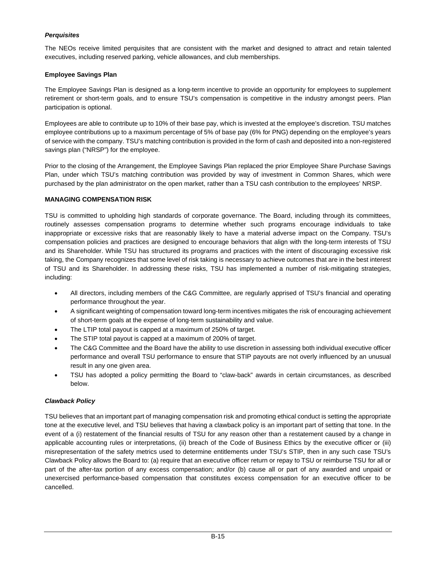### *Perquisites*

The NEOs receive limited perquisites that are consistent with the market and designed to attract and retain talented executives, including reserved parking, vehicle allowances, and club memberships.

### **Employee Savings Plan**

The Employee Savings Plan is designed as a long-term incentive to provide an opportunity for employees to supplement retirement or short-term goals, and to ensure TSU's compensation is competitive in the industry amongst peers. Plan participation is optional.

Employees are able to contribute up to 10% of their base pay, which is invested at the employee's discretion. TSU matches employee contributions up to a maximum percentage of 5% of base pay (6% for PNG) depending on the employee's years of service with the company. TSU's matching contribution is provided in the form of cash and deposited into a non-registered savings plan ("NRSP") for the employee.

Prior to the closing of the Arrangement, the Employee Savings Plan replaced the prior Employee Share Purchase Savings Plan, under which TSU's matching contribution was provided by way of investment in Common Shares, which were purchased by the plan administrator on the open market, rather than a TSU cash contribution to the employees' NRSP.

### **MANAGING COMPENSATION RISK**

TSU is committed to upholding high standards of corporate governance. The Board, including through its committees, routinely assesses compensation programs to determine whether such programs encourage individuals to take inappropriate or excessive risks that are reasonably likely to have a material adverse impact on the Company. TSU's compensation policies and practices are designed to encourage behaviors that align with the long-term interests of TSU and its Shareholder. While TSU has structured its programs and practices with the intent of discouraging excessive risk taking, the Company recognizes that some level of risk taking is necessary to achieve outcomes that are in the best interest of TSU and its Shareholder. In addressing these risks, TSU has implemented a number of risk-mitigating strategies, including:

- · All directors, including members of the C&G Committee, are regularly apprised of TSU's financial and operating performance throughout the year.
- · A significant weighting of compensation toward long-term incentives mitigates the risk of encouraging achievement of short-term goals at the expense of long-term sustainability and value.
- The LTIP total payout is capped at a maximum of 250% of target.
- The STIP total payout is capped at a maximum of 200% of target.
- · The C&G Committee and the Board have the ability to use discretion in assessing both individual executive officer performance and overall TSU performance to ensure that STIP payouts are not overly influenced by an unusual result in any one given area.
- · TSU has adopted a policy permitting the Board to "claw-back" awards in certain circumstances, as described below.

### *Clawback Policy*

TSU believes that an important part of managing compensation risk and promoting ethical conduct is setting the appropriate tone at the executive level, and TSU believes that having a clawback policy is an important part of setting that tone. In the event of a (i) restatement of the financial results of TSU for any reason other than a restatement caused by a change in applicable accounting rules or interpretations, (ii) breach of the Code of Business Ethics by the executive officer or (iii) misrepresentation of the safety metrics used to determine entitlements under TSU's STIP, then in any such case TSU's Clawback Policy allows the Board to: (a) require that an executive officer return or repay to TSU or reimburse TSU for all or part of the after-tax portion of any excess compensation; and/or (b) cause all or part of any awarded and unpaid or unexercised performance-based compensation that constitutes excess compensation for an executive officer to be cancelled.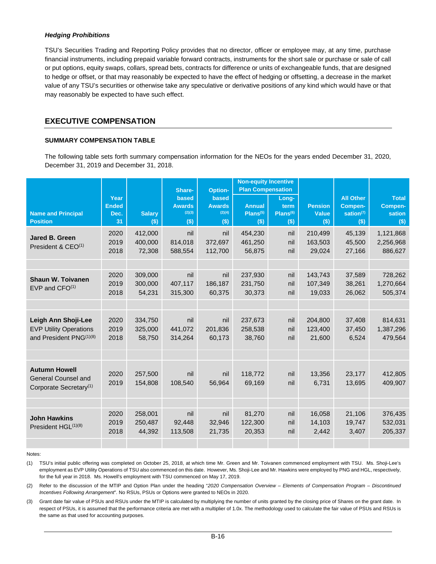#### *Hedging Prohibitions*

TSU's Securities Trading and Reporting Policy provides that no director, officer or employee may, at any time, purchase financial instruments, including prepaid variable forward contracts, instruments for the short sale or purchase or sale of call or put options, equity swaps, collars, spread bets, contracts for difference or units of exchangeable funds, that are designed to hedge or offset, or that may reasonably be expected to have the effect of hedging or offsetting, a decrease in the market value of any TSU's securities or otherwise take any speculative or derivative positions of any kind which would have or that may reasonably be expected to have such effect.

# **EXECUTIVE COMPENSATION**

### **SUMMARY COMPENSATION TABLE**

The following table sets forth summary compensation information for the NEOs for the years ended December 31, 2020, December 31, 2019 and December 31, 2018.

|                                     |                      |               |                        |                               | <b>Non-equity Incentive</b> |               |                |                             |                         |
|-------------------------------------|----------------------|---------------|------------------------|-------------------------------|-----------------------------|---------------|----------------|-----------------------------|-------------------------|
|                                     |                      |               | Share-                 | <b>Option-</b>                | <b>Plan Compensation</b>    |               |                |                             |                         |
|                                     | Year<br><b>Ended</b> |               | based<br><b>Awards</b> | <b>based</b><br><b>Awards</b> | <b>Annual</b>               | Long-<br>term | <b>Pension</b> | <b>All Other</b><br>Compen- | <b>Total</b><br>Compen- |
| <b>Name and Principal</b>           | Dec.                 | <b>Salary</b> | (2)(3)                 | (2)(4)                        | Plans <sup>(5)</sup>        | $Plans^{(6)}$ | <b>Value</b>   | sation $(7)$                | sation                  |
| <b>Position</b>                     | 31                   | $($ \$)       | $($ \$)                | $($ \$)                       | $($ \$)                     | $($ \$)       | $($ \$)        | $($ \$)                     | $($ \$)                 |
|                                     | 2020                 | 412,000       | nil                    | nil                           | 454,230                     | nil           | 210,499        | 45,139                      | 1,121,868               |
| Jared B. Green                      | 2019                 | 400,000       | 814,018                | 372,697                       | 461,250                     | nil           | 163,503        | 45,500                      | 2,256,968               |
| President & $CEO(1)$                | 2018                 | 72,308        | 588,554                | 112,700                       | 56,875                      | nil           | 29,024         | 27,166                      | 886,627                 |
|                                     |                      |               |                        |                               |                             |               |                |                             |                         |
|                                     | 2020                 | 309,000       | nil                    | nil                           | 237,930                     | nil           | 143,743        | 37,589                      | 728,262                 |
| <b>Shaun W. Toivanen</b>            | 2019                 | 300,000       | 407,117                | 186.187                       | 231,750                     | nil           | 107.349        | 38,261                      | 1,270,664               |
| $EVP$ and $CFO(1)$                  | 2018                 | 54,231        | 315,300                | 60,375                        | 30,373                      | nil           | 19,033         | 26,062                      | 505,374                 |
|                                     |                      |               |                        |                               |                             |               |                |                             |                         |
|                                     |                      |               |                        |                               |                             |               |                |                             |                         |
| Leigh Ann Shoji-Lee                 | 2020                 | 334,750       | nil                    | nil                           | 237,673                     | nil           | 204,800        | 37,408                      | 814,631                 |
| <b>EVP Utility Operations</b>       | 2019                 | 325,000       | 441,072                | 201,836                       | 258,538                     | nil           | 123,400        | 37,450                      | 1,387,296               |
| and President PNG <sup>(1)(8)</sup> | 2018                 | 58,750        | 314,264                | 60,173                        | 38,760                      | nil           | 21,600         | 6,524                       | 479,564                 |
|                                     |                      |               |                        |                               |                             |               |                |                             |                         |
|                                     |                      |               |                        |                               |                             |               |                |                             |                         |
| <b>Autumn Howell</b>                |                      |               |                        |                               |                             |               |                |                             |                         |
| General Counsel and                 | 2020                 | 257,500       | nil                    | nil                           | 118,772                     | nil           | 13,356         | 23,177                      | 412,805                 |
| Corporate Secretary <sup>(1)</sup>  | 2019                 | 154,808       | 108,540                | 56,964                        | 69,169                      | nil           | 6,731          | 13,695                      | 409,907                 |
|                                     |                      |               |                        |                               |                             |               |                |                             |                         |
|                                     |                      |               |                        |                               |                             |               |                |                             |                         |
| <b>John Hawkins</b>                 | 2020                 | 258,001       | nil                    | nil                           | 81,270                      | nil           | 16,058         | 21,106                      | 376,435                 |
| President HGL(1)(8)                 | 2019                 | 250,487       | 92,448                 | 32,946                        | 122,300                     | nil           | 14,103         | 19,747                      | 532,031                 |
|                                     | 2018                 | 44,392        | 113,508                | 21,735                        | 20,353                      | nil           | 2,442          | 3,407                       | 205,337                 |
|                                     |                      |               |                        |                               |                             |               |                |                             |                         |
|                                     |                      |               |                        |                               |                             |               |                |                             |                         |

#### Notes:

(1) TSU's initial public offering was completed on October 25, 2018, at which time Mr. Green and Mr. Toivanen commenced employment with TSU. Ms. Shoji-Lee's employment as EVP Utility Operations of TSU also commenced on this date. However, Ms. Shoji-Lee and Mr. Hawkins were employed by PNG and HGL, respectively, for the full year in 2018. Ms. Howell's employment with TSU commenced on May 17, 2019.

(2) Refer to the discussion of the MTIP and Option Plan under the heading "*2020 Compensation Overview – Elements of Compensation Program – Discontinued Incentives Following Arrangement*". No RSUs, PSUs or Options were granted to NEOs in 2020.

(3) Grant date fair value of PSUs and RSUs under the MTIP is calculated by multiplying the number of units granted by the closing price of Shares on the grant date. In respect of PSUs, it is assumed that the performance criteria are met with a multiplier of 1.0x. The methodology used to calculate the fair value of PSUs and RSUs is the same as that used for accounting purposes.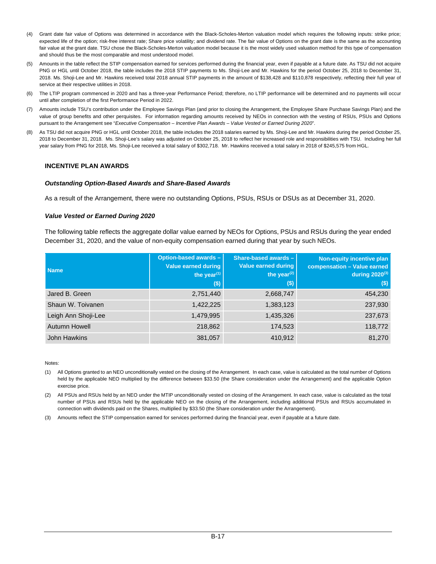- (4) Grant date fair value of Options was determined in accordance with the Black-Scholes-Merton valuation model which requires the following inputs: strike price; expected life of the option; risk-free interest rate; Share price volatility; and dividend rate. The fair value of Options on the grant date is the same as the accounting fair value at the grant date. TSU chose the Black-Scholes-Merton valuation model because it is the most widely used valuation method for this type of compensation and should thus be the most comparable and most understood model.
- (5) Amounts in the table reflect the STIP compensation earned for services performed during the financial year, even if payable at a future date. As TSU did not acquire PNG or HGL until October 2018, the table includes the 2018 STIP payments to Ms. Shoji-Lee and Mr. Hawkins for the period October 25, 2018 to December 31, 2018. Ms. Shoji-Lee and Mr. Hawkins received total 2018 annual STIP payments in the amount of \$138,428 and \$110,878 respectively, reflecting their full year of service at their respective utilities in 2018.
- (6) The LTIP program commenced in 2020 and has a three-year Performance Period; therefore, no LTIP performance will be determined and no payments will occur until after completion of the first Performance Period in 2022.
- (7) Amounts include TSU's contribution under the Employee Savings Plan (and prior to closing the Arrangement, the Employee Share Purchase Savings Plan) and the value of group benefits and other perquisites. For information regarding amounts received by NEOs in connection with the vesting of RSUs, PSUs and Options pursuant to the Arrangement see "*Executive Compensation – Incentive Plan Awards – Value Vested or Earned During 2020*".
- (8) As TSU did not acquire PNG or HGL until October 2018, the table includes the 2018 salaries earned by Ms. Shoji-Lee and Mr. Hawkins during the period October 25, 2018 to December 31, 2018. Ms. Shoji-Lee's salary was adjusted on October 25, 2018 to reflect her increased role and responsibilities with TSU. Including her full year salary from PNG for 2018, Ms. Shoji-Lee received a total salary of \$302,718. Mr. Hawkins received a total salary in 2018 of \$245,575 from HGL.

### **INCENTIVE PLAN AWARDS**

#### *Outstanding Option-Based Awards and Share-Based Awards*

As a result of the Arrangement, there were no outstanding Options, PSUs, RSUs or DSUs as at December 31, 2020.

#### *Value Vested or Earned During 2020*

The following table reflects the aggregate dollar value earned by NEOs for Options, PSUs and RSUs during the year ended December 31, 2020, and the value of non-equity compensation earned during that year by such NEOs.

| <b>Name</b>         | Option-based awards -<br>Value earned during<br>the year $(1)$<br>$($)$ | Share-based awards -<br><b>Value earned during</b><br>the year $(2)$<br>$($ \$) | Non-equity incentive plan<br>compensation - Value earned<br>during $2020^{(3)}$<br>$($)$ |
|---------------------|-------------------------------------------------------------------------|---------------------------------------------------------------------------------|------------------------------------------------------------------------------------------|
| Jared B. Green      | 2,751,440                                                               | 2,668,747                                                                       | 454,230                                                                                  |
| Shaun W. Toivanen   | 1,422,225                                                               | 1,383,123                                                                       | 237,930                                                                                  |
| Leigh Ann Shoji-Lee | 1,479,995                                                               | 1,435,326                                                                       | 237,673                                                                                  |
| Autumn Howell       | 218,862                                                                 | 174,523                                                                         | 118,772                                                                                  |
| John Hawkins        | 381,057                                                                 | 410,912                                                                         | 81,270                                                                                   |

Notes:

(1) All Options granted to an NEO unconditionally vested on the closing of the Arrangement. In each case, value is calculated as the total number of Options held by the applicable NEO multiplied by the difference between \$33.50 (the Share consideration under the Arrangement) and the applicable Option exercise price.

(2) All PSUs and RSUs held by an NEO under the MTIP unconditionally vested on closing of the Arrangement. In each case, value is calculated as the total number of PSUs and RSUs held by the applicable NEO on the closing of the Arrangement, including additional PSUs and RSUs accumulated in connection with dividends paid on the Shares, multiplied by \$33.50 (the Share consideration under the Arrangement).

(3) Amounts reflect the STIP compensation earned for services performed during the financial year, even if payable at a future date.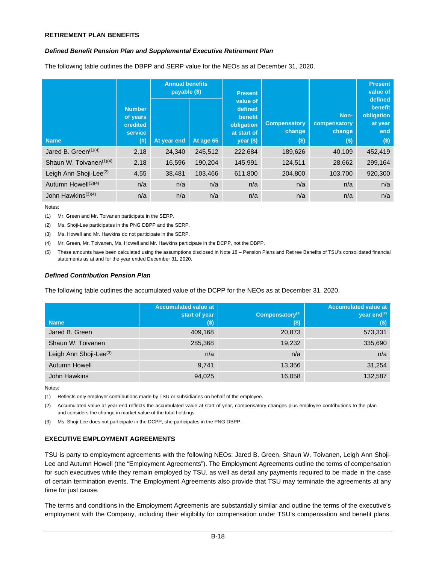### **RETIREMENT PLAN BENEFITS**

#### *Defined Benefit Pension Plan and Supplemental Executive Retirement Plan*

The following table outlines the DBPP and SERP value for the NEOs as at December 31, 2020.

| <b>Name</b>                      | <b>Number</b><br>of years<br>credited<br>service<br>$($ # $)$ | <b>Annual benefits</b><br>payable (\$)<br>At year end | At age 65 | <b>Present</b><br>value of<br>defined<br>benefit<br>obligation<br>at start of<br>$year$ (\$) | <b>Compensatory</b><br>change<br>(\$) | Non-<br>compensatory<br>change<br>$($ \$) | <b>Present</b><br>value of<br>defined<br>benefit<br>obligation<br>at year<br>end<br>$($ \$) |
|----------------------------------|---------------------------------------------------------------|-------------------------------------------------------|-----------|----------------------------------------------------------------------------------------------|---------------------------------------|-------------------------------------------|---------------------------------------------------------------------------------------------|
| Jared B. Green <sup>(1)(4)</sup> | 2.18                                                          | 24.340                                                | 245,512   | 222,684                                                                                      | 189,626                               | 40,109                                    | 452,419                                                                                     |
| Shaun W. Toivanen $(1)(4)$       | 2.18                                                          | 16,596                                                | 190.204   | 145.991                                                                                      | 124,511                               | 28.662                                    | 299.164                                                                                     |
| Leigh Ann Shoji-Lee $^{(2)}$     | 4.55                                                          | 38,481                                                | 103,466   | 611,800                                                                                      | 204,800                               | 103,700                                   | 920,300                                                                                     |
| Autumn Howell <sup>(3)(4)</sup>  | n/a                                                           | n/a                                                   | n/a       | n/a                                                                                          | n/a                                   | n/a                                       | n/a                                                                                         |
| John Hawkins <sup>(3)(4)</sup>   | n/a                                                           | n/a                                                   | n/a       | n/a                                                                                          | n/a                                   | n/a                                       | n/a                                                                                         |

Notes:

(1) Mr. Green and Mr. Toivanen participate in the SERP.

(2) Ms. Shoji-Lee participates in the PNG DBPP and the SERP.

(3) Ms. Howell and Mr. Hawkins do not participate in the SERP.

(4) Mr. Green, Mr. Toivanen, Ms. Howell and Mr. Hawkins participate in the DCPP, not the DBPP.

(5) These amounts have been calculated using the assumptions disclosed in Note 18 – Pension Plans and Retiree Benefits of TSU's consolidated financial statements as at and for the year ended December 31, 2020.

#### *Defined Contribution Pension Plan*

The following table outlines the accumulated value of the DCPP for the NEOs as at December 31, 2020.

| <b>Name</b>                        | <b>Accumulated value at</b><br>start of year<br>(\$). | Compensatory <sup>(1)</sup><br>(s) | <b>Accumulated value at</b><br>year end $^{(2)}$<br>$($ \$) |
|------------------------------------|-------------------------------------------------------|------------------------------------|-------------------------------------------------------------|
| Jared B. Green                     | 409,168                                               | 20,873                             | 573,331                                                     |
| Shaun W. Toivanen                  | 285,368                                               | 19,232                             | 335,690                                                     |
| Leigh Ann Shoji-Lee <sup>(3)</sup> | n/a                                                   | n/a                                | n/a                                                         |
| <b>Autumn Howell</b>               | 9,741                                                 | 13,356                             | 31,254                                                      |
| John Hawkins                       | 94,025                                                | 16,058                             | 132,587                                                     |

Notes:

(1) Reflects only employer contributions made by TSU or subsidiaries on behalf of the employee.

(2) Accumulated value at year-end reflects the accumulated value at start of year, compensatory changes plus employee contributions to the plan and considers the change in market value of the total holdings.

(3) Ms. Shoji-Lee does not participate in the DCPP, she participates in the PNG DBPP.

### **EXECUTIVE EMPLOYMENT AGREEMENTS**

TSU is party to employment agreements with the following NEOs: Jared B. Green, Shaun W. Toivanen, Leigh Ann Shoji-Lee and Autumn Howell (the "Employment Agreements"). The Employment Agreements outline the terms of compensation for such executives while they remain employed by TSU, as well as detail any payments required to be made in the case of certain termination events. The Employment Agreements also provide that TSU may terminate the agreements at any time for just cause.

The terms and conditions in the Employment Agreements are substantially similar and outline the terms of the executive's employment with the Company, including their eligibility for compensation under TSU's compensation and benefit plans.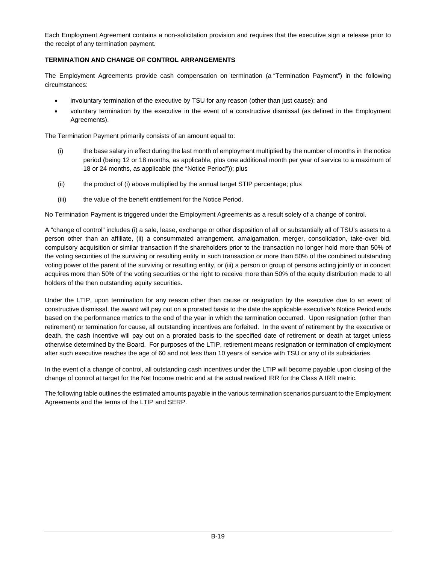Each Employment Agreement contains a non-solicitation provision and requires that the executive sign a release prior to the receipt of any termination payment.

## **TERMINATION AND CHANGE OF CONTROL ARRANGEMENTS**

The Employment Agreements provide cash compensation on termination (a "Termination Payment") in the following circumstances:

- involuntary termination of the executive by TSU for any reason (other than just cause); and
- · voluntary termination by the executive in the event of a constructive dismissal (as defined in the Employment Agreements).

The Termination Payment primarily consists of an amount equal to:

- (i) the base salary in effect during the last month of employment multiplied by the number of months in the notice period (being 12 or 18 months, as applicable, plus one additional month per year of service to a maximum of 18 or 24 months, as applicable (the "Notice Period")); plus
- (ii) the product of (i) above multiplied by the annual target STIP percentage; plus
- (iii) the value of the benefit entitlement for the Notice Period.

No Termination Payment is triggered under the Employment Agreements as a result solely of a change of control.

A "change of control" includes (i) a sale, lease, exchange or other disposition of all or substantially all of TSU's assets to a person other than an affiliate, (ii) a consummated arrangement, amalgamation, merger, consolidation, take-over bid, compulsory acquisition or similar transaction if the shareholders prior to the transaction no longer hold more than 50% of the voting securities of the surviving or resulting entity in such transaction or more than 50% of the combined outstanding voting power of the parent of the surviving or resulting entity, or (iii) a person or group of persons acting jointly or in concert acquires more than 50% of the voting securities or the right to receive more than 50% of the equity distribution made to all holders of the then outstanding equity securities.

Under the LTIP, upon termination for any reason other than cause or resignation by the executive due to an event of constructive dismissal, the award will pay out on a prorated basis to the date the applicable executive's Notice Period ends based on the performance metrics to the end of the year in which the termination occurred. Upon resignation (other than retirement) or termination for cause, all outstanding incentives are forfeited. In the event of retirement by the executive or death, the cash incentive will pay out on a prorated basis to the specified date of retirement or death at target unless otherwise determined by the Board. For purposes of the LTIP, retirement means resignation or termination of employment after such executive reaches the age of 60 and not less than 10 years of service with TSU or any of its subsidiaries.

In the event of a change of control, all outstanding cash incentives under the LTIP will become payable upon closing of the change of control at target for the Net Income metric and at the actual realized IRR for the Class A IRR metric.

The following table outlines the estimated amounts payable in the various termination scenarios pursuant to the Employment Agreements and the terms of the LTIP and SERP.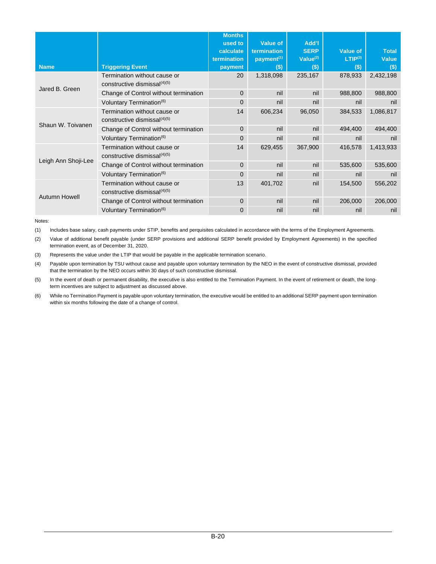| <b>Name</b>         | <b>Triggering Event</b><br>Termination without cause or<br>constructive dismissal $(4)(5)$ | <b>Months</b><br>used to<br>calculate<br>termination<br>payment<br>20 | Value of<br>termination<br>payment <sup>(1)</sup><br>$($)$<br>1,318,098 | Add'l<br><b>SERP</b><br>Value $(2)$<br>$($ \$)<br>235,167 | <b>Value of</b><br>LTIP <sup>(3)</sup><br>$($)$<br>878,933 | <b>Total</b><br><b>Value</b><br>$($ \$)<br>2,432,198 |
|---------------------|--------------------------------------------------------------------------------------------|-----------------------------------------------------------------------|-------------------------------------------------------------------------|-----------------------------------------------------------|------------------------------------------------------------|------------------------------------------------------|
| Jared B. Green      | Change of Control without termination                                                      | $\Omega$                                                              | nil                                                                     | nil                                                       | 988,800                                                    | 988,800                                              |
|                     | Voluntary Termination <sup>(6)</sup>                                                       | $\mathbf 0$                                                           | nil                                                                     | nil                                                       | nil                                                        | nil                                                  |
|                     | Termination without cause or<br>constructive dismissal $(4)(5)$                            | 14                                                                    | 606,234                                                                 | 96,050                                                    | 384,533                                                    | 1,086,817                                            |
| Shaun W. Toivanen   | Change of Control without termination                                                      | $\Omega$                                                              | nil                                                                     | nil                                                       | 494,400                                                    | 494,400                                              |
|                     | Voluntary Termination <sup>(6)</sup>                                                       | $\mathbf 0$                                                           | nil                                                                     | nil                                                       | nil                                                        | nil                                                  |
|                     | Termination without cause or<br>constructive dismissa $(4)(5)$                             | 14                                                                    | 629,455                                                                 | 367,900                                                   | 416,578                                                    | 1,413,933                                            |
| Leigh Ann Shoji-Lee | Change of Control without termination                                                      | $\Omega$                                                              | nil                                                                     | nil                                                       | 535,600                                                    | 535,600                                              |
|                     | Voluntary Termination <sup>(6)</sup>                                                       | $\mathbf{0}$                                                          | nil                                                                     | nil                                                       | nil                                                        | nil                                                  |
| Autumn Howell       | Termination without cause or<br>constructive dismissal $(4)(5)$                            | 13                                                                    | 401,702                                                                 | nil                                                       | 154,500                                                    | 556,202                                              |
|                     | Change of Control without termination                                                      | $\mathbf{0}$                                                          | nil                                                                     | nil                                                       | 206,000                                                    | 206,000                                              |
|                     | Voluntary Termination <sup>(6)</sup>                                                       | $\mathbf 0$                                                           | nil                                                                     | nil                                                       | nil                                                        | nil                                                  |

Notes:

(1) Includes base salary, cash payments under STIP, benefits and perquisites calculated in accordance with the terms of the Employment Agreements.

(2) Value of additional benefit payable (under SERP provisions and additional SERP benefit provided by Employment Agreements) in the specified termination event, as of December 31, 2020.

(3) Represents the value under the LTIP that would be payable in the applicable termination scenario.

(4) Payable upon termination by TSU without cause and payable upon voluntary termination by the NEO in the event of constructive dismissal, provided that the termination by the NEO occurs within 30 days of such constructive dismissal.

(5) In the event of death or permanent disability, the executive is also entitled to the Termination Payment. In the event of retirement or death, the longterm incentives are subject to adjustment as discussed above.

(6) While no Termination Payment is payable upon voluntary termination, the executive would be entitled to an additional SERP payment upon termination within six months following the date of a change of control.